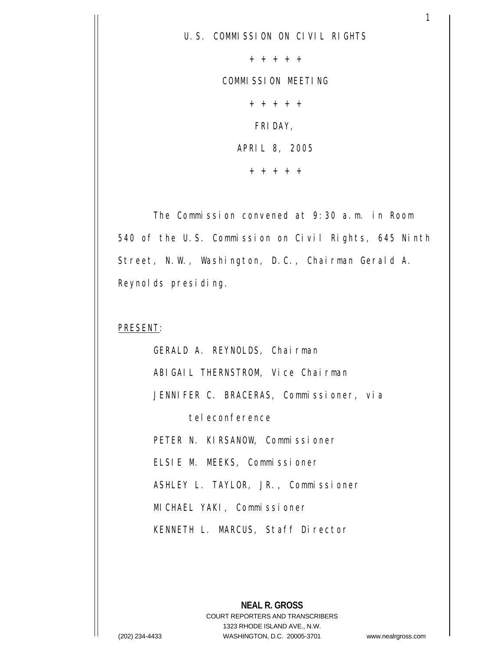+ + + + +

COMMISSION MEETING

+ + + + + FRIDAY, APRIL 8, 2005 + + + + +

 The Commission convened at 9:30 a.m. in Room 540 of the U.S. Commission on Civil Rights, 645 Ninth Street, N.W., Washington, D.C., Chairman Gerald A. Reynolds presiding.

#### PRESENT:

 GERALD A. REYNOLDS, Chairman ABIGAIL THERNSTROM, Vice Chairman JENNIFER C. BRACERAS, Commissioner, via teleconference PETER N. KIRSANOW, Commissioner ELSIE M. MEEKS, Commissioner ASHLEY L. TAYLOR, JR., Commissioner MICHAEL YAKI, Commissioner KENNETH L. MARCUS, Staff Director

**NEAL R. GROSS** COURT REPORTERS AND TRANSCRIBERS 1323 RHODE ISLAND AVE., N.W. (202) 234-4433 WASHINGTON, D.C. 20005-3701 www.nealrgross.com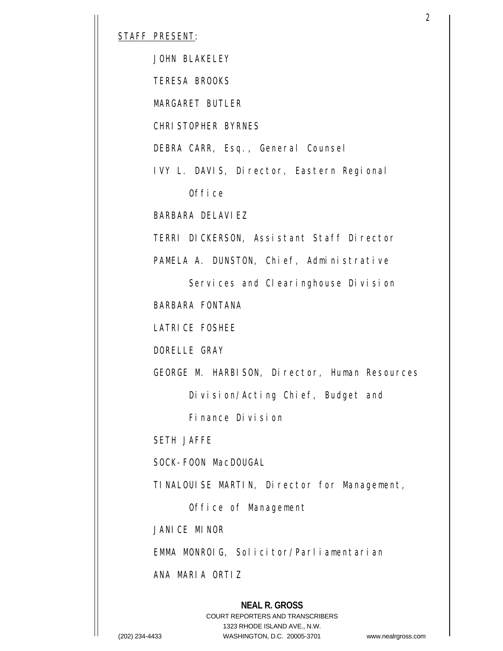#### STAFF PRESENT:

JOHN BLAKELEY

TERESA BROOKS

MARGARET BUTLER

CHRISTOPHER BYRNES

DEBRA CARR, Esq., General Counsel

IVY L. DAVIS, Director, Eastern Regional

Office

BARBARA DELAVIEZ

TERRI DICKERSON, Assistant Staff Director

PAMELA A. DUNSTON, Chief, Administrative

 Services and Clearinghouse Division BARBARA FONTANA

LATRICE FOSHEE

DORELLE GRAY

GEORGE M. HARBISON, Director, Human Resources

Division/Acting Chief, Budget and

Finance Division

SETH JAFFE

SOCK-FOON MacDOUGAL

TINALOUISE MARTIN, Director for Management,

Office of Management

JANICE MINOR

EMMA MONROIG, Solicitor/Parliamentarian

ANA MARIA ORTIZ

### **NEAL R. GROSS** COURT REPORTERS AND TRANSCRIBERS 1323 RHODE ISLAND AVE., N.W. (202) 234-4433 WASHINGTON, D.C. 20005-3701 www.nealrgross.com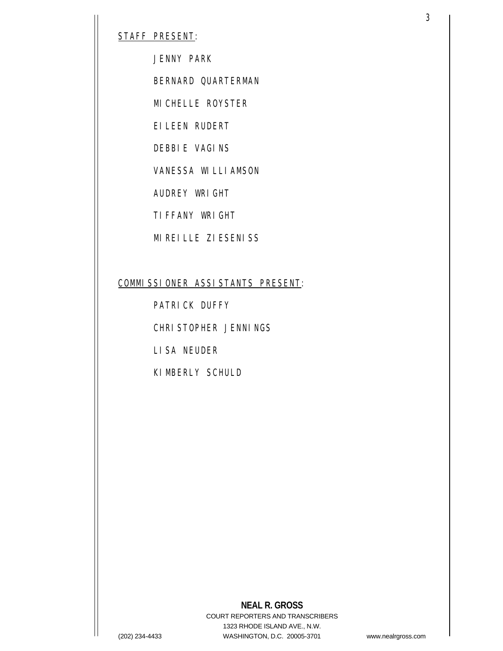STAFF PRESENT:

JENNY PARK

BERNARD QUARTERMAN

MICHELLE ROYSTER

EILEEN RUDERT

DEBBIE VAGINS

VANESSA WILLIAMSON

AUDREY WRIGHT

TIFFANY WRIGHT

MIREILLE ZIESENISS

### COMMISSIONER ASSISTANTS PRESENT:

PATRICK DUFFY

CHRISTOPHER JENNINGS

LISA NEUDER

KIMBERLY SCHULD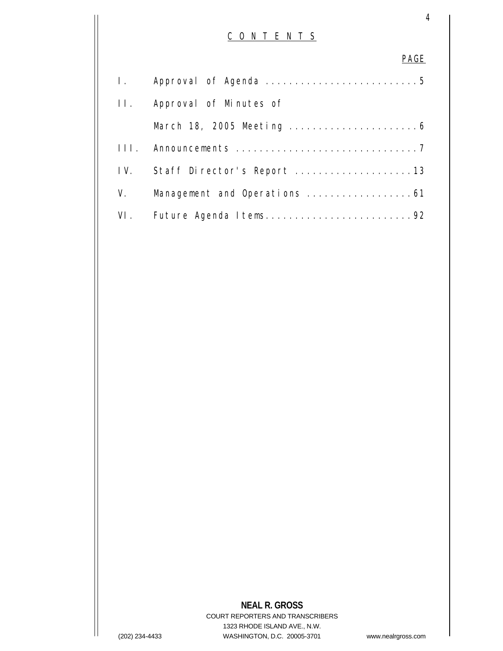# C O N T E N T S

4

### PAGE

| I.  |                                |
|-----|--------------------------------|
| II. | Approval of Minutes of         |
|     |                                |
|     |                                |
|     | IV. Staff Director's Report 13 |
| V.  | Management and Operations 61   |
|     | VI. Future Agenda Items92      |

## **NEAL R. GROSS** COURT REPORTERS AND TRANSCRIBERS 1323 RHODE ISLAND AVE., N.W. (202) 234-4433 WASHINGTON, D.C. 20005-3701 www.nealrgross.com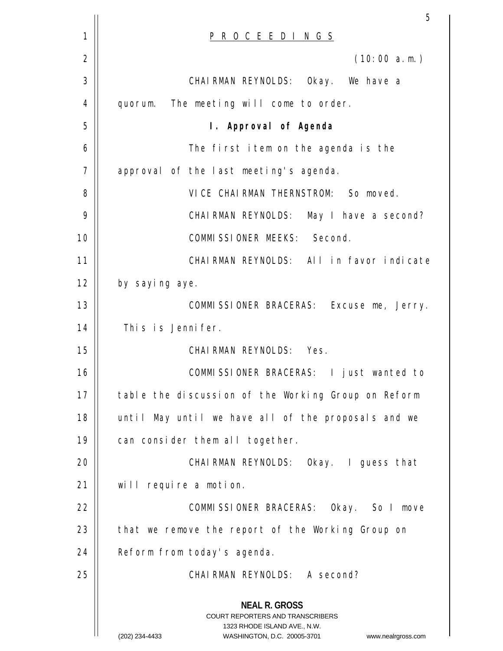|             | 5                                                                                                                                                               |
|-------------|-----------------------------------------------------------------------------------------------------------------------------------------------------------------|
| $\mathbf 1$ | <u>P R O C E E D I N G S</u>                                                                                                                                    |
| 2           | (10:00 a.m.)                                                                                                                                                    |
| 3           | CHAIRMAN REYNOLDS: Okay. We have a                                                                                                                              |
| 4           | quorum. The meeting will come to order.                                                                                                                         |
| 5           | I. Approval of Agenda                                                                                                                                           |
| 6           | The first item on the agenda is the                                                                                                                             |
| 7           | approval of the last meeting's agenda.                                                                                                                          |
| 8           | VICE CHAIRMAN THERNSTROM: So moved.                                                                                                                             |
| 9           | CHAIRMAN REYNOLDS: May I have a second?                                                                                                                         |
| 10          | COMMISSIONER MEEKS: Second.                                                                                                                                     |
| 11          | CHAIRMAN REYNOLDS: All in favor indicate                                                                                                                        |
| 12          | by saying aye.                                                                                                                                                  |
| 13          | COMMISSIONER BRACERAS: Excuse me, Jerry.                                                                                                                        |
| 14          | This is Jennifer.                                                                                                                                               |
| 15          | CHAIRMAN REYNOLDS: Yes.                                                                                                                                         |
| 16          | COMMISSIONER BRACERAS: I just wanted to                                                                                                                         |
| 17          | table the discussion of the Working Group on Reform                                                                                                             |
| 18          | until May until we have all of the proposals and we                                                                                                             |
| 19          | can consider them all together.                                                                                                                                 |
| 20          | CHAIRMAN REYNOLDS: Okay. I guess that                                                                                                                           |
| 21          | will require a motion.                                                                                                                                          |
| 22          | COMMISSIONER BRACERAS: Okay. So I move                                                                                                                          |
| 23          | that we remove the report of the Working Group on                                                                                                               |
| 24          | Reform from today's agenda.                                                                                                                                     |
| 25          | CHAIRMAN REYNOLDS: A second?                                                                                                                                    |
|             | <b>NEAL R. GROSS</b><br>COURT REPORTERS AND TRANSCRIBERS<br>1323 RHODE ISLAND AVE., N.W.<br>(202) 234-4433<br>WASHINGTON, D.C. 20005-3701<br>www.nealrgross.com |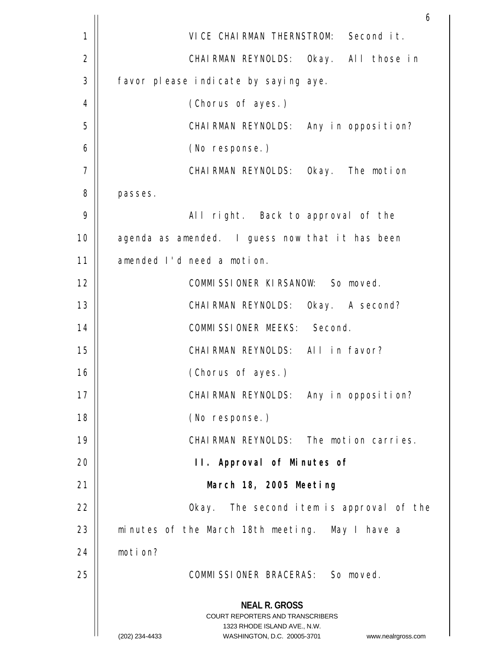|    | 6                                                                                                   |
|----|-----------------------------------------------------------------------------------------------------|
| 1  | VICE CHAIRMAN THERNSTROM: Second it.                                                                |
| 2  | CHAIRMAN REYNOLDS: Okay. All those in                                                               |
| 3  | favor please indicate by saying aye.                                                                |
| 4  | (Chorus of ayes.)                                                                                   |
| 5  | CHAIRMAN REYNOLDS: Any in opposition?                                                               |
| 6  | (No response.)                                                                                      |
| 7  | CHAIRMAN REYNOLDS: Okay. The motion                                                                 |
| 8  | passes.                                                                                             |
| 9  | All right. Back to approval of the                                                                  |
| 10 | agenda as amended. I guess now that it has been                                                     |
| 11 | amended I'd need a motion.                                                                          |
| 12 | COMMISSIONER KIRSANOW: So moved.                                                                    |
| 13 | CHAIRMAN REYNOLDS: Okay. A second?                                                                  |
| 14 | COMMISSIONER MEEKS: Second.                                                                         |
| 15 | CHAIRMAN REYNOLDS: All in favor?                                                                    |
| 16 | (Chorus of ayes.)                                                                                   |
| 17 | CHAIRMAN REYNOLDS: Any in opposition?                                                               |
| 18 | (No response.)                                                                                      |
| 19 | CHAIRMAN REYNOLDS: The motion carries.                                                              |
| 20 | II. Approval of Minutes of                                                                          |
| 21 | March 18, 2005 Meeting                                                                              |
| 22 | Okay. The second item is approval of the                                                            |
| 23 | minutes of the March 18th meeting. May I have a                                                     |
| 24 | motion?                                                                                             |
| 25 | COMMISSIONER BRACERAS: So moved.                                                                    |
|    | <b>NEAL R. GROSS</b>                                                                                |
|    | <b>COURT REPORTERS AND TRANSCRIBERS</b>                                                             |
|    | 1323 RHODE ISLAND AVE., N.W.<br>(202) 234-4433<br>WASHINGTON, D.C. 20005-3701<br>www.nealrgross.com |
|    |                                                                                                     |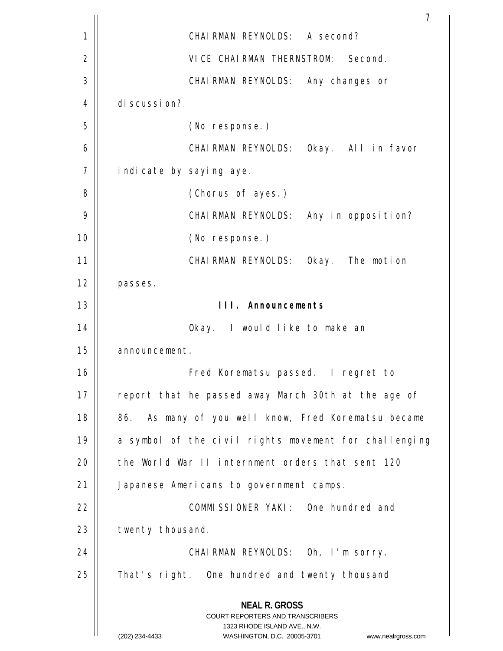|    | 7                                                                                                                                                                      |
|----|------------------------------------------------------------------------------------------------------------------------------------------------------------------------|
| 1  | CHAIRMAN REYNOLDS: A second?                                                                                                                                           |
| 2  | VICE CHAIRMAN THERNSTROM: Second.                                                                                                                                      |
| 3  | CHAIRMAN REYNOLDS: Any changes or                                                                                                                                      |
| 4  | discussion?                                                                                                                                                            |
| 5  | (No response.)                                                                                                                                                         |
| 6  | CHAIRMAN REYNOLDS: Okay. All in favor                                                                                                                                  |
| 7  | indicate by saying aye.                                                                                                                                                |
| 8  | (Chorus of ayes.)                                                                                                                                                      |
| 9  | CHAIRMAN REYNOLDS: Any in opposition?                                                                                                                                  |
| 10 | (No response.)                                                                                                                                                         |
| 11 | CHAIRMAN REYNOLDS: Okay. The motion                                                                                                                                    |
| 12 | passes.                                                                                                                                                                |
| 13 | III. Announcements                                                                                                                                                     |
| 14 | Okay. I would like to make an                                                                                                                                          |
| 15 | announcement.                                                                                                                                                          |
| 16 | Fred Korematsu passed. I regret to                                                                                                                                     |
| 17 | report that he passed away March 30th at the age of                                                                                                                    |
| 18 | 86. As many of you well know, Fred Korematsu became                                                                                                                    |
| 19 | a symbol of the civil rights movement for challenging                                                                                                                  |
| 20 | the World War II internment orders that sent 120                                                                                                                       |
| 21 | Japanese Americans to government camps.                                                                                                                                |
| 22 | COMMISSIONER YAKI: One hundred and                                                                                                                                     |
| 23 | twenty thousand.                                                                                                                                                       |
| 24 | CHAIRMAN REYNOLDS: Oh, I'm sorry.                                                                                                                                      |
| 25 | That's right. One hundred and twenty thousand                                                                                                                          |
|    | <b>NEAL R. GROSS</b><br><b>COURT REPORTERS AND TRANSCRIBERS</b><br>1323 RHODE ISLAND AVE., N.W.<br>(202) 234-4433<br>WASHINGTON, D.C. 20005-3701<br>www.nealrgross.com |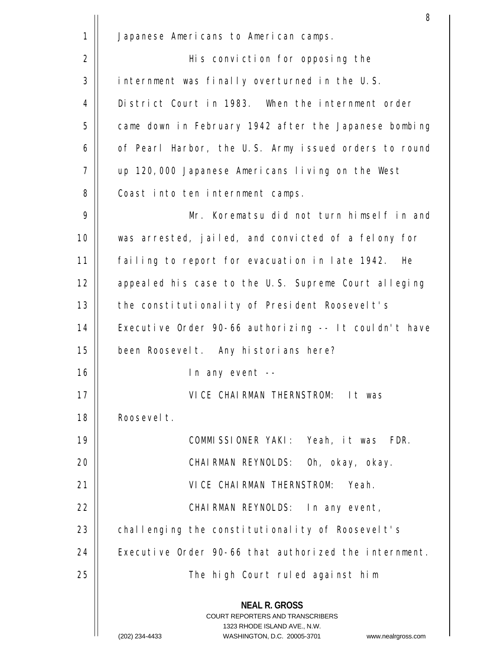|              | 8                                                                                                                                                                      |
|--------------|------------------------------------------------------------------------------------------------------------------------------------------------------------------------|
| $\mathbf{1}$ | Japanese Americans to American camps.                                                                                                                                  |
| 2            | His conviction for opposing the                                                                                                                                        |
| 3            | internment was finally overturned in the U.S.                                                                                                                          |
| 4            | District Court in 1983. When the internment order                                                                                                                      |
| 5            | came down in February 1942 after the Japanese bombing                                                                                                                  |
| 6            | of Pearl Harbor, the U.S. Army issued orders to round                                                                                                                  |
| 7            | up 120,000 Japanese Americans living on the West                                                                                                                       |
| 8            | Coast into ten internment camps.                                                                                                                                       |
| 9            | Mr. Korematsu did not turn himself in and                                                                                                                              |
| 10           | was arrested, jailed, and convicted of a felony for                                                                                                                    |
| 11           | failing to report for evacuation in late 1942. He                                                                                                                      |
| 12           | appealed his case to the U.S. Supreme Court alleging                                                                                                                   |
| 13           | the constitutionality of President Roosevelt's                                                                                                                         |
| 14           | Executive Order 90-66 authorizing -- It couldn't have                                                                                                                  |
| 15           | been Roosevelt. Any historians here?                                                                                                                                   |
| 16           | In any event --                                                                                                                                                        |
| 17           | VICE CHAIRMAN THERNSTROM: It was                                                                                                                                       |
| 18           | Roosevelt.                                                                                                                                                             |
| 19           | COMMISSIONER YAKI: Yeah, it was<br>FDR.                                                                                                                                |
| 20           | CHAIRMAN REYNOLDS: Oh, okay, okay.                                                                                                                                     |
| 21           | VICE CHAIRMAN THERNSTROM: Yeah.                                                                                                                                        |
| 22           | CHAIRMAN REYNOLDS: In any event,                                                                                                                                       |
| 23           | challenging the constitutionality of Roosevelt's                                                                                                                       |
| 24           | Executive Order 90-66 that authorized the internment.                                                                                                                  |
| 25           | The high Court ruled against him                                                                                                                                       |
|              | <b>NEAL R. GROSS</b><br><b>COURT REPORTERS AND TRANSCRIBERS</b><br>1323 RHODE ISLAND AVE., N.W.<br>(202) 234-4433<br>WASHINGTON, D.C. 20005-3701<br>www.nealrgross.com |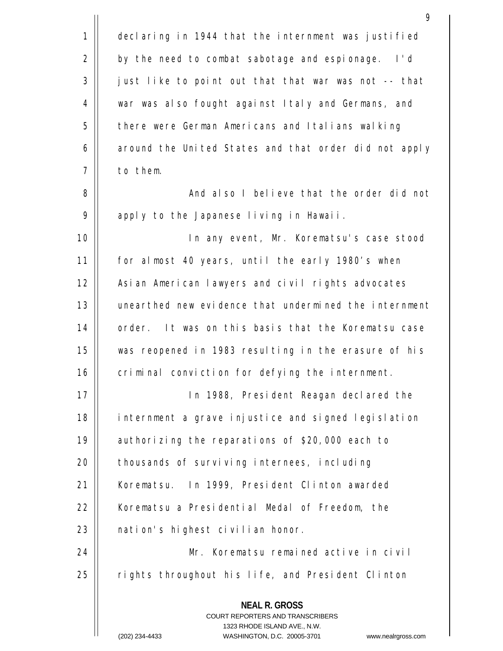|             | 9                                                                                                                                                                      |
|-------------|------------------------------------------------------------------------------------------------------------------------------------------------------------------------|
| $\mathbf 1$ | declaring in 1944 that the internment was justified                                                                                                                    |
| 2           | by the need to combat sabotage and espionage. I'd                                                                                                                      |
| 3           | just like to point out that that war was not -- that                                                                                                                   |
| 4           | war was also fought against Italy and Germans, and                                                                                                                     |
| 5           | there were German Americans and Italians walking                                                                                                                       |
| 6           | around the United States and that order did not apply                                                                                                                  |
| 7           | to them.                                                                                                                                                               |
| 8           | And also I believe that the order did not                                                                                                                              |
| 9           | apply to the Japanese living in Hawaii.                                                                                                                                |
| 10          | In any event, Mr. Korematsu's case stood                                                                                                                               |
| 11          | for almost 40 years, until the early 1980's when                                                                                                                       |
| 12          | Asian American lawyers and civil rights advocates                                                                                                                      |
| 13          | unearthed new evidence that undermined the internment                                                                                                                  |
| 14          | order. It was on this basis that the Korematsu case                                                                                                                    |
| 15          | was reopened in 1983 resulting in the erasure of his                                                                                                                   |
| 16          | criminal conviction for defying the internment.                                                                                                                        |
| 17          | In 1988, President Reagan declared the                                                                                                                                 |
| 18          | internment a grave injustice and signed legislation                                                                                                                    |
| 19          | authorizing the reparations of \$20,000 each to                                                                                                                        |
| 20          | thousands of surviving internees, including                                                                                                                            |
| 21          | Korematsu. In 1999, President Clinton awarded                                                                                                                          |
| 22          | Korematsu a Presidential Medal of Freedom, the                                                                                                                         |
| 23          | nation's highest civilian honor.                                                                                                                                       |
| 24          | Mr. Korematsu remained active in civil                                                                                                                                 |
| 25          | rights throughout his life, and President Clinton                                                                                                                      |
|             | <b>NEAL R. GROSS</b><br><b>COURT REPORTERS AND TRANSCRIBERS</b><br>1323 RHODE ISLAND AVE., N.W.<br>(202) 234-4433<br>WASHINGTON, D.C. 20005-3701<br>www.nealrgross.com |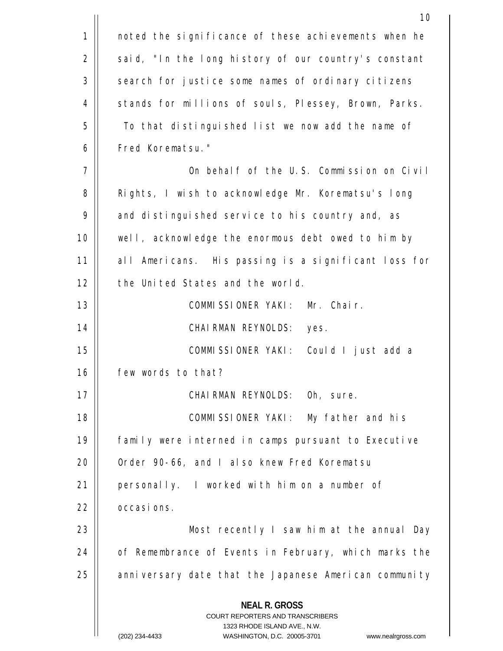|    | 10                                                                                                                                                                     |
|----|------------------------------------------------------------------------------------------------------------------------------------------------------------------------|
| 1  | noted the significance of these achievements when he                                                                                                                   |
| 2  | said, "In the long history of our country's constant                                                                                                                   |
| 3  | search for justice some names of ordinary citizens                                                                                                                     |
| 4  | stands for millions of souls, Plessey, Brown, Parks.                                                                                                                   |
| 5  | To that distinguished list we now add the name of                                                                                                                      |
| 6  | Fred Korematsu."                                                                                                                                                       |
| 7  | On behalf of the U.S. Commission on Civil                                                                                                                              |
| 8  | Rights, I wish to acknowledge Mr. Korematsu's long                                                                                                                     |
| 9  | and distinguished service to his country and, as                                                                                                                       |
| 10 | well, acknowledge the enormous debt owed to him by                                                                                                                     |
| 11 | all Americans. His passing is a significant loss for                                                                                                                   |
| 12 | the United States and the world.                                                                                                                                       |
| 13 | Mr. Chair.<br>COMMISSIONER YAKI:                                                                                                                                       |
| 14 | CHAIRMAN REYNOLDS:<br>yes.                                                                                                                                             |
| 15 | COMMISSIONER YAKI: Could I just add a                                                                                                                                  |
| 16 | few words to that?                                                                                                                                                     |
| 17 | CHAIRMAN REYNOLDS: Oh, sure.                                                                                                                                           |
| 18 | COMMISSIONER YAKI: My father and his                                                                                                                                   |
| 19 | family were interned in camps pursuant to Executive                                                                                                                    |
| 20 | Order 90-66, and I also knew Fred Korematsu                                                                                                                            |
| 21 | personally. I worked with him on a number of                                                                                                                           |
| 22 | occasions.                                                                                                                                                             |
| 23 | Most recently I saw him at the annual Day                                                                                                                              |
| 24 | of Remembrance of Events in February, which marks the                                                                                                                  |
| 25 | anniversary date that the Japanese American community                                                                                                                  |
|    | <b>NEAL R. GROSS</b><br><b>COURT REPORTERS AND TRANSCRIBERS</b><br>1323 RHODE ISLAND AVE., N.W.<br>(202) 234-4433<br>WASHINGTON, D.C. 20005-3701<br>www.nealrgross.com |
|    |                                                                                                                                                                        |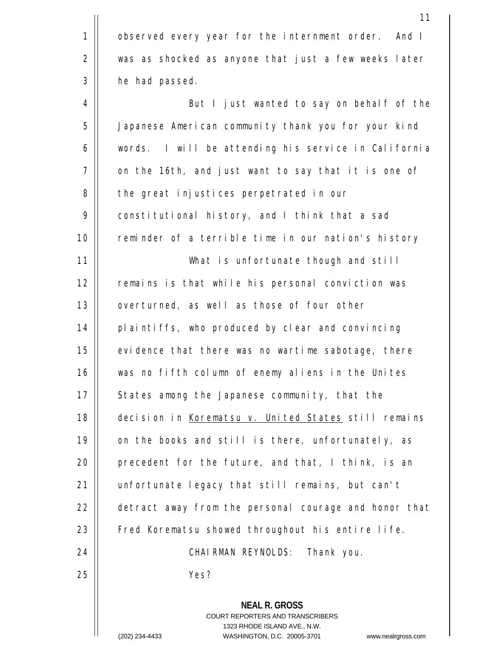|             | 11                                                                                                                                                                     |
|-------------|------------------------------------------------------------------------------------------------------------------------------------------------------------------------|
| $\mathbf 1$ | observed every year for the internment order. And I                                                                                                                    |
| 2           | was as shocked as anyone that just a few weeks later                                                                                                                   |
| 3           | he had passed.                                                                                                                                                         |
| 4           | But I just wanted to say on behalf of the                                                                                                                              |
| 5           | Japanese American community thank you for your kind                                                                                                                    |
| 6           | words. I will be attending his service in California                                                                                                                   |
| 7           | on the 16th, and just want to say that it is one of                                                                                                                    |
| 8           | the great injustices perpetrated in our                                                                                                                                |
| 9           | constitutional history, and I think that a sad                                                                                                                         |
| 10          | reminder of a terrible time in our nation's history                                                                                                                    |
| 11          | What is unfortunate though and still                                                                                                                                   |
| 12          | remains is that while his personal conviction was                                                                                                                      |
| 13          | overturned, as well as those of four other                                                                                                                             |
| 14          | plaintiffs, who produced by clear and convincing                                                                                                                       |
| 15          | evidence that there was no wartime sabotage, there                                                                                                                     |
| 16          | was no fifth column of enemy aliens in the Unites                                                                                                                      |
| 17          | States among the Japanese community, that the                                                                                                                          |
| 18          | decision in Korematsu v. United States still remains                                                                                                                   |
| 19          | on the books and still is there, unfortunately, as                                                                                                                     |
| 20          | precedent for the future, and that, I think, is an                                                                                                                     |
| 21          | unfortunate legacy that still remains, but can't                                                                                                                       |
| 22          | detract away from the personal courage and honor that                                                                                                                  |
| 23          | Fred Korematsu showed throughout his entire life.                                                                                                                      |
| 24          | CHAIRMAN REYNOLDS: Thank you.                                                                                                                                          |
| 25          | Yes?                                                                                                                                                                   |
|             | <b>NEAL R. GROSS</b><br><b>COURT REPORTERS AND TRANSCRIBERS</b><br>1323 RHODE ISLAND AVE., N.W.<br>(202) 234-4433<br>WASHINGTON, D.C. 20005-3701<br>www.nealrgross.com |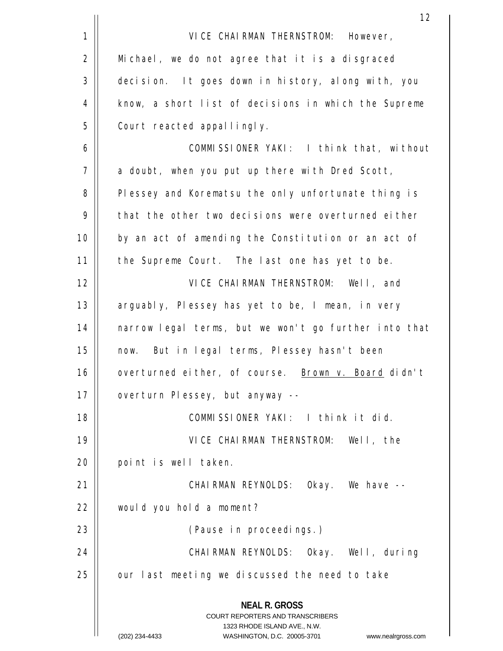|    | 12                                                                                                                                                                     |
|----|------------------------------------------------------------------------------------------------------------------------------------------------------------------------|
| 1  | VICE CHAIRMAN THERNSTROM: However,                                                                                                                                     |
| 2  | Michael, we do not agree that it is a disgraced                                                                                                                        |
| 3  | decision. It goes down in history, along with, you                                                                                                                     |
| 4  | know, a short list of decisions in which the Supreme                                                                                                                   |
| 5  | Court reacted appallingly.                                                                                                                                             |
| 6  | COMMISSIONER YAKI: I think that, without                                                                                                                               |
| 7  | a doubt, when you put up there with Dred Scott,                                                                                                                        |
| 8  | Plessey and Korematsu the only unfortunate thing is                                                                                                                    |
| 9  | that the other two decisions were overturned either                                                                                                                    |
| 10 | by an act of amending the Constitution or an act of                                                                                                                    |
| 11 | the Supreme Court. The last one has yet to be.                                                                                                                         |
| 12 | VICE CHAIRMAN THERNSTROM: Well, and                                                                                                                                    |
| 13 | arguably, Plessey has yet to be, I mean, in very                                                                                                                       |
| 14 | narrow legal terms, but we won't go further into that                                                                                                                  |
| 15 | now. But in legal terms, Plessey hasn't been                                                                                                                           |
| 16 | overturned either, of course. Brown v. Board didn't                                                                                                                    |
| 17 | overturn Plessey, but anyway --                                                                                                                                        |
| 18 | COMMISSIONER YAKI: I think it did.                                                                                                                                     |
| 19 | VICE CHAIRMAN THERNSTROM: Well, the                                                                                                                                    |
| 20 | point is well taken.                                                                                                                                                   |
| 21 | CHAIRMAN REYNOLDS: Okay. We have --                                                                                                                                    |
| 22 | would you hold a moment?                                                                                                                                               |
| 23 | (Pause in proceedings.)                                                                                                                                                |
| 24 | CHAIRMAN REYNOLDS: Okay. Well, during                                                                                                                                  |
| 25 | our last meeting we discussed the need to take                                                                                                                         |
|    | <b>NEAL R. GROSS</b><br><b>COURT REPORTERS AND TRANSCRIBERS</b><br>1323 RHODE ISLAND AVE., N.W.<br>(202) 234-4433<br>WASHINGTON, D.C. 20005-3701<br>www.nealrgross.com |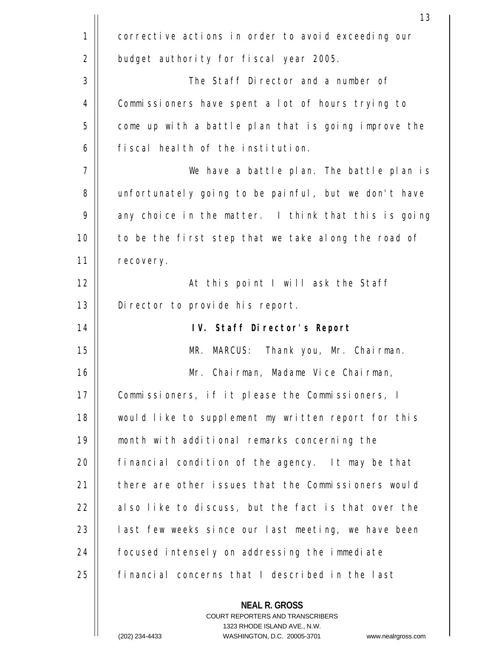|    | 13                                                                                                                                                                      |
|----|-------------------------------------------------------------------------------------------------------------------------------------------------------------------------|
| 1  | corrective actions in order to avoid exceeding our                                                                                                                      |
| 2  | budget authority for fiscal year 2005.                                                                                                                                  |
| 3  | The Staff Director and a number of                                                                                                                                      |
| 4  | Commissioners have spent a lot of hours trying to                                                                                                                       |
| 5  | come up with a battle plan that is going improve the                                                                                                                    |
| 6  | fiscal health of the institution.                                                                                                                                       |
| 7  | We have a battle plan. The battle plan is                                                                                                                               |
| 8  | unfortunately going to be painful, but we don't have                                                                                                                    |
| 9  | any choice in the matter. I think that this is going                                                                                                                    |
| 10 | to be the first step that we take along the road of                                                                                                                     |
| 11 | recovery.                                                                                                                                                               |
| 12 | At this point I will ask the Staff                                                                                                                                      |
| 13 | Director to provide his report.                                                                                                                                         |
| 14 | IV. Staff Director's Report                                                                                                                                             |
| 15 | MR. MARCUS: Thank you, Mr. Chairman.                                                                                                                                    |
| 16 | Mr. Chairman, Madame Vice Chairman,                                                                                                                                     |
| 17 | Commissioners, if it please the Commissioners, I                                                                                                                        |
| 18 | would like to supplement my written report for this                                                                                                                     |
| 19 | month with additional remarks concerning the                                                                                                                            |
| 20 | financial condition of the agency. It may be that                                                                                                                       |
| 21 | there are other issues that the Commissioners would                                                                                                                     |
| 22 | also like to discuss, but the fact is that over the                                                                                                                     |
| 23 | last few weeks since our last meeting, we have been                                                                                                                     |
| 24 | focused intensely on addressing the immediate                                                                                                                           |
| 25 | financial concerns that I described in the last                                                                                                                         |
|    | <b>NEAL R. GROSS</b><br><b>COURT REPORTERS AND TRANSCRIBERS</b><br>1323 RHODE ISLAND AVE., N.W.<br>WASHINGTON D.C. 20005-3701<br>$(202)$ 234-4433<br>www.nealrgross.com |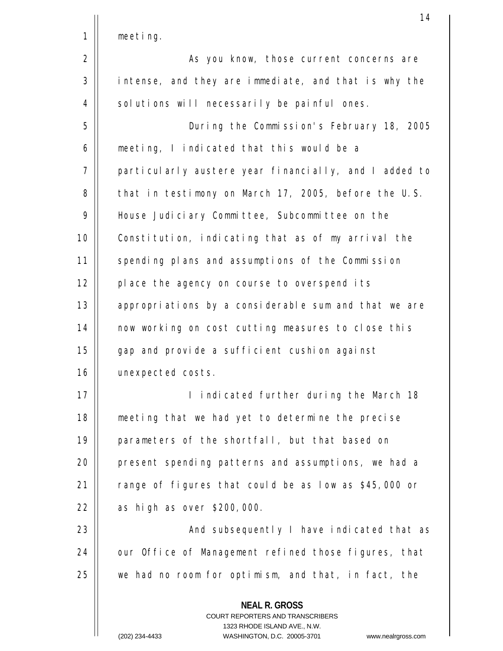| meerina |  |
|---------|--|
|         |  |

1

2 3 4 As you know, those current concerns are intense, and they are immediate, and that is why the solutions will necessarily be painful ones.

5 6 7 8 9 10 11 12 13 14 15 16 During the Commission's February 18, 2005 meeting, I indicated that this would be a particularly austere year financially, and I added to that in testimony on March 17, 2005, before the U.S. House Judiciary Committee, Subcommittee on the Constitution, indicating that as of my arrival the spending plans and assumptions of the Commission place the agency on course to overspend its appropriations by a considerable sum and that we are now working on cost cutting measures to close this gap and provide a sufficient cushion against unexpected costs.

17 18 19  $20$ 21 22 I indicated further during the March 18 meeting that we had yet to determine the precise parameters of the shortfall, but that based on present spending patterns and assumptions, we had a range of figures that could be as low as \$45,000 or as high as over \$200,000.

23 24 25 And subsequently I have indicated that as our Office of Management refined those figures, that we had no room for optimism, and that, in fact, the

> COURT REPORTERS AND TRANSCRIBERS 1323 RHODE ISLAND AVE., N.W.

**NEAL R. GROSS**

(202) 234-4433 WASHINGTON, D.C. 20005-3701 www.nealrgross.com

14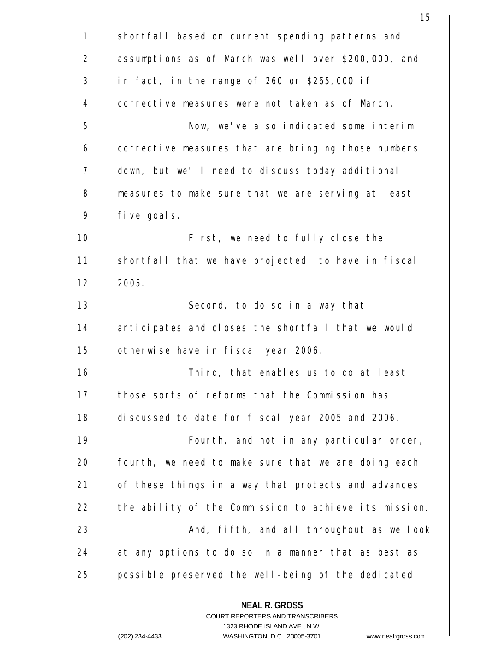|    | 15                                                                                                                                                                      |
|----|-------------------------------------------------------------------------------------------------------------------------------------------------------------------------|
| 1  | shortfall based on current spending patterns and                                                                                                                        |
| 2  | assumptions as of March was well over \$200,000, and                                                                                                                    |
| 3  | in fact, in the range of 260 or \$265,000 if                                                                                                                            |
| 4  | corrective measures were not taken as of March.                                                                                                                         |
| 5  | Now, we've also indicated some interim                                                                                                                                  |
| 6  | corrective measures that are bringing those numbers                                                                                                                     |
| 7  | down, but we'll need to discuss today additional                                                                                                                        |
| 8  | measures to make sure that we are serving at least                                                                                                                      |
| 9  | five goals.                                                                                                                                                             |
| 10 | First, we need to fully close the                                                                                                                                       |
| 11 | shortfall that we have projected to have in fiscal                                                                                                                      |
| 12 | 2005.                                                                                                                                                                   |
| 13 | Second, to do so in a way that                                                                                                                                          |
| 14 | anticipates and closes the shortfall that we would                                                                                                                      |
| 15 | otherwise have in fiscal year 2006.                                                                                                                                     |
| 16 | Third, that enables us to do at least                                                                                                                                   |
| 17 | those sorts of reforms that the Commission has                                                                                                                          |
| 18 | discussed to date for fiscal year 2005 and 2006.                                                                                                                        |
| 19 | Fourth, and not in any particular order,                                                                                                                                |
| 20 | fourth, we need to make sure that we are doing each                                                                                                                     |
| 21 | of these things in a way that protects and advances                                                                                                                     |
| 22 | the ability of the Commission to achieve its mission.                                                                                                                   |
| 23 | And, fifth, and all throughout as we look                                                                                                                               |
| 24 | at any options to do so in a manner that as best as                                                                                                                     |
| 25 | possible preserved the well-being of the dedicated                                                                                                                      |
|    | <b>NEAL R. GROSS</b><br><b>COURT REPORTERS AND TRANSCRIBERS</b><br>1323 RHODE ISLAND AVE., N.W.<br>WASHINGTON D.C. 20005-3701<br>$(202)$ 234-4433<br>www.nealraross.com |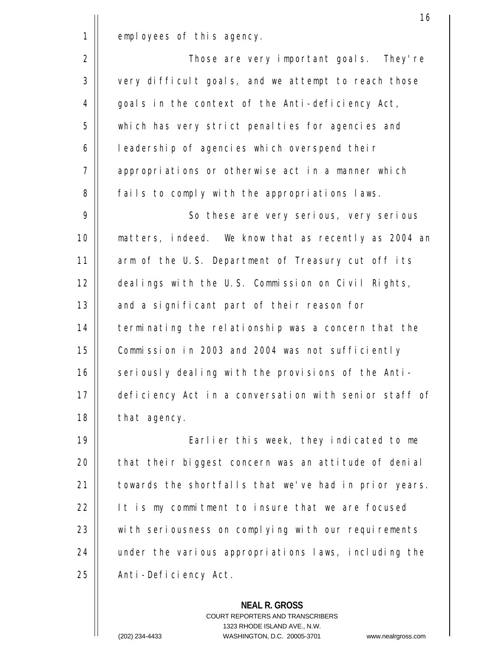$\mathsf{I}$ 

2 3 4 5 6 7 8 Those are very important goals. They're very difficult goals, and we attempt to reach those goals in the context of the Anti-deficiency Act, which has very strict penalties for agencies and leadership of agencies which overspend their appropriations or otherwise act in a manner which fails to comply with the appropriations laws.

9 10 11 12 13 14 15 16 17 18 So these are very serious, very serious matters, indeed. We know that as recently as 2004 an arm of the U.S. Department of Treasury cut off its dealings with the U.S. Commission on Civil Rights, and a significant part of their reason for terminating the relationship was a concern that the Commission in 2003 and 2004 was not sufficiently seriously dealing with the provisions of the Antideficiency Act in a conversation with senior staff of that agency.

19  $2.0$ 21 22 23 24 25 Earlier this week, they indicated to me that their biggest concern was an attitude of denial towards the shortfalls that we've had in prior years. It is my commitment to insure that we are focused with seriousness on complying with our requirements under the various appropriations laws, including the Anti-Deficiency Act.

## **NEAL R. GROSS**

COURT REPORTERS AND TRANSCRIBERS 1323 RHODE ISLAND AVE., N.W. (202) 234-4433 WASHINGTON, D.C. 20005-3701 www.nealrgross.com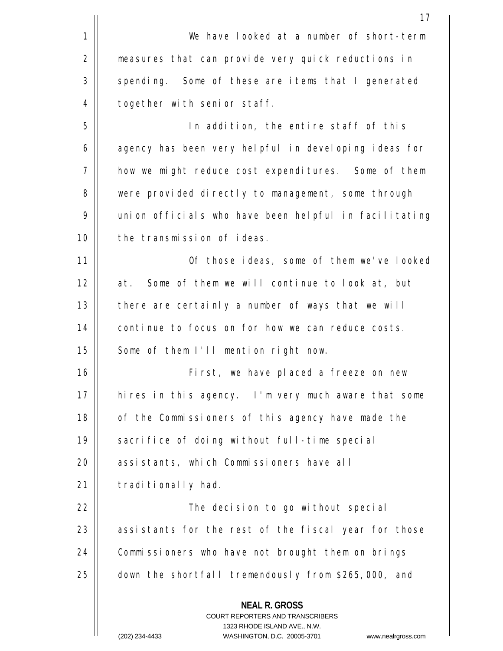|                | 17                                                                                                                                                             |
|----------------|----------------------------------------------------------------------------------------------------------------------------------------------------------------|
| $\mathbf 1$    | We have looked at a number of short-term                                                                                                                       |
| $\overline{2}$ | measures that can provide very quick reductions in                                                                                                             |
| 3              | spending. Some of these are items that I generated                                                                                                             |
| 4              | together with senior staff.                                                                                                                                    |
| 5              | In addition, the entire staff of this                                                                                                                          |
| 6              | agency has been very helpful in developing ideas for                                                                                                           |
| 7              | how we might reduce cost expenditures. Some of them                                                                                                            |
| 8              | were provided directly to management, some through                                                                                                             |
| 9              | union officials who have been helpful in facilitating                                                                                                          |
| 10             | the transmission of ideas.                                                                                                                                     |
| 11             | Of those ideas, some of them we've looked                                                                                                                      |
| 12             | at. Some of them we will continue to look at, but                                                                                                              |
| 13             | there are certainly a number of ways that we will                                                                                                              |
| 14             | continue to focus on for how we can reduce costs.                                                                                                              |
| 15             | Some of them I'll mention right now.                                                                                                                           |
| 16             | First, we have placed a freeze on new                                                                                                                          |
| 17             | hires in this agency. I'm very much aware that some                                                                                                            |
| 18             | of the Commissioners of this agency have made the                                                                                                              |
| 19             | sacrifice of doing without full-time special                                                                                                                   |
| 20             | assistants, which Commissioners have all                                                                                                                       |
| 21             | traditionally had.                                                                                                                                             |
| 22             | The decision to go without special                                                                                                                             |
| 23             | assistants for the rest of the fiscal year for those                                                                                                           |
| 24             | Commissioners who have not brought them on brings                                                                                                              |
| 25             | down the shortfall tremendously from \$265,000, and                                                                                                            |
|                | <b>NEAL R. GROSS</b><br>COURT REPORTERS AND TRANSCRIBERS<br>1323 RHODE ISLAND AVE., N.W.<br>WASHINGTON D.C. 20005-3701<br>(202) 234-4433<br>www.nealraross.com |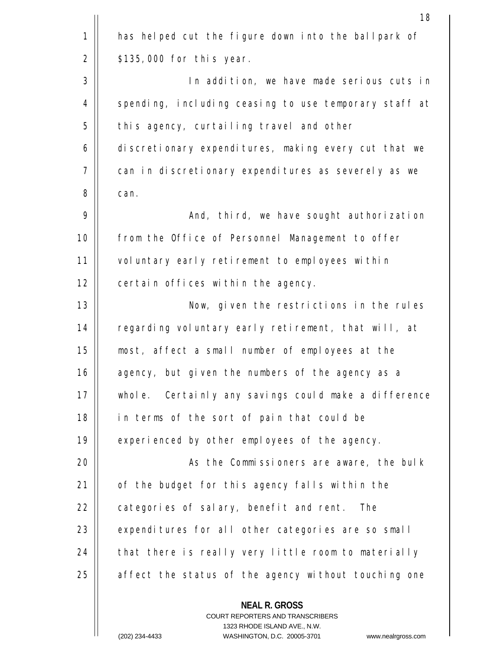|    | 18                                                                                                                                                                      |
|----|-------------------------------------------------------------------------------------------------------------------------------------------------------------------------|
| 1  | has helped cut the figure down into the ballpark of                                                                                                                     |
| 2  | $$135,000$ for this year.                                                                                                                                               |
| 3  | In addition, we have made serious cuts in                                                                                                                               |
| 4  | spending, including ceasing to use temporary staff at                                                                                                                   |
| 5  | this agency, curtailing travel and other                                                                                                                                |
| 6  | discretionary expenditures, making every cut that we                                                                                                                    |
| 7  | can in discretionary expenditures as severely as we                                                                                                                     |
| 8  | can.                                                                                                                                                                    |
| 9  | And, third, we have sought authorization                                                                                                                                |
| 10 | from the Office of Personnel Management to offer                                                                                                                        |
| 11 | voluntary early retirement to employees within                                                                                                                          |
| 12 | certain offices within the agency.                                                                                                                                      |
| 13 | Now, given the restrictions in the rules                                                                                                                                |
| 14 | regarding voluntary early retirement, that will, at                                                                                                                     |
| 15 | most, affect a small number of employees at the                                                                                                                         |
| 16 | agency, but given the numbers of the agency as a                                                                                                                        |
| 17 | whole. Certainly any savings could make a difference                                                                                                                    |
| 18 | in terms of the sort of pain that could be                                                                                                                              |
| 19 | experienced by other employees of the agency.                                                                                                                           |
| 20 | As the Commissioners are aware, the bulk                                                                                                                                |
| 21 | of the budget for this agency falls within the                                                                                                                          |
| 22 | categories of salary, benefit and rent. The                                                                                                                             |
| 23 | expenditures for all other categories are so small                                                                                                                      |
| 24 | that there is really very little room to materially                                                                                                                     |
| 25 | affect the status of the agency without touching one                                                                                                                    |
|    | <b>NEAL R. GROSS</b><br><b>COURT REPORTERS AND TRANSCRIBERS</b><br>1323 RHODE ISLAND AVE., N.W.<br>WASHINGTON D.C. 20005-3701<br>$(202)$ 234-4433<br>www.nealraross.com |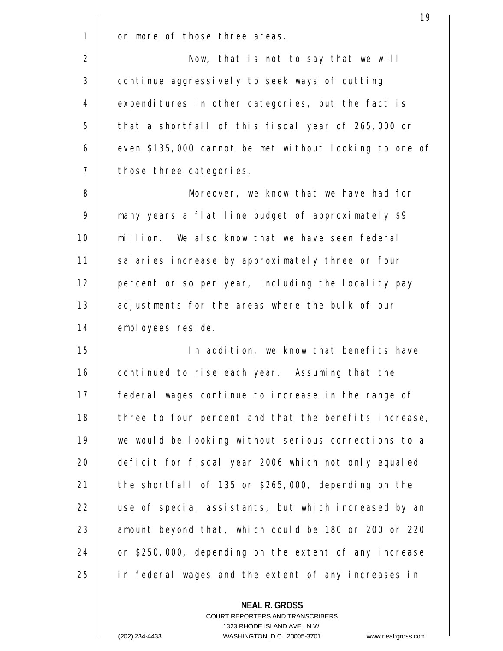|              | 19                                                     |
|--------------|--------------------------------------------------------|
| $\mathbf{1}$ | or more of those three areas.                          |
| 2            | Now, that is not to say that we will                   |
| 3            | continue aggressively to seek ways of cutting          |
| 4            | expenditures in other categories, but the fact is      |
| 5            | that a shortfall of this fiscal year of 265,000 or     |
| 6            | even \$135,000 cannot be met without looking to one of |
| 7            | those three categories.                                |
| 8            | Moreover, we know that we have had for                 |
| 9            | many years a flat line budget of approximately \$9     |
| 10           | million. We also know that we have seen federal        |
| 11           | salaries increase by approximately three or four       |
| 12           | percent or so per year, including the locality pay     |
| 13           | adjustments for the areas where the bulk of our        |
| 14           | employees reside.                                      |
| 15           | In addition, we know that benefits have                |
| 16           | continued to rise each year. Assuming that the         |
| 17           | federal wages continue to increase in the range of     |
| 18           | three to four percent and that the benefits increase,  |
| 19           | we would be looking without serious corrections to a   |
| 20           | deficit for fiscal year 2006 which not only equaled    |
| 21           | the shortfall of 135 or \$265,000, depending on the    |
| 22           | use of special assistants, but which increased by an   |
| 23           | amount beyond that, which could be 180 or 200 or 220   |
| 24           | or \$250,000, depending on the extent of any increase  |
| 25           | in federal wages and the extent of any increases in    |
|              |                                                        |

**NEAL R. GROSS** COURT REPORTERS AND TRANSCRIBERS 1323 RHODE ISLAND AVE., N.W.

 $\mathbf{I}$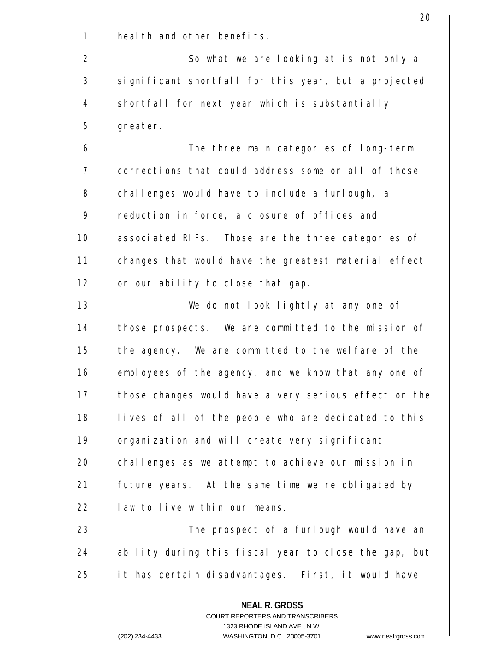|    | 20                                                                                                                                                                      |
|----|-------------------------------------------------------------------------------------------------------------------------------------------------------------------------|
| 1  | health and other benefits.                                                                                                                                              |
| 2  | So what we are looking at is not only a                                                                                                                                 |
| 3  | significant shortfall for this year, but a projected                                                                                                                    |
| 4  | shortfall for next year which is substantially                                                                                                                          |
| 5  | greater.                                                                                                                                                                |
| 6  | The three main categories of long-term                                                                                                                                  |
| 7  | corrections that could address some or all of those                                                                                                                     |
| 8  | challenges would have to include a furlough, a                                                                                                                          |
| 9  | reduction in force, a closure of offices and                                                                                                                            |
| 10 | associated RIFs. Those are the three categories of                                                                                                                      |
| 11 | changes that would have the greatest material effect                                                                                                                    |
| 12 | on our ability to close that gap.                                                                                                                                       |
| 13 | We do not look lightly at any one of                                                                                                                                    |
| 14 | those prospects. We are committed to the mission of                                                                                                                     |
| 15 | the agency. We are committed to the welfare of the                                                                                                                      |
| 16 | employees of the agency, and we know that any one of                                                                                                                    |
| 17 | those changes would have a very serious effect on the                                                                                                                   |
| 18 | lives of all of the people who are dedicated to this                                                                                                                    |
| 19 | organization and will create very significant                                                                                                                           |
| 20 | challenges as we attempt to achieve our mission in                                                                                                                      |
| 21 | future years. At the same time we're obligated by                                                                                                                       |
| 22 | law to live within our means.                                                                                                                                           |
| 23 | The prospect of a furlough would have an                                                                                                                                |
| 24 | ability during this fiscal year to close the gap, but                                                                                                                   |
| 25 | it has certain disadvantages. First, it would have                                                                                                                      |
|    | <b>NEAL R. GROSS</b><br><b>COURT REPORTERS AND TRANSCRIBERS</b><br>1323 RHODE ISLAND AVE., N.W.<br>$(202)$ 234-4433<br>WASHINGTON D.C. 20005-3701<br>www.nealrgross.com |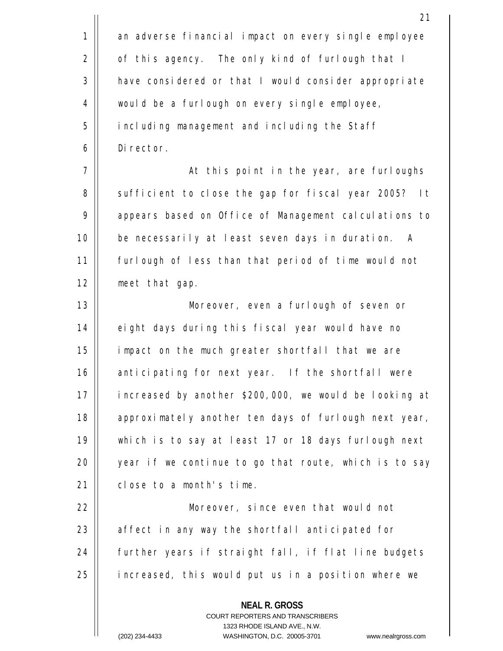|    | 21                                                                                                                                                                  |
|----|---------------------------------------------------------------------------------------------------------------------------------------------------------------------|
| 1  | an adverse financial impact on every single employee                                                                                                                |
| 2  | of this agency. The only kind of furlough that I                                                                                                                    |
| 3  | have considered or that I would consider appropriate                                                                                                                |
| 4  | would be a furlough on every single employee,                                                                                                                       |
| 5  | including management and including the Staff                                                                                                                        |
| 6  | Director.                                                                                                                                                           |
| 7  | At this point in the year, are furloughs                                                                                                                            |
| 8  | sufficient to close the gap for fiscal year 2005?<br>It                                                                                                             |
| 9  | appears based on Office of Management calculations to                                                                                                               |
| 10 | be necessarily at least seven days in duration.<br>A                                                                                                                |
| 11 | furlough of less than that period of time would not                                                                                                                 |
| 12 | meet that gap.                                                                                                                                                      |
| 13 | Moreover, even a furlough of seven or                                                                                                                               |
| 14 | eight days during this fiscal year would have no                                                                                                                    |
| 15 | impact on the much greater shortfall that we are                                                                                                                    |
| 16 | anticipating for next year.<br>If the shortfall were                                                                                                                |
| 17 | increased by another \$200,000, we would be looking at                                                                                                              |
| 18 | approximately another ten days of furlough next year,                                                                                                               |
| 19 | which is to say at least 17 or 18 days furlough next                                                                                                                |
| 20 | year if we continue to go that route, which is to say                                                                                                               |
| 21 | close to a month's time.                                                                                                                                            |
| 22 | Moreover, since even that would not                                                                                                                                 |
| 23 | affect in any way the shortfall anticipated for                                                                                                                     |
| 24 | further years if straight fall, if flat line budgets                                                                                                                |
| 25 | increased, this would put us in a position where we                                                                                                                 |
|    | <b>NEAL R. GROSS</b><br><b>COURT REPORTERS AND TRANSCRIBERS</b><br>1323 RHODE ISLAND AVE., N.W.<br>(202) 234-4433<br>WASHINGTON, D.C. 20005-3701 www.nealrgross.com |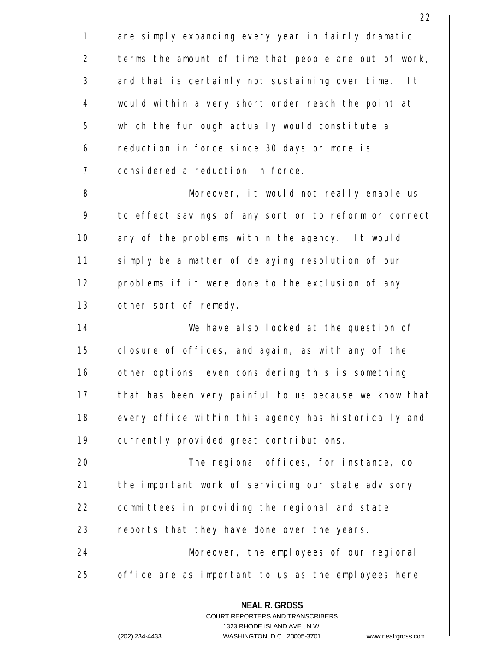**NEAL R. GROSS** COURT REPORTERS AND TRANSCRIBERS 1323 RHODE ISLAND AVE., N.W. 22 1 2 3 4 5 6 7 8 9 10 11 12 13 14 15 16 17 18 19  $20$ 21 22 23 24 25 are simply expanding every year in fairly dramatic terms the amount of time that people are out of work, and that is certainly not sustaining over time. It would within a very short order reach the point at which the furlough actually would constitute a reduction in force since 30 days or more is considered a reduction in force. Moreover, it would not really enable us to effect savings of any sort or to reform or correct any of the problems within the agency. It would simply be a matter of delaying resolution of our problems if it were done to the exclusion of any other sort of remedy. We have also looked at the question of closure of offices, and again, as with any of the other options, even considering this is something that has been very painful to us because we know that every office within this agency has historically and currently provided great contributions. The regional offices, for instance, do the important work of servicing our state advisory committees in providing the regional and state reports that they have done over the years. Moreover, the employees of our regional office are as important to us as the employees here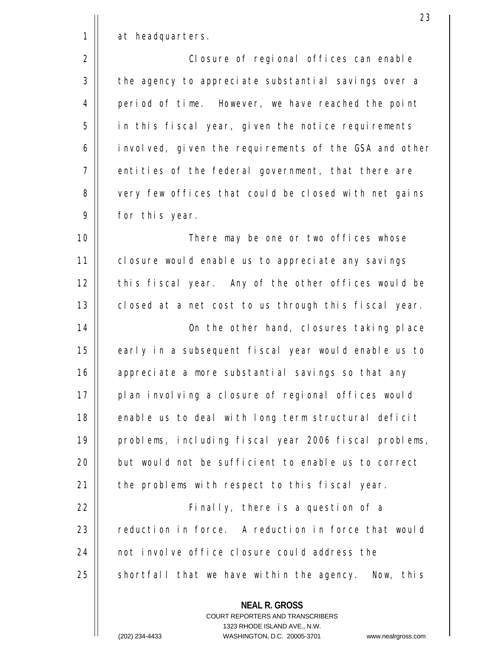at headquarters.

1

2

3

4

5

6

7

8

9

 Closure of regional offices can enable the agency to appreciate substantial savings over a period of time. However, we have reached the point in this fiscal year, given the notice requirements involved, given the requirements of the GSA and other entities of the federal government, that there are very few offices that could be closed with net gains for this year.

10 11 12 13 There may be one or two offices whose closure would enable us to appreciate any savings this fiscal year. Any of the other offices would be closed at a net cost to us through this fiscal year.

14 15 16 17 18 19  $20$ 21 On the other hand, closures taking place early in a subsequent fiscal year would enable us to appreciate a more substantial savings so that any plan involving a closure of regional offices would enable us to deal with long term structural deficit problems, including fiscal year 2006 fiscal problems, but would not be sufficient to enable us to correct the problems with respect to this fiscal year.

22 23 24 25 Finally, there is a question of a reduction in force. A reduction in force that would not involve office closure could address the shortfall that we have within the agency. Now, this

> **NEAL R. GROSS** COURT REPORTERS AND TRANSCRIBERS 1323 RHODE ISLAND AVE., N.W.

(202) 234-4433 WASHINGTON, D.C. 20005-3701 www.nealrgross.com

23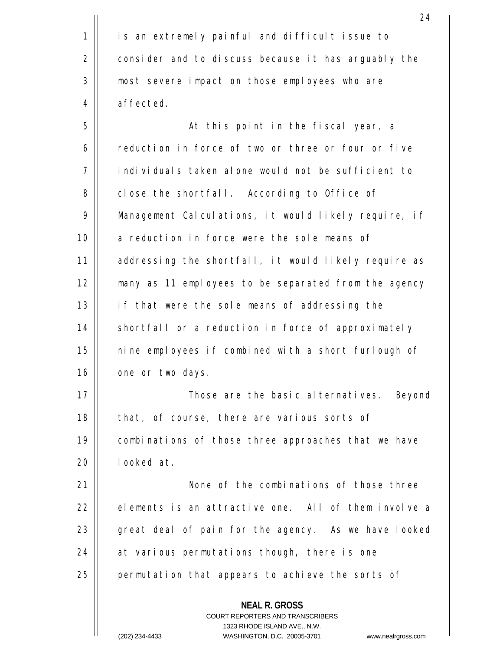1 2 3 4 is an extremely painful and difficult issue to consider and to discuss because it has arguably the most severe impact on those employees who are affected.

24

5 6 7 8 9 10 11 12 13 14 15 16 At this point in the fiscal year, a reduction in force of two or three or four or five individuals taken alone would not be sufficient to close the shortfall. According to Office of Management Calculations, it would likely require, if a reduction in force were the sole means of addressing the shortfall, it would likely require as many as 11 employees to be separated from the agency if that were the sole means of addressing the shortfall or a reduction in force of approximately nine employees if combined with a short furlough of one or two days.

17 18 19  $20$  Those are the basic alternatives. Beyond that, of course, there are various sorts of combinations of those three approaches that we have looked at.

21 22 23 24 25 None of the combinations of those three elements is an attractive one. All of them involve a great deal of pain for the agency. As we have looked at various permutations though, there is one permutation that appears to achieve the sorts of

**NEAL R. GROSS**

COURT REPORTERS AND TRANSCRIBERS 1323 RHODE ISLAND AVE., N.W.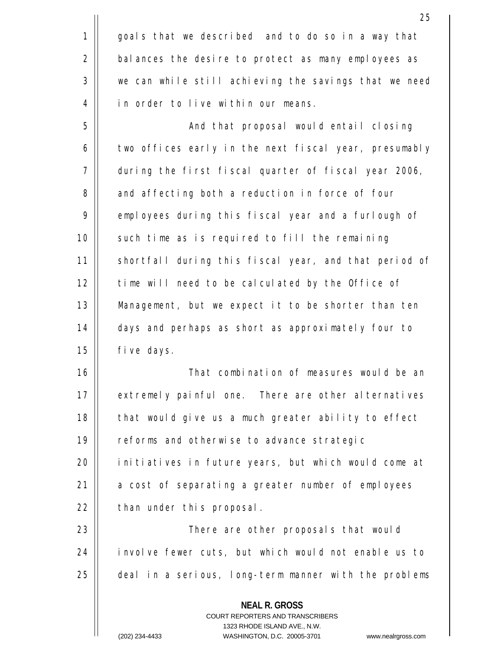1 2 3 4 goals that we described and to do so in a way that balances the desire to protect as many employees as we can while still achieving the savings that we need in order to live within our means.

5 6 7 8 9 10 11 12 13 14 15 And that proposal would entail closing two offices early in the next fiscal year, presumably during the first fiscal quarter of fiscal year 2006, and affecting both a reduction in force of four employees during this fiscal year and a furlough of such time as is required to fill the remaining shortfall during this fiscal year, and that period of time will need to be calculated by the Office of Management, but we expect it to be shorter than ten days and perhaps as short as approximately four to five days.

16 17 18 19  $20$ 21 22 That combination of measures would be an extremely painful one. There are other alternatives that would give us a much greater ability to effect reforms and otherwise to advance strategic initiatives in future years, but which would come at a cost of separating a greater number of employees than under this proposal.

23 24 25 There are other proposals that would involve fewer cuts, but which would not enable us to deal in a serious, long-term manner with the problems

> **NEAL R. GROSS** COURT REPORTERS AND TRANSCRIBERS 1323 RHODE ISLAND AVE., N.W.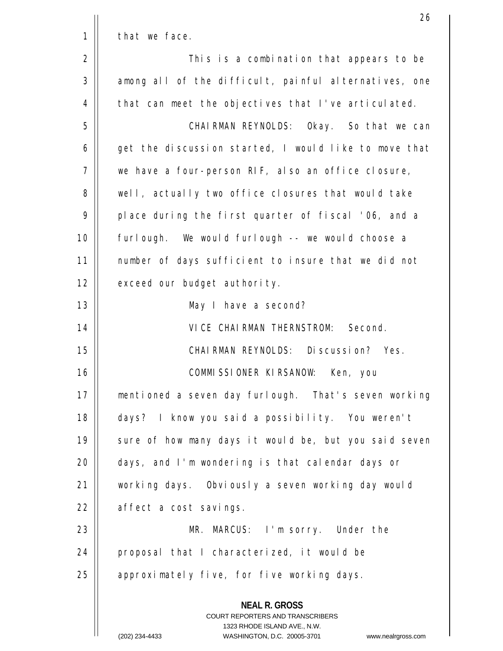|    | 26                                                                                                                                                                     |
|----|------------------------------------------------------------------------------------------------------------------------------------------------------------------------|
| 1  | that we face.                                                                                                                                                          |
| 2  | This is a combination that appears to be                                                                                                                               |
| 3  | among all of the difficult, painful alternatives, one                                                                                                                  |
| 4  | that can meet the objectives that I've articulated.                                                                                                                    |
| 5  | CHAIRMAN REYNOLDS: Okay. So that we can                                                                                                                                |
| 6  | get the discussion started, I would like to move that                                                                                                                  |
| 7  | we have a four-person RIF, also an office closure,                                                                                                                     |
| 8  | well, actually two office closures that would take                                                                                                                     |
| 9  | place during the first quarter of fiscal '06, and a                                                                                                                    |
| 10 | furlough. We would furlough -- we would choose a                                                                                                                       |
| 11 | number of days sufficient to insure that we did not                                                                                                                    |
| 12 | exceed our budget authority.                                                                                                                                           |
| 13 | May I have a second?                                                                                                                                                   |
| 14 | VICE CHAIRMAN THERNSTROM: Second.                                                                                                                                      |
| 15 | CHAIRMAN REYNOLDS: Discussion? Yes.                                                                                                                                    |
| 16 | COMMISSIONER KIRSANOW:<br>Ken, you                                                                                                                                     |
| 17 | mentioned a seven day furlough. That's seven working                                                                                                                   |
| 18 | days? I know you said a possibility. You weren't                                                                                                                       |
| 19 | sure of how many days it would be, but you said seven                                                                                                                  |
| 20 | days, and I'm wondering is that calendar days or                                                                                                                       |
| 21 | working days. Obviously a seven working day would                                                                                                                      |
| 22 | affect a cost savings.                                                                                                                                                 |
| 23 | MR. MARCUS: I'm sorry. Under the                                                                                                                                       |
| 24 | proposal that I characterized, it would be                                                                                                                             |
| 25 | approximately five, for five working days.                                                                                                                             |
|    | <b>NEAL R. GROSS</b><br><b>COURT REPORTERS AND TRANSCRIBERS</b><br>1323 RHODE ISLAND AVE., N.W.<br>(202) 234-4433<br>WASHINGTON, D.C. 20005-3701<br>www.nealrgross.com |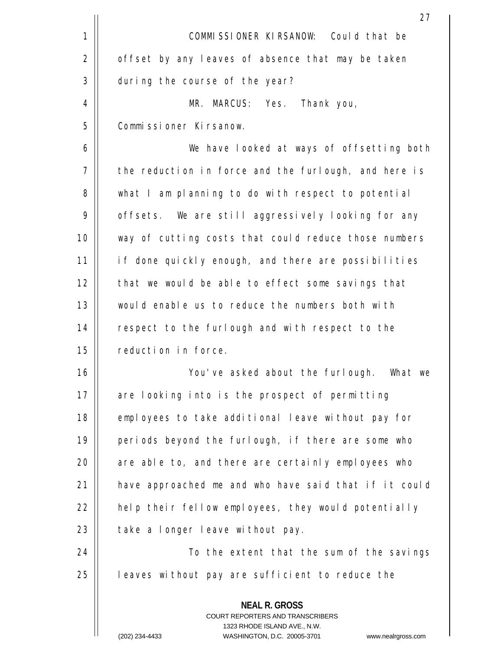|    | 27                                                                                                                                                                      |
|----|-------------------------------------------------------------------------------------------------------------------------------------------------------------------------|
| 1  | COMMISSIONER KIRSANOW: Could that be                                                                                                                                    |
| 2  | offset by any leaves of absence that may be taken                                                                                                                       |
| 3  | during the course of the year?                                                                                                                                          |
| 4  | MR. MARCUS: Yes. Thank you,                                                                                                                                             |
| 5  | Commissioner Kirsanow.                                                                                                                                                  |
| 6  | We have looked at ways of offsetting both                                                                                                                               |
| 7  | the reduction in force and the furlough, and here is                                                                                                                    |
| 8  | what I am planning to do with respect to potential                                                                                                                      |
| 9  | offsets. We are still aggressively looking for any                                                                                                                      |
| 10 | way of cutting costs that could reduce those numbers                                                                                                                    |
| 11 | if done quickly enough, and there are possibilities                                                                                                                     |
| 12 | that we would be able to effect some savings that                                                                                                                       |
| 13 | would enable us to reduce the numbers both with                                                                                                                         |
| 14 | respect to the furlough and with respect to the                                                                                                                         |
| 15 | reduction in force.                                                                                                                                                     |
| 16 | You've asked about the furlough. What we                                                                                                                                |
| 17 | are looking into is the prospect of permitting                                                                                                                          |
| 18 | employees to take additional leave without pay for                                                                                                                      |
| 19 | periods beyond the furlough, if there are some who                                                                                                                      |
| 20 | are able to, and there are certainly employees who                                                                                                                      |
| 21 | have approached me and who have said that if it could                                                                                                                   |
| 22 | help their fellow employees, they would potentially                                                                                                                     |
| 23 | take a longer leave without pay.                                                                                                                                        |
| 24 | To the extent that the sum of the savings                                                                                                                               |
| 25 | leaves without pay are sufficient to reduce the                                                                                                                         |
|    | <b>NEAL R. GROSS</b><br><b>COURT REPORTERS AND TRANSCRIBERS</b><br>1323 RHODE ISLAND AVE., N.W.<br>$(202)$ 234-4433<br>WASHINGTON D.C. 20005-3701<br>www.nealrgross.com |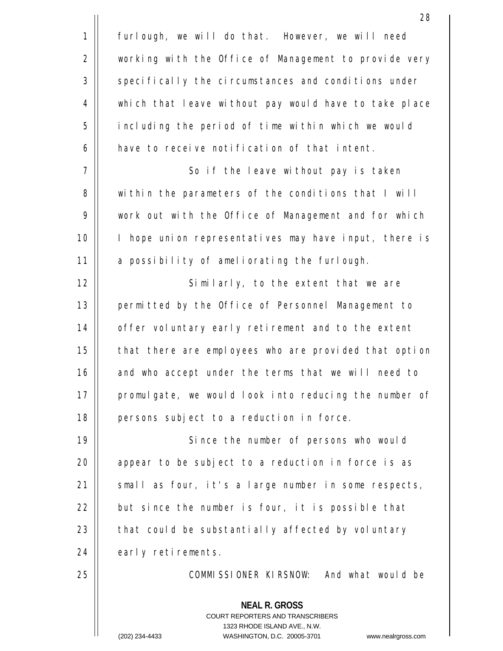|             | 28                                                                                                                                                                      |
|-------------|-------------------------------------------------------------------------------------------------------------------------------------------------------------------------|
| $\mathbf 1$ | furlough, we will do that. However, we will need                                                                                                                        |
| 2           | working with the Office of Management to provide very                                                                                                                   |
| 3           | specifically the circumstances and conditions under                                                                                                                     |
| 4           | which that leave without pay would have to take place                                                                                                                   |
| 5           | including the period of time within which we would                                                                                                                      |
| 6           | have to receive notification of that intent.                                                                                                                            |
| 7           | So if the leave without pay is taken                                                                                                                                    |
| 8           | within the parameters of the conditions that I will                                                                                                                     |
| 9           | work out with the Office of Management and for which                                                                                                                    |
| 10          | I hope union representatives may have input, there is                                                                                                                   |
| 11          | a possibility of ameliorating the furlough.                                                                                                                             |
| 12          | Similarly, to the extent that we are                                                                                                                                    |
| 13          | permitted by the Office of Personnel Management to                                                                                                                      |
| 14          | offer voluntary early retirement and to the extent                                                                                                                      |
| 15          | that there are employees who are provided that option                                                                                                                   |
| 16          | and who accept under the terms that we will need to                                                                                                                     |
| 17          | promulgate, we would look into reducing the number of                                                                                                                   |
| 18          | persons subject to a reduction in force.                                                                                                                                |
| 19          | Since the number of persons who would                                                                                                                                   |
| 20          | appear to be subject to a reduction in force is as                                                                                                                      |
| 21          | small as four, it's a large number in some respects,                                                                                                                    |
| 22          | but since the number is four, it is possible that                                                                                                                       |
| 23          | that could be substantially affected by voluntary                                                                                                                       |
| 24          | early retirements.                                                                                                                                                      |
| 25          | COMMISSIONER KIRSNOW: And what would be                                                                                                                                 |
|             | <b>NEAL R. GROSS</b><br><b>COURT REPORTERS AND TRANSCRIBERS</b><br>1323 RHODE ISLAND AVE., N.W.<br>WASHINGTON D.C. 20005-3701<br>$(202)$ 234-4433<br>www.nealrgross.com |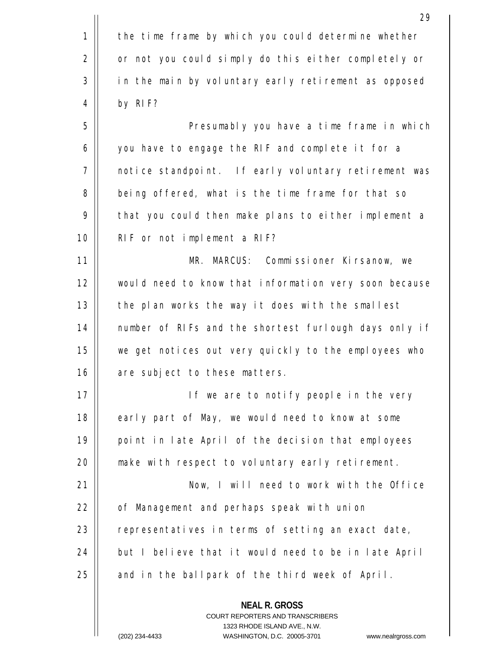|    | 29                                                                                                                                                                      |
|----|-------------------------------------------------------------------------------------------------------------------------------------------------------------------------|
| 1  | the time frame by which you could determine whether                                                                                                                     |
| 2  | or not you could simply do this either completely or                                                                                                                    |
| 3  | in the main by voluntary early retirement as opposed                                                                                                                    |
| 4  | by RIF?                                                                                                                                                                 |
| 5  | Presumably you have a time frame in which                                                                                                                               |
| 6  | you have to engage the RIF and complete it for a                                                                                                                        |
| 7  | notice standpoint. If early voluntary retirement was                                                                                                                    |
| 8  | being offered, what is the time frame for that so                                                                                                                       |
| 9  | that you could then make plans to either implement a                                                                                                                    |
| 10 | RIF or not implement a RIF?                                                                                                                                             |
| 11 | MR. MARCUS: Commissioner Kirsanow, we                                                                                                                                   |
| 12 | would need to know that information very soon because                                                                                                                   |
| 13 | the plan works the way it does with the smallest                                                                                                                        |
| 14 | number of RIFs and the shortest furlough days only if                                                                                                                   |
| 15 | we get notices out very quickly to the employees who                                                                                                                    |
| 16 | are subject to these matters.                                                                                                                                           |
| 17 | If we are to notify people in the very                                                                                                                                  |
| 18 | early part of May, we would need to know at some                                                                                                                        |
| 19 | point in late April of the decision that employees                                                                                                                      |
| 20 | make with respect to voluntary early retirement.                                                                                                                        |
| 21 | Now, I will need to work with the Office                                                                                                                                |
| 22 | of Management and perhaps speak with union                                                                                                                              |
| 23 | representatives in terms of setting an exact date,                                                                                                                      |
| 24 | but I believe that it would need to be in late April                                                                                                                    |
| 25 | and in the ballpark of the third week of April.                                                                                                                         |
|    | <b>NEAL R. GROSS</b><br><b>COURT REPORTERS AND TRANSCRIBERS</b><br>1323 RHODE ISLAND AVE., N.W.<br>WASHINGTON D.C. 20005-3701<br>$(202)$ 234-4433<br>www.nealrgross.com |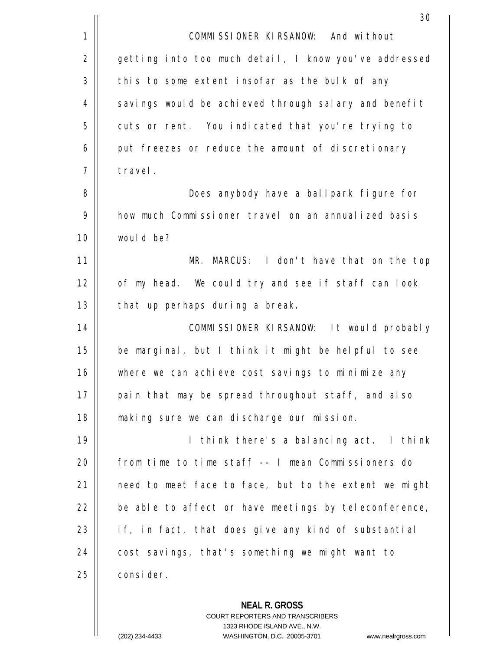|             | 30                                                    |
|-------------|-------------------------------------------------------|
| $\mathbf 1$ | COMMISSIONER KIRSANOW: And without                    |
| 2           | getting into too much detail, I know you've addressed |
| 3           | this to some extent insofar as the bulk of any        |
| 4           | savings would be achieved through salary and benefit  |
| 5           | cuts or rent. You indicated that you're trying to     |
| 6           | put freezes or reduce the amount of discretionary     |
| 7           | travel.                                               |
| 8           | Does anybody have a ballpark figure for               |
| 9           | how much Commissioner travel on an annualized basis   |
| 10          | would be?                                             |
| 11          | MR. MARCUS: I don't have that on the top              |
| 12          | of my head. We could try and see if staff can look    |
| 13          | that up perhaps during a break.                       |
| 14          | COMMISSIONER KIRSANOW: It would probably              |
| 15          | be marginal, but I think it might be helpful to see   |
| 16          | where we can achieve cost savings to minimize any     |
| 17          | pain that may be spread throughout staff, and also    |
| 18          | making sure we can discharge our mission.             |
| 19          | I think there's a balancing act. I think              |
| 20          | from time to time staff -- I mean Commissioners do    |
| 21          | need to meet face to face, but to the extent we might |
| 22          | be able to affect or have meetings by teleconference, |
| 23          | if, in fact, that does give any kind of substantial   |
| 24          | cost savings, that's something we might want to       |
| 25          | consider.                                             |
|             | <b>NEAL R. GROSS</b>                                  |

COURT REPORTERS AND TRANSCRIBERS 1323 RHODE ISLAND AVE., N.W.

 $\mathsf{II}$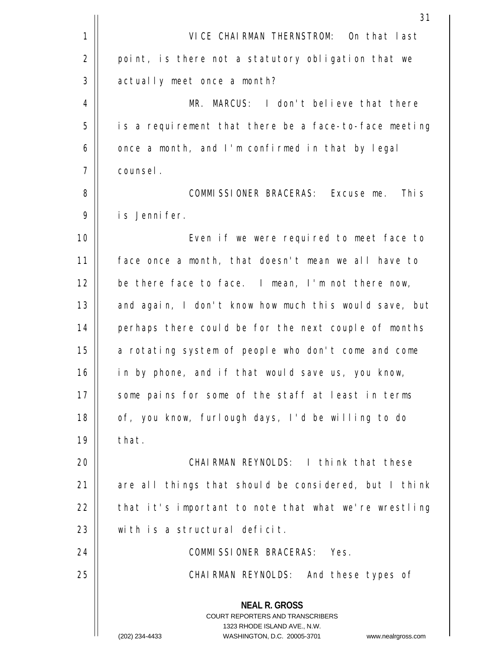|                | 31                                                                                                                                                           |
|----------------|--------------------------------------------------------------------------------------------------------------------------------------------------------------|
| 1              | VICE CHAIRMAN THERNSTROM: On that last                                                                                                                       |
| $\overline{2}$ | point, is there not a statutory obligation that we                                                                                                           |
| 3              | actually meet once a month?                                                                                                                                  |
| 4              | MR. MARCUS: I don't believe that there                                                                                                                       |
| 5              | is a requirement that there be a face-to-face meeting                                                                                                        |
| 6              | once a month, and I'm confirmed in that by legal                                                                                                             |
| 7              | counsel.                                                                                                                                                     |
| 8              | COMMISSIONER BRACERAS: Excuse me. This                                                                                                                       |
| 9              | is Jennifer.                                                                                                                                                 |
| 10             | Even if we were required to meet face to                                                                                                                     |
| 11             | face once a month, that doesn't mean we all have to                                                                                                          |
| 12             | be there face to face. I mean, I'm not there now,                                                                                                            |
| 13             | and again, I don't know how much this would save, but                                                                                                        |
| 14             | perhaps there could be for the next couple of months                                                                                                         |
| 15             | a rotating system of people who don't come and come                                                                                                          |
| 16             | in by phone, and if that would save us, you know,                                                                                                            |
| 17             | some pains for some of the staff at least in terms                                                                                                           |
| 18             | of, you know, furlough days, I'd be willing to do                                                                                                            |
| 19             | that.                                                                                                                                                        |
| 20             | CHAIRMAN REYNOLDS: I think that these                                                                                                                        |
| 21             | are all things that should be considered, but I think                                                                                                        |
| 22             | that it's important to note that what we're wrestling                                                                                                        |
| 23             | with is a structural deficit.                                                                                                                                |
| 24             | COMMISSIONER BRACERAS: Yes.                                                                                                                                  |
| 25             | CHAIRMAN REYNOLDS: And these types of                                                                                                                        |
|                | <b>NEAL R. GROSS</b><br>COURT REPORTERS AND TRANSCRIBERS<br>1323 RHODE ISLAND AVE., N.W.<br>(202) 234-4433<br>WASHINGTON, D.C. 20005-3701 www.nealrgross.com |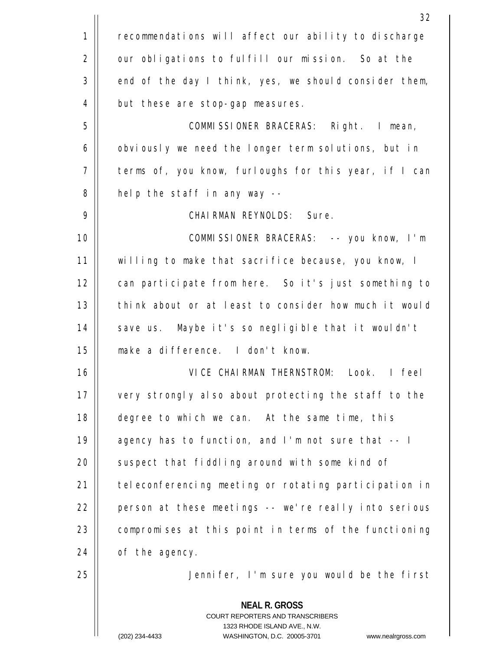|             | 32                                                                                                                                                                      |
|-------------|-------------------------------------------------------------------------------------------------------------------------------------------------------------------------|
| $\mathbf 1$ | recommendations will affect our ability to discharge                                                                                                                    |
| 2           | our obligations to fulfill our mission. So at the                                                                                                                       |
| 3           | end of the day I think, yes, we should consider them,                                                                                                                   |
| 4           | but these are stop-gap measures.                                                                                                                                        |
| 5           | COMMISSIONER BRACERAS: Right. I mean,                                                                                                                                   |
| 6           | obviously we need the longer term solutions, but in                                                                                                                     |
| 7           | terms of, you know, furloughs for this year, if I can                                                                                                                   |
| 8           | help the staff in any way --                                                                                                                                            |
| 9           | CHAIRMAN REYNOLDS: Sure.                                                                                                                                                |
| 10          | COMMISSIONER BRACERAS: -- you know, I'm                                                                                                                                 |
| 11          | willing to make that sacrifice because, you know, I                                                                                                                     |
| 12          | can participate from here. So it's just something to                                                                                                                    |
| 13          | think about or at least to consider how much it would                                                                                                                   |
| 14          | save us. Maybe it's so negligible that it wouldn't                                                                                                                      |
| 15          | make a difference. I don't know.                                                                                                                                        |
| 16          | VICE CHAIRMAN THERNSTROM: Look. I feel                                                                                                                                  |
| 17          | very strongly also about protecting the staff to the                                                                                                                    |
| 18          | degree to which we can. At the same time, this                                                                                                                          |
| 19          | agency has to function, and I'm not sure that -- I                                                                                                                      |
| 20          | suspect that fiddling around with some kind of                                                                                                                          |
| 21          | teleconferencing meeting or rotating participation in                                                                                                                   |
| 22          | person at these meetings -- we're really into serious                                                                                                                   |
| 23          | compromises at this point in terms of the functioning                                                                                                                   |
| 24          | of the agency.                                                                                                                                                          |
| 25          | Jennifer, I'm sure you would be the first                                                                                                                               |
|             | <b>NEAL R. GROSS</b><br><b>COURT REPORTERS AND TRANSCRIBERS</b><br>1323 RHODE ISLAND AVE., N.W.<br>WASHINGTON D.C. 20005-3701<br>$(202)$ 234-4433<br>www.nealrgross.com |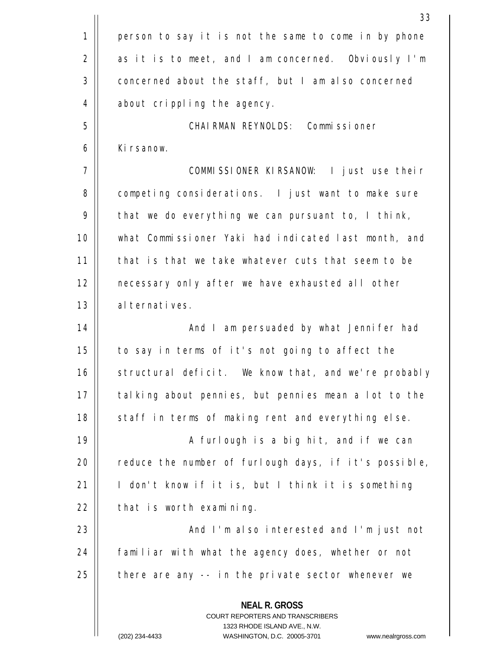|    | 33                                                                                                                                                                     |
|----|------------------------------------------------------------------------------------------------------------------------------------------------------------------------|
| 1  | person to say it is not the same to come in by phone                                                                                                                   |
| 2  | as it is to meet, and I am concerned. Obviously I'm                                                                                                                    |
| 3  | concerned about the staff, but I am also concerned                                                                                                                     |
| 4  | about crippling the agency.                                                                                                                                            |
| 5  | CHAIRMAN REYNOLDS: Commissioner                                                                                                                                        |
| 6  | Kirsanow.                                                                                                                                                              |
| 7  | COMMISSIONER KIRSANOW: I just use their                                                                                                                                |
| 8  | competing considerations. I just want to make sure                                                                                                                     |
| 9  | that we do everything we can pursuant to, I think,                                                                                                                     |
| 10 | what Commissioner Yaki had indicated last month, and                                                                                                                   |
| 11 | that is that we take whatever cuts that seem to be                                                                                                                     |
| 12 | necessary only after we have exhausted all other                                                                                                                       |
| 13 | alternatives.                                                                                                                                                          |
| 14 | And I am persuaded by what Jennifer had                                                                                                                                |
| 15 | to say in terms of it's not going to affect the                                                                                                                        |
| 16 | structural deficit. We know that, and we're probably                                                                                                                   |
| 17 | talking about pennies, but pennies mean a lot to the                                                                                                                   |
| 18 | staff in terms of making rent and everything else.                                                                                                                     |
| 19 | A furlough is a big hit, and if we can                                                                                                                                 |
| 20 | reduce the number of furlough days, if it's possible,                                                                                                                  |
| 21 | I don't know if it is, but I think it is something                                                                                                                     |
| 22 | that is worth examining.                                                                                                                                               |
| 23 | And I'm also interested and I'm just not                                                                                                                               |
| 24 | familiar with what the agency does, whether or not                                                                                                                     |
| 25 | there are any -- in the private sector whenever we                                                                                                                     |
|    | <b>NEAL R. GROSS</b><br><b>COURT REPORTERS AND TRANSCRIBERS</b><br>1323 RHODE ISLAND AVE., N.W.<br>(202) 234-4433<br>WASHINGTON, D.C. 20005-3701<br>www.nealrgross.com |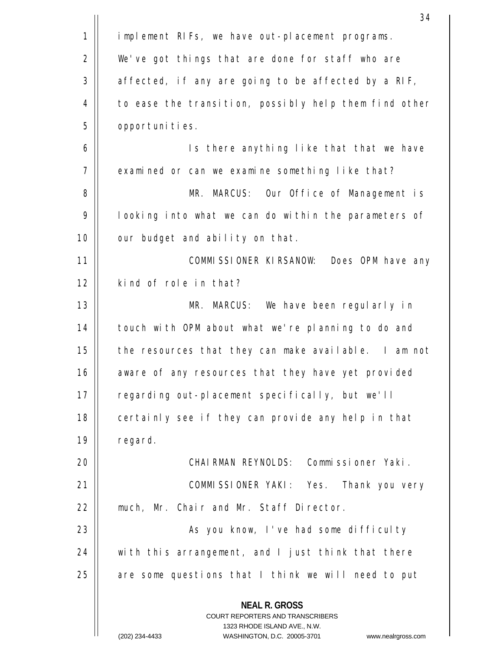|    | 34                                                                                                                                                                  |
|----|---------------------------------------------------------------------------------------------------------------------------------------------------------------------|
| 1  | implement RIFs, we have out-placement programs.                                                                                                                     |
| 2  | We've got things that are done for staff who are                                                                                                                    |
| 3  | affected, if any are going to be affected by a RIF,                                                                                                                 |
| 4  | to ease the transition, possibly help them find other                                                                                                               |
| 5  | opportunities.                                                                                                                                                      |
| 6  | Is there anything like that that we have                                                                                                                            |
| 7  | examined or can we examine something like that?                                                                                                                     |
| 8  | MR. MARCUS: Our Office of Management is                                                                                                                             |
| 9  | looking into what we can do within the parameters of                                                                                                                |
| 10 | our budget and ability on that.                                                                                                                                     |
| 11 | COMMISSIONER KIRSANOW: Does OPM have any                                                                                                                            |
| 12 | kind of role in that?                                                                                                                                               |
| 13 | MR. MARCUS: We have been regularly in                                                                                                                               |
| 14 | touch with OPM about what we're planning to do and                                                                                                                  |
| 15 | the resources that they can make available. I am not                                                                                                                |
| 16 | aware of any resources that they have yet provided                                                                                                                  |
| 17 | regarding out-placement specifically, but we'll                                                                                                                     |
| 18 | certainly see if they can provide any help in that                                                                                                                  |
| 19 | regard.                                                                                                                                                             |
| 20 | CHAIRMAN REYNOLDS: Commissioner Yaki.                                                                                                                               |
| 21 | COMMISSIONER YAKI: Yes. Thank you very                                                                                                                              |
| 22 | much, Mr. Chair and Mr. Staff Director.                                                                                                                             |
| 23 | As you know, I've had some difficulty                                                                                                                               |
| 24 | with this arrangement, and I just think that there                                                                                                                  |
| 25 | are some questions that I think we will need to put                                                                                                                 |
|    | <b>NEAL R. GROSS</b><br><b>COURT REPORTERS AND TRANSCRIBERS</b><br>1323 RHODE ISLAND AVE., N.W.<br>(202) 234-4433<br>WASHINGTON, D.C. 20005-3701 www.nealrgross.com |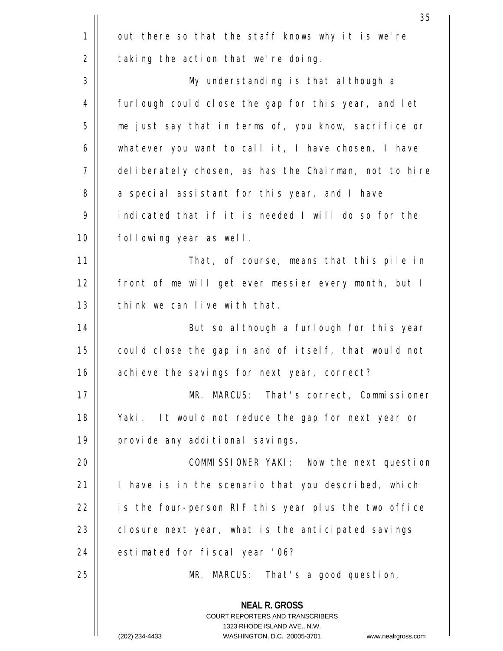|    | 35                                                                                                                                                                     |
|----|------------------------------------------------------------------------------------------------------------------------------------------------------------------------|
| 1  | out there so that the staff knows why it is we're                                                                                                                      |
| 2  | taking the action that we're doing.                                                                                                                                    |
| 3  | My understanding is that although a                                                                                                                                    |
| 4  | furlough could close the gap for this year, and let                                                                                                                    |
| 5  | me just say that in terms of, you know, sacrifice or                                                                                                                   |
| 6  | whatever you want to call it, I have chosen, I have                                                                                                                    |
| 7  | deliberately chosen, as has the Chairman, not to hire                                                                                                                  |
| 8  | a special assistant for this year, and I have                                                                                                                          |
| 9  | indicated that if it is needed I will do so for the                                                                                                                    |
| 10 | following year as well.                                                                                                                                                |
| 11 | That, of course, means that this pile in                                                                                                                               |
| 12 | front of me will get ever messier every month, but I                                                                                                                   |
| 13 | think we can live with that.                                                                                                                                           |
| 14 | But so although a furlough for this year                                                                                                                               |
| 15 | could close the gap in and of itself, that would not                                                                                                                   |
| 16 | achieve the savings for next year, correct?                                                                                                                            |
| 17 | MR. MARCUS: That's correct, Commissioner                                                                                                                               |
| 18 | Yaki. It would not reduce the gap for next year or                                                                                                                     |
| 19 | provide any additional savings.                                                                                                                                        |
| 20 | COMMISSIONER YAKI: Now the next question                                                                                                                               |
| 21 | I have is in the scenario that you described, which                                                                                                                    |
| 22 | is the four-person RIF this year plus the two office                                                                                                                   |
| 23 | closure next year, what is the anticipated savings                                                                                                                     |
| 24 | estimated for fiscal year '06?                                                                                                                                         |
| 25 | MR. MARCUS: That's a good question,                                                                                                                                    |
|    | <b>NEAL R. GROSS</b><br><b>COURT REPORTERS AND TRANSCRIBERS</b><br>1323 RHODE ISLAND AVE., N.W.<br>(202) 234-4433<br>WASHINGTON, D.C. 20005-3701<br>www.nealrgross.com |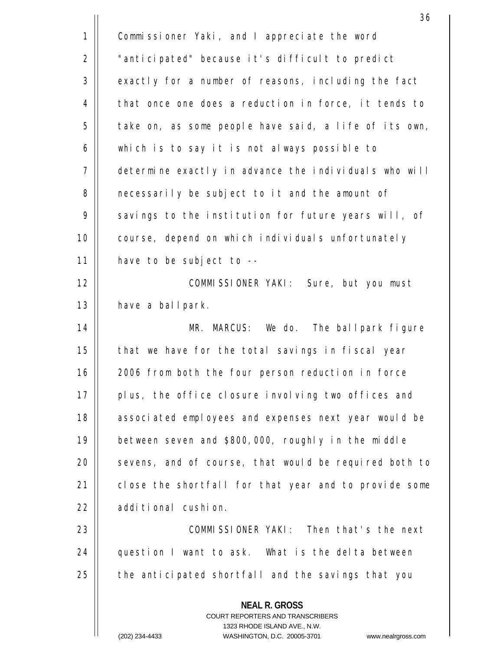| 1  | Commissioner Yaki, and I appreciate the word                                                                                                                           |
|----|------------------------------------------------------------------------------------------------------------------------------------------------------------------------|
| 2  | "anticipated" because it's difficult to predict                                                                                                                        |
| 3  | exactly for a number of reasons, including the fact                                                                                                                    |
| 4  | that once one does a reduction in force, it tends to                                                                                                                   |
| 5  | take on, as some people have said, a life of its own,                                                                                                                  |
| 6  | which is to say it is not always possible to                                                                                                                           |
| 7  | determine exactly in advance the individuals who will                                                                                                                  |
| 8  | necessarily be subject to it and the amount of                                                                                                                         |
| 9  | savings to the institution for future years will, of                                                                                                                   |
| 10 | course, depend on which individuals unfortunately                                                                                                                      |
| 11 | have to be subject to --                                                                                                                                               |
| 12 | COMMISSIONER YAKI: Sure, but you must                                                                                                                                  |
| 13 | have a ballpark.                                                                                                                                                       |
| 14 | MR. MARCUS: We do. The ballpark figure                                                                                                                                 |
| 15 | that we have for the total savings in fiscal year                                                                                                                      |
| 16 | 2006 from both the four person reduction in force                                                                                                                      |
| 17 | plus, the office closure involving two offices and                                                                                                                     |
| 18 | associated employees and expenses next year would be                                                                                                                   |
| 19 | between seven and \$800,000, roughly in the middle                                                                                                                     |
| 20 | sevens, and of course, that would be required both to                                                                                                                  |
| 21 | close the shortfall for that year and to provide some                                                                                                                  |
| 22 | additional cushion.                                                                                                                                                    |
| 23 | COMMISSIONER YAKI: Then that's the next                                                                                                                                |
| 24 | question I want to ask. What is the delta between                                                                                                                      |
| 25 | the anticipated shortfall and the savings that you                                                                                                                     |
|    | <b>NEAL R. GROSS</b><br><b>COURT REPORTERS AND TRANSCRIBERS</b><br>1323 RHODE ISLAND AVE., N.W.<br>(202) 234-4433<br>WASHINGTON, D.C. 20005-3701<br>www.nealrgross.com |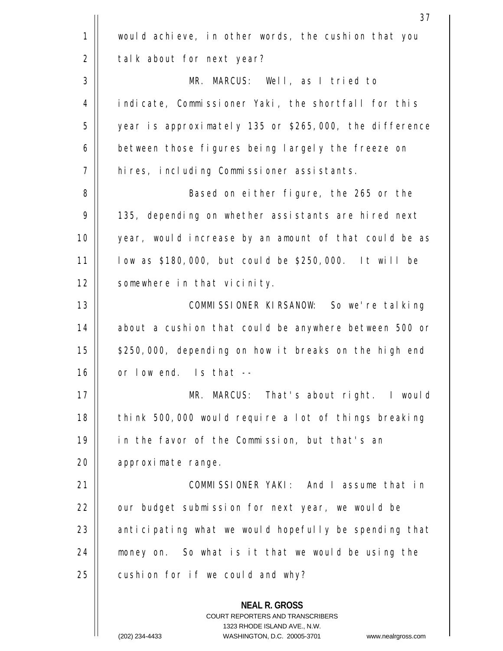|    | 37                                                                                                                                                                      |
|----|-------------------------------------------------------------------------------------------------------------------------------------------------------------------------|
| 1  | would achieve, in other words, the cushion that you                                                                                                                     |
| 2  | talk about for next year?                                                                                                                                               |
| 3  | MR. MARCUS: Well, as I tried to                                                                                                                                         |
| 4  | indicate, Commissioner Yaki, the shortfall for this                                                                                                                     |
| 5  | year is approximately 135 or \$265,000, the difference                                                                                                                  |
| 6  | between those figures being largely the freeze on                                                                                                                       |
| 7  | hires, including Commissioner assistants.                                                                                                                               |
| 8  | Based on either figure, the 265 or the                                                                                                                                  |
| 9  | 135, depending on whether assistants are hired next                                                                                                                     |
| 10 | year, would increase by an amount of that could be as                                                                                                                   |
| 11 | low as \$180,000, but could be \$250,000. It will be                                                                                                                    |
| 12 | somewhere in that vicinity.                                                                                                                                             |
| 13 | COMMISSIONER KIRSANOW: So we're talking                                                                                                                                 |
| 14 | about a cushion that could be anywhere between 500 or                                                                                                                   |
| 15 | \$250,000, depending on how it breaks on the high end                                                                                                                   |
| 16 | or low end. Is that --                                                                                                                                                  |
| 17 | MR. MARCUS: That's about right. I would                                                                                                                                 |
| 18 | think 500,000 would require a lot of things breaking                                                                                                                    |
| 19 | in the favor of the Commission, but that's an                                                                                                                           |
| 20 | approximate range.                                                                                                                                                      |
| 21 | COMMISSIONER YAKI: And I assume that in                                                                                                                                 |
| 22 | our budget submission for next year, we would be                                                                                                                        |
| 23 | anticipating what we would hopefully be spending that                                                                                                                   |
| 24 | money on. So what is it that we would be using the                                                                                                                      |
| 25 | cushion for if we could and why?                                                                                                                                        |
|    | <b>NEAL R. GROSS</b><br><b>COURT REPORTERS AND TRANSCRIBERS</b><br>1323 RHODE ISLAND AVE., N.W.<br>WASHINGTON D.C. 20005-3701<br>$(202)$ 234-4433<br>www.nealrgross.com |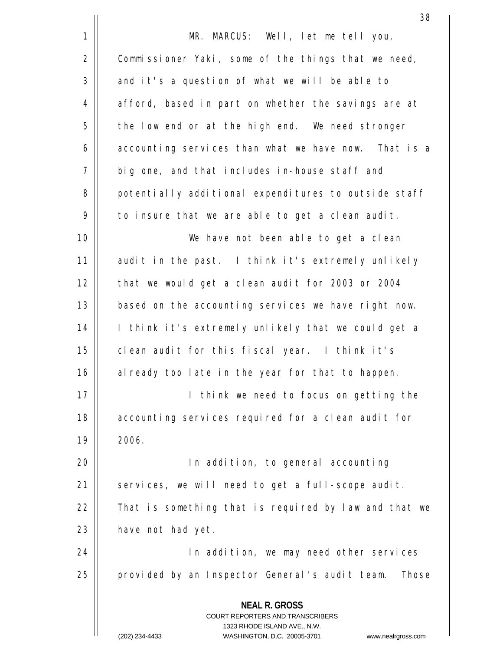|             | 38                                                                                                                                                                     |
|-------------|------------------------------------------------------------------------------------------------------------------------------------------------------------------------|
| $\mathbf 1$ | MR. MARCUS: Well, let me tell you,                                                                                                                                     |
| 2           | Commissioner Yaki, some of the things that we need,                                                                                                                    |
| 3           | and it's a question of what we will be able to                                                                                                                         |
| 4           | afford, based in part on whether the savings are at                                                                                                                    |
| 5           | the low end or at the high end. We need stronger                                                                                                                       |
| $\epsilon$  | accounting services than what we have now. That is a                                                                                                                   |
| 7           | big one, and that includes in-house staff and                                                                                                                          |
| 8           | potentially additional expenditures to outside staff                                                                                                                   |
| 9           | to insure that we are able to get a clean audit.                                                                                                                       |
| 10          | We have not been able to get a clean                                                                                                                                   |
| 11          | audit in the past. I think it's extremely unlikely                                                                                                                     |
| 12          | that we would get a clean audit for 2003 or 2004                                                                                                                       |
| 13          | based on the accounting services we have right now.                                                                                                                    |
| 14          | I think it's extremely unlikely that we could get a                                                                                                                    |
| 15          | clean audit for this fiscal year. I think it's                                                                                                                         |
| 16          | already too late in the year for that to happen.                                                                                                                       |
| 17          | I think we need to focus on getting the                                                                                                                                |
| 18          | accounting services required for a clean audit for                                                                                                                     |
| 19          | 2006.                                                                                                                                                                  |
| 20          | In addition, to general accounting                                                                                                                                     |
| 21          | services, we will need to get a full-scope audit.                                                                                                                      |
| 22          | That is something that is required by law and that we                                                                                                                  |
| 23          | have not had yet.                                                                                                                                                      |
| 24          | In addition, we may need other services                                                                                                                                |
| 25          | provided by an Inspector General's audit team.<br>Those                                                                                                                |
|             | <b>NEAL R. GROSS</b><br><b>COURT REPORTERS AND TRANSCRIBERS</b><br>1323 RHODE ISLAND AVE., N.W.<br>(202) 234-4433<br>WASHINGTON, D.C. 20005-3701<br>www.nealrgross.com |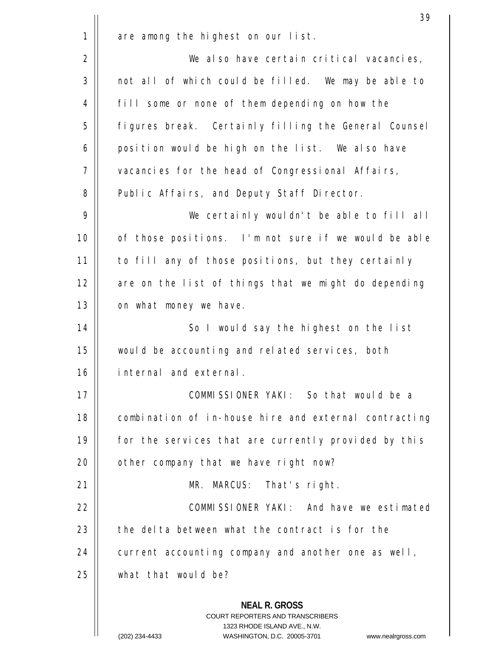|    | 39                                                                                                                                                                     |
|----|------------------------------------------------------------------------------------------------------------------------------------------------------------------------|
| 1  | are among the highest on our list.                                                                                                                                     |
| 2  | We also have certain critical vacancies,                                                                                                                               |
| 3  | not all of which could be filled. We may be able to                                                                                                                    |
| 4  | fill some or none of them depending on how the                                                                                                                         |
| 5  | figures break. Certainly filling the General Counsel                                                                                                                   |
| 6  | position would be high on the list. We also have                                                                                                                       |
| 7  | vacancies for the head of Congressional Affairs,                                                                                                                       |
| 8  | Public Affairs, and Deputy Staff Director.                                                                                                                             |
| 9  | We certainly wouldn't be able to fill all                                                                                                                              |
| 10 | of those positions. I'm not sure if we would be able                                                                                                                   |
| 11 | to fill any of those positions, but they certainly                                                                                                                     |
| 12 | are on the list of things that we might do depending                                                                                                                   |
| 13 | on what money we have.                                                                                                                                                 |
| 14 | So I would say the highest on the list                                                                                                                                 |
| 15 | would be accounting and related services, both                                                                                                                         |
| 16 | internal and external.                                                                                                                                                 |
| 17 | COMMISSIONER YAKI: So that would be a                                                                                                                                  |
| 18 | combination of in-house hire and external contracting                                                                                                                  |
| 19 | for the services that are currently provided by this                                                                                                                   |
| 20 | other company that we have right now?                                                                                                                                  |
| 21 | MR. MARCUS: That's right.                                                                                                                                              |
| 22 | COMMISSIONER YAKI: And have we estimated                                                                                                                               |
| 23 | the delta between what the contract is for the                                                                                                                         |
| 24 | current accounting company and another one as well,                                                                                                                    |
| 25 | what that would be?                                                                                                                                                    |
|    | <b>NEAL R. GROSS</b><br><b>COURT REPORTERS AND TRANSCRIBERS</b><br>1323 RHODE ISLAND AVE., N.W.<br>(202) 234-4433<br>WASHINGTON, D.C. 20005-3701<br>www.nealrgross.com |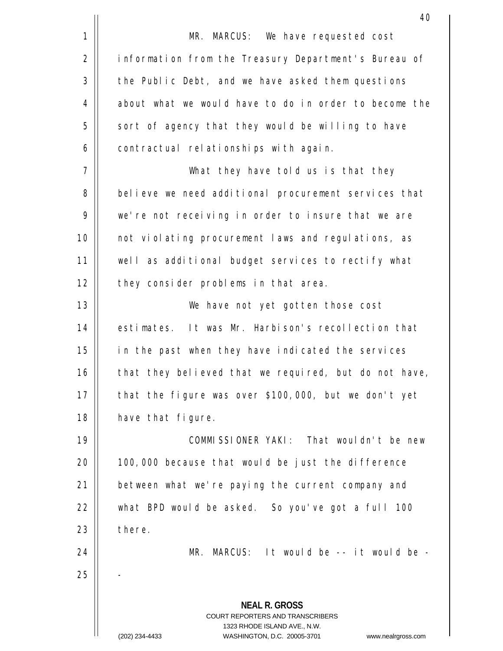|             | 40                                                                                                                                                                     |
|-------------|------------------------------------------------------------------------------------------------------------------------------------------------------------------------|
| $\mathbf 1$ | MR. MARCUS: We have requested cost                                                                                                                                     |
| 2           | information from the Treasury Department's Bureau of                                                                                                                   |
| 3           | the Public Debt, and we have asked them questions                                                                                                                      |
| 4           | about what we would have to do in order to become the                                                                                                                  |
| 5           | sort of agency that they would be willing to have                                                                                                                      |
| 6           | contractual relationships with again.                                                                                                                                  |
| 7           | What they have told us is that they                                                                                                                                    |
| 8           | believe we need additional procurement services that                                                                                                                   |
| 9           | we're not receiving in order to insure that we are                                                                                                                     |
| 10          | not violating procurement laws and regulations, as                                                                                                                     |
| 11          | well as additional budget services to rectify what                                                                                                                     |
| 12          | they consider problems in that area.                                                                                                                                   |
| 13          | We have not yet gotten those cost                                                                                                                                      |
| 14          | estimates. It was Mr. Harbison's recollection that                                                                                                                     |
| 15          | in the past when they have indicated the services                                                                                                                      |
| 16          | that they believed that we required, but do not have,                                                                                                                  |
| 17          | that the figure was over \$100,000, but we don't yet                                                                                                                   |
| 18          | have that figure.                                                                                                                                                      |
| 19          | COMMISSIONER YAKI: That wouldn't be new                                                                                                                                |
| 20          | 100,000 because that would be just the difference                                                                                                                      |
| 21          | between what we're paying the current company and                                                                                                                      |
| 22          | what BPD would be asked. So you've got a full 100                                                                                                                      |
| 23          | there.                                                                                                                                                                 |
| 24          | MR. MARCUS: It would be -- it would be -                                                                                                                               |
| 25          |                                                                                                                                                                        |
|             | <b>NEAL R. GROSS</b><br><b>COURT REPORTERS AND TRANSCRIBERS</b><br>1323 RHODE ISLAND AVE., N.W.<br>(202) 234-4433<br>WASHINGTON, D.C. 20005-3701<br>www.nealrgross.com |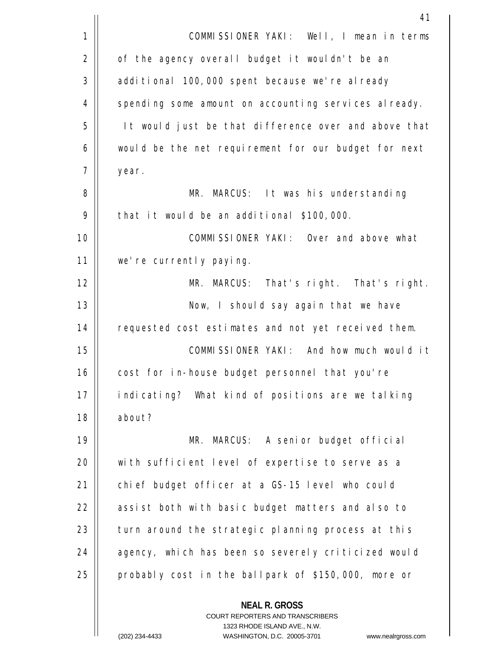|    | 41                                                       |
|----|----------------------------------------------------------|
| 1  | COMMISSIONER YAKI: Well, I mean in terms                 |
| 2  | of the agency overall budget it wouldn't be an           |
| 3  | additional 100,000 spent because we're already           |
| 4  | spending some amount on accounting services already.     |
| 5  | It would just be that difference over and above that     |
| 6  | would be the net requirement for our budget for next     |
| 7  | year.                                                    |
| 8  | MR. MARCUS: It was his understanding                     |
| 9  | that it would be an additional \$100,000.                |
| 10 | COMMISSIONER YAKI: Over and above what                   |
| 11 | we're currently paying.                                  |
| 12 | MR. MARCUS: That's right. That's right.                  |
| 13 | Now, I should say again that we have                     |
| 14 | requested cost estimates and not yet received them.      |
| 15 | COMMISSIONER YAKI: And how much would it                 |
| 16 | cost for in-house budget personnel that you're           |
| 17 | indicating? What kind of positions are we talking        |
| 18 | about?                                                   |
| 19 | MR. MARCUS: A senior budget official                     |
| 20 | with sufficient level of expertise to serve as a         |
| 21 | chief budget officer at a GS-15 level who could          |
| 22 | assist both with basic budget matters and also to        |
| 23 | turn around the strategic planning process at this       |
| 24 | agency, which has been so severely criticized would      |
| 25 | probably cost in the ballpark of \$150,000, more or      |
|    | <b>NEAL R. GROSS</b><br>COURT REPORTERS AND TRANSCRIBERS |

 $\prod$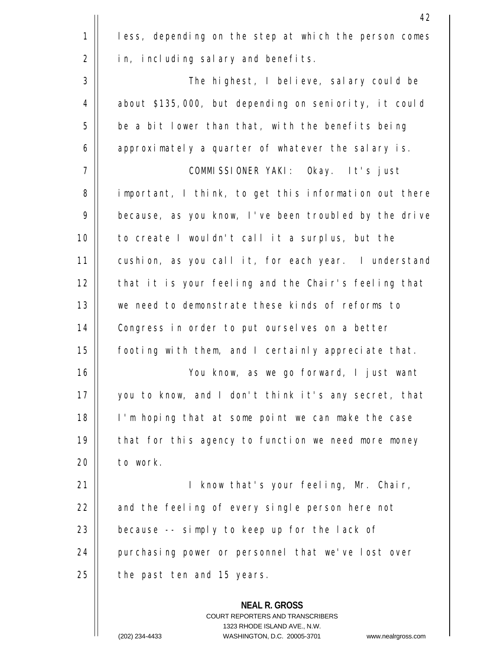|             | 42                                                                                                                                                                     |
|-------------|------------------------------------------------------------------------------------------------------------------------------------------------------------------------|
| $\mathbf 1$ | less, depending on the step at which the person comes                                                                                                                  |
| 2           | in, including salary and benefits.                                                                                                                                     |
| 3           | The highest, I believe, salary could be                                                                                                                                |
| 4           | about \$135,000, but depending on seniority, it could                                                                                                                  |
| 5           | be a bit lower than that, with the benefits being                                                                                                                      |
| 6           | approximately a quarter of whatever the salary is.                                                                                                                     |
| 7           | COMMISSIONER YAKI: Okay. It's just                                                                                                                                     |
| 8           | important, I think, to get this information out there                                                                                                                  |
| 9           | because, as you know, I've been troubled by the drive                                                                                                                  |
| 10          | to create I wouldn't call it a surplus, but the                                                                                                                        |
| 11          | cushion, as you call it, for each year. I understand                                                                                                                   |
| 12          | that it is your feeling and the Chair's feeling that                                                                                                                   |
| 13          | we need to demonstrate these kinds of reforms to                                                                                                                       |
| 14          | Congress in order to put ourselves on a better                                                                                                                         |
| 15          | footing with them, and I certainly appreciate that.                                                                                                                    |
| 16          | You know, as we go forward, I just want                                                                                                                                |
| 17          | you to know, and I don't think it's any secret, that                                                                                                                   |
| 18          | I'm hoping that at some point we can make the case                                                                                                                     |
| 19          | that for this agency to function we need more money                                                                                                                    |
| 20          | to work.                                                                                                                                                               |
| 21          | I know that's your feeling, Mr. Chair,                                                                                                                                 |
| 22          | and the feeling of every single person here not                                                                                                                        |
| 23          | because -- simply to keep up for the lack of                                                                                                                           |
| 24          | purchasing power or personnel that we've lost over                                                                                                                     |
| 25          | the past ten and 15 years.                                                                                                                                             |
|             | <b>NEAL R. GROSS</b><br><b>COURT REPORTERS AND TRANSCRIBERS</b><br>1323 RHODE ISLAND AVE., N.W.<br>(202) 234-4433<br>WASHINGTON, D.C. 20005-3701<br>www.nealraross.com |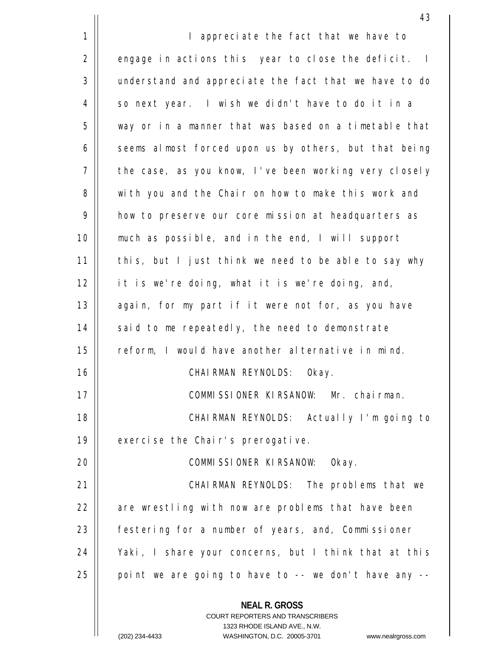**NEAL R. GROSS** COURT REPORTERS AND TRANSCRIBERS 1323 RHODE ISLAND AVE., N.W. 43 1 2 3 4 5 6 7 8 9 10 11 12 13 14 15 16 17 18 19  $20$ 21 22 23 24 25 I appreciate the fact that we have to engage in actions this year to close the deficit. I understand and appreciate the fact that we have to do so next year. I wish we didn't have to do it in a way or in a manner that was based on a timetable that seems almost forced upon us by others, but that being the case, as you know, I've been working very closely with you and the Chair on how to make this work and how to preserve our core mission at headquarters as much as possible, and in the end, I will support this, but I just think we need to be able to say why it is we're doing, what it is we're doing, and, again, for my part if it were not for, as you have said to me repeatedly, the need to demonstrate reform, I would have another alternative in mind. CHAIRMAN REYNOLDS: Okay. COMMISSIONER KIRSANOW: Mr. chairman. CHAIRMAN REYNOLDS: Actually I'm going to exercise the Chair's prerogative. COMMISSIONER KIRSANOW: Okay. CHAIRMAN REYNOLDS: The problems that we are wrestling with now are problems that have been festering for a number of years, and, Commissioner Yaki, I share your concerns, but I think that at this point we are going to have to  $-$ - we don't have any  $-$ -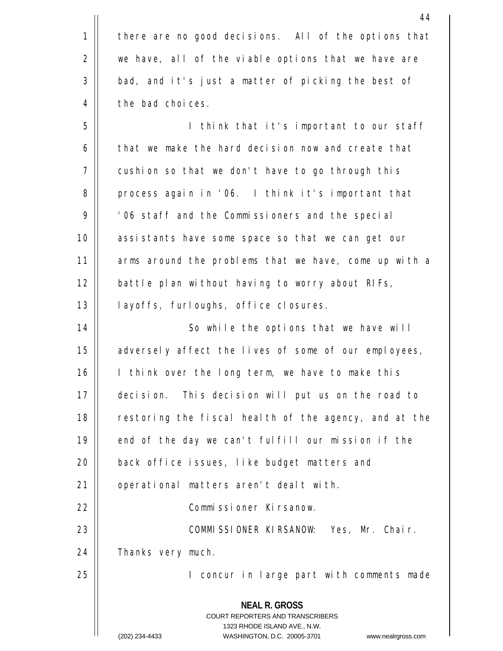|    | 44                                                                                                                                                              |
|----|-----------------------------------------------------------------------------------------------------------------------------------------------------------------|
| 1  | there are no good decisions. All of the options that                                                                                                            |
| 2  | we have, all of the viable options that we have are                                                                                                             |
| 3  | bad, and it's just a matter of picking the best of                                                                                                              |
| 4  | the bad choices.                                                                                                                                                |
| 5  | I think that it's important to our staff                                                                                                                        |
| 6  | that we make the hard decision now and create that                                                                                                              |
| 7  | cushion so that we don't have to go through this                                                                                                                |
| 8  | process again in '06. I think it's important that                                                                                                               |
| 9  | '06 staff and the Commissioners and the special                                                                                                                 |
| 10 | assistants have some space so that we can get our                                                                                                               |
| 11 | arms around the problems that we have, come up with a                                                                                                           |
| 12 | battle plan without having to worry about RIFs,                                                                                                                 |
| 13 | layoffs, furloughs, office closures.                                                                                                                            |
| 14 | So while the options that we have will                                                                                                                          |
| 15 | adversely affect the lives of some of our employees,                                                                                                            |
| 16 | I think over the long term, we have to make this                                                                                                                |
| 17 | decision. This decision will put us on the road to                                                                                                              |
| 18 | restoring the fiscal health of the agency, and at the                                                                                                           |
| 19 | end of the day we can't fulfill our mission if the                                                                                                              |
| 20 | back office issues, like budget matters and                                                                                                                     |
| 21 | operational matters aren't dealt with.                                                                                                                          |
| 22 | Commissioner Kirsanow.                                                                                                                                          |
| 23 | COMMISSIONER KIRSANOW: Yes, Mr. Chair.                                                                                                                          |
| 24 | Thanks very much.                                                                                                                                               |
| 25 | I concur in large part with comments made                                                                                                                       |
|    | <b>NEAL R. GROSS</b><br>COURT REPORTERS AND TRANSCRIBERS<br>1323 RHODE ISLAND AVE., N.W.<br>(202) 234-4433<br>WASHINGTON, D.C. 20005-3701<br>www.nealrgross.com |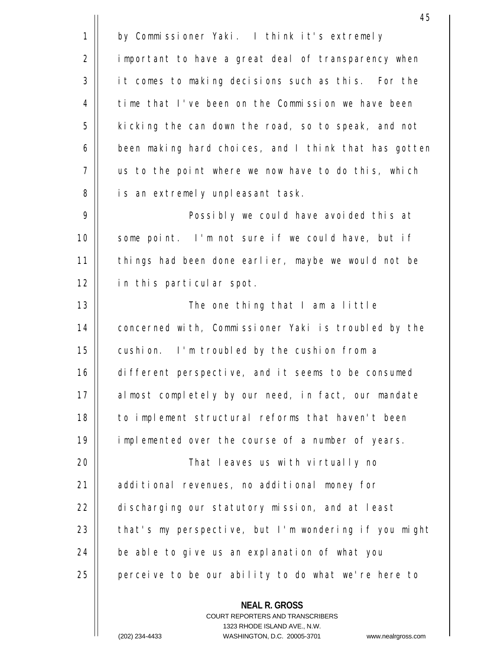**NEAL R. GROSS** 45 1 2 3 4 5 6 7 8 9 10 11 12 13 14 15 16 17 18 19  $20$ 21 22 23 24 25 by Commissioner Yaki. I think it's extremely important to have a great deal of transparency when it comes to making decisions such as this. For the time that I've been on the Commission we have been kicking the can down the road, so to speak, and not been making hard choices, and I think that has gotten us to the point where we now have to do this, which is an extremely unpleasant task. Possibly we could have avoided this at some point. I'm not sure if we could have, but if things had been done earlier, maybe we would not be in this particular spot. The one thing that I am a little concerned with, Commissioner Yaki is troubled by the cushion. I'm troubled by the cushion from a different perspective, and it seems to be consumed almost completely by our need, in fact, our mandate to implement structural reforms that haven't been implemented over the course of a number of years. That leaves us with virtually no additional revenues, no additional money for discharging our statutory mission, and at least that's my perspective, but I'm wondering if you might be able to give us an explanation of what you perceive to be our ability to do what we're here to

> COURT REPORTERS AND TRANSCRIBERS 1323 RHODE ISLAND AVE., N.W.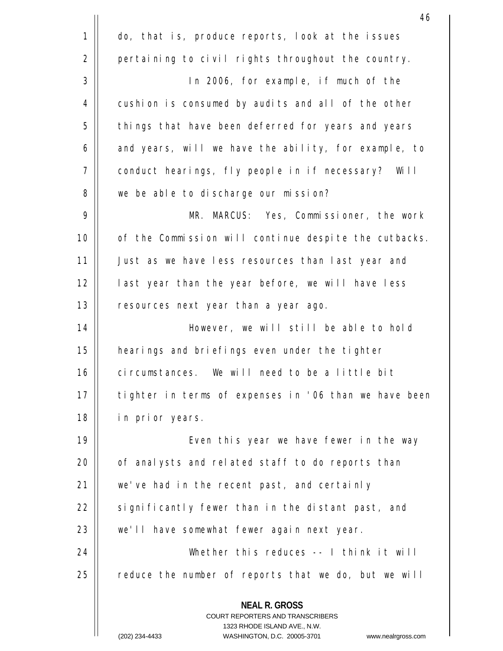|    | 46                                                                                                                                                                      |
|----|-------------------------------------------------------------------------------------------------------------------------------------------------------------------------|
| 1  | do, that is, produce reports, look at the issues                                                                                                                        |
| 2  | pertaining to civil rights throughout the country.                                                                                                                      |
| 3  | In 2006, for example, if much of the                                                                                                                                    |
| 4  | cushion is consumed by audits and all of the other                                                                                                                      |
| 5  | things that have been deferred for years and years                                                                                                                      |
| 6  | and years, will we have the ability, for example, to                                                                                                                    |
| 7  | conduct hearings, fly people in if necessary? Will                                                                                                                      |
| 8  | we be able to discharge our mission?                                                                                                                                    |
| 9  | MR. MARCUS: Yes, Commissioner, the work                                                                                                                                 |
| 10 | of the Commission will continue despite the cutbacks.                                                                                                                   |
| 11 | Just as we have less resources than last year and                                                                                                                       |
| 12 | last year than the year before, we will have less                                                                                                                       |
| 13 | resources next year than a year ago.                                                                                                                                    |
| 14 | However, we will still be able to hold                                                                                                                                  |
| 15 | hearings and briefings even under the tighter                                                                                                                           |
| 16 | circumstances. We will need to be a little bit                                                                                                                          |
| 17 | tighter in terms of expenses in '06 than we have been                                                                                                                   |
| 18 | in prior years.                                                                                                                                                         |
| 19 | Even this year we have fewer in the way                                                                                                                                 |
| 20 | of analysts and related staff to do reports than                                                                                                                        |
| 21 | we've had in the recent past, and certainly                                                                                                                             |
| 22 | significantly fewer than in the distant past, and                                                                                                                       |
| 23 | we'll have somewhat fewer again next year.                                                                                                                              |
| 24 | Whether this reduces -- I think it will                                                                                                                                 |
| 25 | reduce the number of reports that we do, but we will                                                                                                                    |
|    | <b>NEAL R. GROSS</b><br><b>COURT REPORTERS AND TRANSCRIBERS</b><br>1323 RHODE ISLAND AVE., N.W.<br>WASHINGTON D.C. 20005-3701<br>$(202)$ 234-4433<br>www.nealroross.com |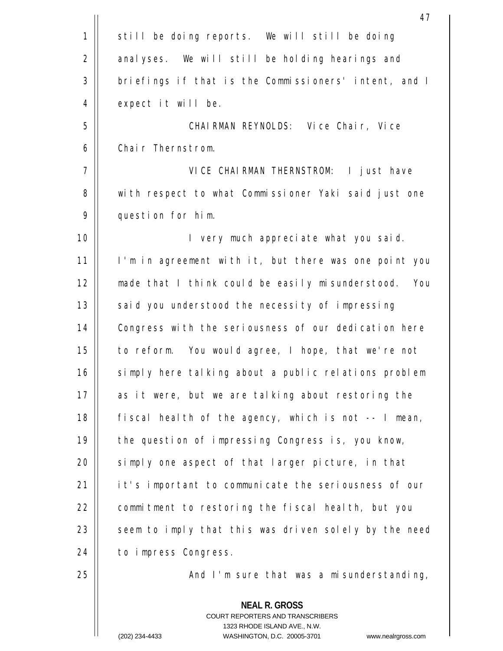|             | 47                                                                                                                                                                     |
|-------------|------------------------------------------------------------------------------------------------------------------------------------------------------------------------|
| $\mathbf 1$ | still be doing reports. We will still be doing                                                                                                                         |
| 2           | analyses. We will still be holding hearings and                                                                                                                        |
| 3           | briefings if that is the Commissioners' intent, and I                                                                                                                  |
| 4           | expect it will be.                                                                                                                                                     |
| 5           | CHAIRMAN REYNOLDS: Vice Chair, Vice                                                                                                                                    |
| 6           | Chair Thernstrom.                                                                                                                                                      |
| 7           | VICE CHAIRMAN THERNSTROM:<br>I just have                                                                                                                               |
| 8           | with respect to what Commissioner Yaki said just one                                                                                                                   |
| 9           | question for him.                                                                                                                                                      |
| 10          | I very much appreciate what you said.                                                                                                                                  |
| 11          | I'm in agreement with it, but there was one point you                                                                                                                  |
| 12          | made that I think could be easily misunderstood. You                                                                                                                   |
| 13          | said you understood the necessity of impressing                                                                                                                        |
| 14          | Congress with the seriousness of our dedication here                                                                                                                   |
| 15          | to reform. You would agree, I hope, that we're not                                                                                                                     |
| 16          | simply here talking about a public relations problem                                                                                                                   |
| 17          | as it were, but we are talking about restoring the                                                                                                                     |
| 18          | fiscal health of the agency, which is not -- I mean,                                                                                                                   |
| 19          | the question of impressing Congress is, you know,                                                                                                                      |
| 20          | simply one aspect of that larger picture, in that                                                                                                                      |
| 21          | it's important to communicate the seriousness of our                                                                                                                   |
| 22          | commitment to restoring the fiscal health, but you                                                                                                                     |
| 23          | seem to imply that this was driven solely by the need                                                                                                                  |
| 24          | to impress Congress.                                                                                                                                                   |
| 25          | And I'm sure that was a misunderstanding,                                                                                                                              |
|             | <b>NEAL R. GROSS</b><br><b>COURT REPORTERS AND TRANSCRIBERS</b><br>1323 RHODE ISLAND AVE., N.W.<br>(202) 234-4433<br>WASHINGTON, D.C. 20005-3701<br>www.nealrgross.com |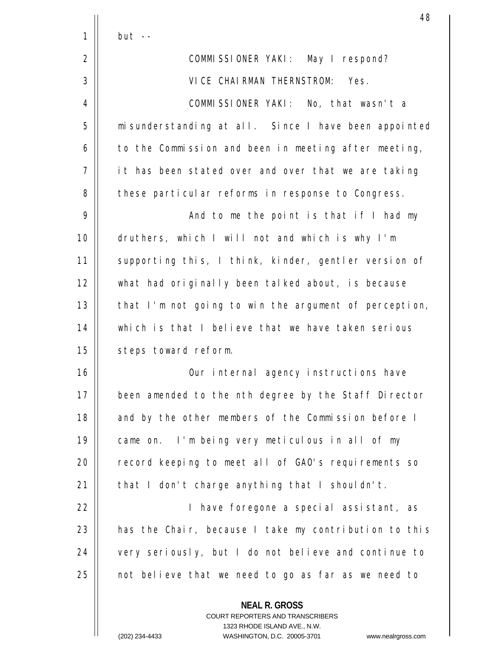|    | 48                                                                                                                                                                     |
|----|------------------------------------------------------------------------------------------------------------------------------------------------------------------------|
| 1  | $but --$                                                                                                                                                               |
| 2  | COMMISSIONER YAKI: May I respond?                                                                                                                                      |
| 3  | VICE CHAIRMAN THERNSTROM: Yes.                                                                                                                                         |
| 4  | COMMISSIONER YAKI: No, that wasn't a                                                                                                                                   |
| 5  | misunderstanding at all. Since I have been appointed                                                                                                                   |
| 6  | to the Commission and been in meeting after meeting,                                                                                                                   |
| 7  | it has been stated over and over that we are taking                                                                                                                    |
| 8  | these particular reforms in response to Congress.                                                                                                                      |
| 9  | And to me the point is that if I had my                                                                                                                                |
| 10 | druthers, which I will not and which is why I'm                                                                                                                        |
| 11 | supporting this, I think, kinder, gentler version of                                                                                                                   |
| 12 | what had originally been talked about, is because                                                                                                                      |
| 13 | that I'm not going to win the argument of perception,                                                                                                                  |
| 14 | which is that I believe that we have taken serious                                                                                                                     |
| 15 | steps toward reform.                                                                                                                                                   |
| 16 | Our internal agency instructions have                                                                                                                                  |
| 17 | been amended to the nth degree by the Staff Director                                                                                                                   |
| 18 | and by the other members of the Commission before I                                                                                                                    |
| 19 | came on. I'm being very meticulous in all of my                                                                                                                        |
| 20 | record keeping to meet all of GAO's requirements so                                                                                                                    |
| 21 | that I don't charge anything that I shouldn't.                                                                                                                         |
| 22 | I have foregone a special assistant, as                                                                                                                                |
| 23 | has the Chair, because I take my contribution to this                                                                                                                  |
| 24 | very seriously, but I do not believe and continue to                                                                                                                   |
| 25 | not believe that we need to go as far as we need to                                                                                                                    |
|    | <b>NEAL R. GROSS</b><br><b>COURT REPORTERS AND TRANSCRIBERS</b><br>1323 RHODE ISLAND AVE., N.W.<br>(202) 234-4433<br>WASHINGTON, D.C. 20005-3701<br>www.nealrgross.com |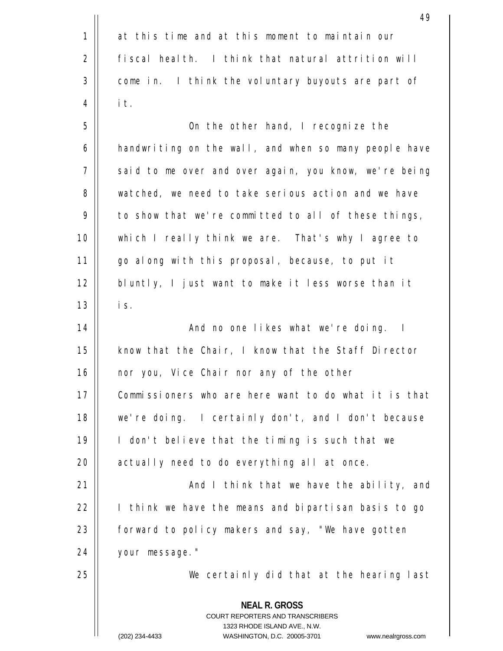|             | 49                                                                                                                                                                      |
|-------------|-------------------------------------------------------------------------------------------------------------------------------------------------------------------------|
| $\mathbf 1$ | at this time and at this moment to maintain our                                                                                                                         |
| 2           | fiscal health. I think that natural attrition will                                                                                                                      |
| 3           | come in. I think the voluntary buyouts are part of                                                                                                                      |
| 4           | it.                                                                                                                                                                     |
| 5           | On the other hand, I recognize the                                                                                                                                      |
| 6           | handwriting on the wall, and when so many people have                                                                                                                   |
| 7           | said to me over and over again, you know, we're being                                                                                                                   |
| 8           | watched, we need to take serious action and we have                                                                                                                     |
| 9           | to show that we're committed to all of these things,                                                                                                                    |
| 10          | which I really think we are. That's why I agree to                                                                                                                      |
| 11          | go along with this proposal, because, to put it                                                                                                                         |
| 12          | bluntly, I just want to make it less worse than it                                                                                                                      |
| 13          | is.                                                                                                                                                                     |
| 14          | And no one likes what we're doing. I                                                                                                                                    |
| 15          | know that the Chair, I know that the Staff Director                                                                                                                     |
| 16          | nor you, Vice Chair nor any of the other                                                                                                                                |
| 17          | Commissioners who are here want to do what it is that                                                                                                                   |
| 18          | we're doing. I certainly don't, and I don't because                                                                                                                     |
| 19          | I don't believe that the timing is such that we                                                                                                                         |
| 20          | actually need to do everything all at once.                                                                                                                             |
| 21          | And I think that we have the ability, and                                                                                                                               |
| 22          | I think we have the means and bipartisan basis to go                                                                                                                    |
| 23          | forward to policy makers and say, "We have gotten                                                                                                                       |
| 24          | your message."                                                                                                                                                          |
| 25          | We certainly did that at the hearing last                                                                                                                               |
|             | <b>NEAL R. GROSS</b><br><b>COURT REPORTERS AND TRANSCRIBERS</b><br>1323 RHODE ISLAND AVE., N.W.<br>WASHINGTON D.C. 20005-3701<br>$(202)$ 234-4433<br>www.nealraross.com |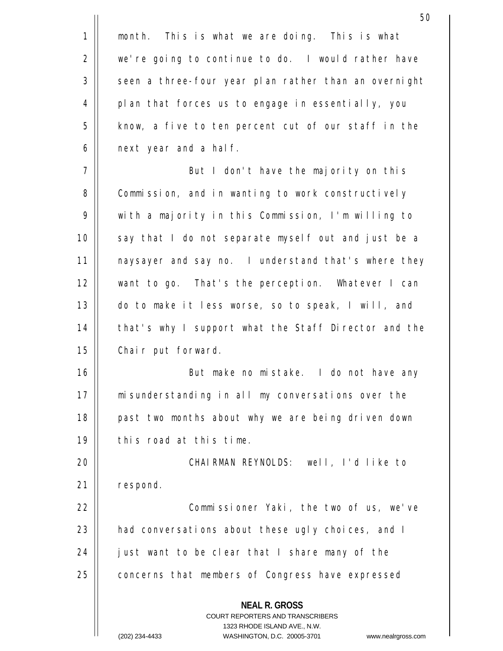|             | 50                                                                                              |
|-------------|-------------------------------------------------------------------------------------------------|
| $\mathbf 1$ | month. This is what we are doing. This is what                                                  |
| 2           | we're going to continue to do. I would rather have                                              |
| 3           | seen a three-four year plan rather than an overnight                                            |
| 4           | plan that forces us to engage in essentially, you                                               |
| 5           | know, a five to ten percent cut of our staff in the                                             |
| 6           | next year and a half.                                                                           |
| 7           | But I don't have the majority on this                                                           |
| 8           | Commission, and in wanting to work constructively                                               |
| 9           | with a majority in this Commission, I'm willing to                                              |
| 10          | say that I do not separate myself out and just be a                                             |
| 11          | naysayer and say no. I understand that's where they                                             |
| 12          | want to go. That's the perception. Whatever I can                                               |
| 13          | do to make it less worse, so to speak, I will, and                                              |
| 14          | that's why I support what the Staff Director and the                                            |
| 15          | Chair put forward.                                                                              |
| 16          | But make no mistake. I do not have any                                                          |
| 17          | misunderstanding in all my conversations over the                                               |
| 18          | past two months about why we are being driven down                                              |
| 19          | this road at this time.                                                                         |
| 20          | CHAIRMAN REYNOLDS: well, I'd like to                                                            |
| 21          | respond.                                                                                        |
| 22          | Commissioner Yaki, the two of us, we've                                                         |
| 23          | had conversations about these ugly choices, and I                                               |
| 24          | just want to be clear that I share many of the                                                  |
| 25          | concerns that members of Congress have expressed                                                |
|             | <b>NEAL R. GROSS</b><br><b>COURT REPORTERS AND TRANSCRIBERS</b><br>1323 RHODE ISLAND AVE., N.W. |
|             | (202) 234-4433<br>WASHINGTON, D.C. 20005-3701<br>www.nealrgross.com                             |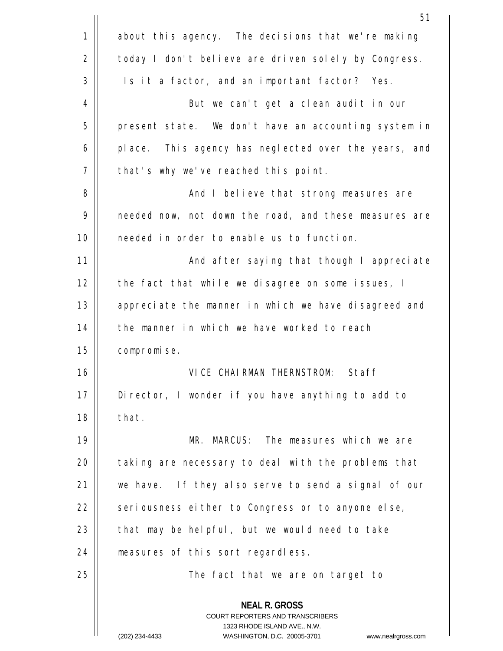|    | 51                                                                                                                                                                     |
|----|------------------------------------------------------------------------------------------------------------------------------------------------------------------------|
| 1  | about this agency. The decisions that we're making                                                                                                                     |
| 2  | today I don't believe are driven solely by Congress.                                                                                                                   |
| 3  | Is it a factor, and an important factor? Yes.                                                                                                                          |
| 4  | But we can't get a clean audit in our                                                                                                                                  |
| 5  | present state. We don't have an accounting system in                                                                                                                   |
| 6  | place. This agency has neglected over the years, and                                                                                                                   |
| 7  | that's why we've reached this point.                                                                                                                                   |
| 8  | And I believe that strong measures are                                                                                                                                 |
| 9  | needed now, not down the road, and these measures are                                                                                                                  |
| 10 | needed in order to enable us to function.                                                                                                                              |
| 11 | And after saying that though I appreciate                                                                                                                              |
| 12 | the fact that while we disagree on some issues, I                                                                                                                      |
| 13 | appreciate the manner in which we have disagreed and                                                                                                                   |
| 14 | the manner in which we have worked to reach                                                                                                                            |
| 15 | compromise.                                                                                                                                                            |
| 16 | Staff<br>VICE CHAIRMAN THERNSTROM:                                                                                                                                     |
| 17 | Director, I wonder if you have anything to add to                                                                                                                      |
| 18 | that.                                                                                                                                                                  |
| 19 | MR. MARCUS: The measures which we are                                                                                                                                  |
| 20 | taking are necessary to deal with the problems that                                                                                                                    |
| 21 | we have. If they also serve to send a signal of our                                                                                                                    |
| 22 | seriousness either to Congress or to anyone else,                                                                                                                      |
| 23 | that may be helpful, but we would need to take                                                                                                                         |
| 24 | measures of this sort regardless.                                                                                                                                      |
| 25 | The fact that we are on target to                                                                                                                                      |
|    | <b>NEAL R. GROSS</b><br><b>COURT REPORTERS AND TRANSCRIBERS</b><br>1323 RHODE ISLAND AVE., N.W.<br>(202) 234-4433<br>WASHINGTON, D.C. 20005-3701<br>www.nealrgross.com |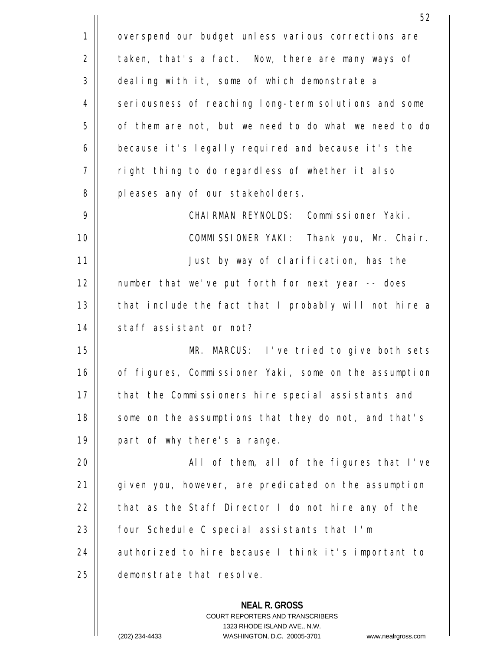|             | 52                                                    |
|-------------|-------------------------------------------------------|
| $\mathbf 1$ | overspend our budget unless various corrections are   |
| 2           | taken, that's a fact. Now, there are many ways of     |
| 3           | dealing with it, some of which demonstrate a          |
| 4           | seriousness of reaching long-term solutions and some  |
| 5           | of them are not, but we need to do what we need to do |
| 6           | because it's legally required and because it's the    |
| 7           | right thing to do regardless of whether it also       |
| 8           | pleases any of our stakeholders.                      |
| 9           | CHAIRMAN REYNOLDS: Commissioner Yaki.                 |
| 10          | COMMISSIONER YAKI: Thank you, Mr. Chair.              |
| 11          | Just by way of clarification, has the                 |
| 12          | number that we've put forth for next year -- does     |
| 13          | that include the fact that I probably will not hire a |
| 14          | staff assistant or not?                               |
| 15          | MR. MARCUS: I've tried to give both sets              |
| 16          | of figures, Commissioner Yaki, some on the assumption |
| 17          | that the Commissioners hire special assistants and    |
| 18          | some on the assumptions that they do not, and that's  |
| 19          | part of why there's a range.                          |
| 20          | All of them, all of the figures that I've             |
| 21          | given you, however, are predicated on the assumption  |
| 22          | that as the Staff Director I do not hire any of the   |
| 23          | four Schedule C special assistants that I'm           |
| 24          | authorized to hire because I think it's important to  |
| 25          | demonstrate that resolve.                             |
|             | <b>NEAL R. GROSS</b>                                  |

COURT REPORTERS AND TRANSCRIBERS 1323 RHODE ISLAND AVE., N.W.

 $\prod$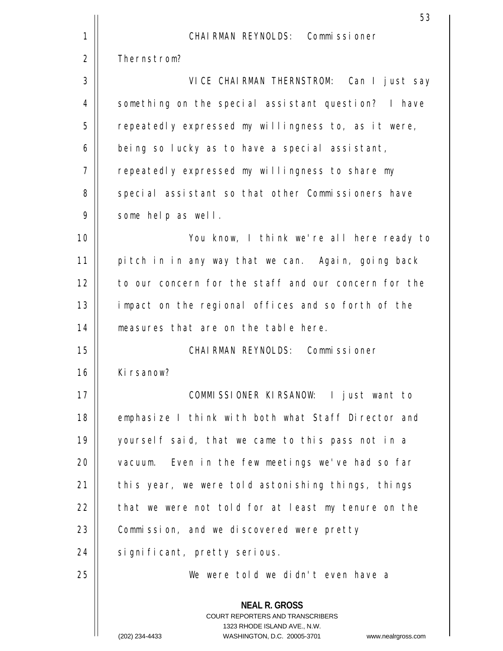|    | 53                                                                                                                                                                     |
|----|------------------------------------------------------------------------------------------------------------------------------------------------------------------------|
| 1  | CHAIRMAN REYNOLDS: Commissioner                                                                                                                                        |
| 2  | Thernstrom?                                                                                                                                                            |
| 3  | VICE CHAIRMAN THERNSTROM: Can I just say                                                                                                                               |
| 4  | something on the special assistant question? I have                                                                                                                    |
| 5  | repeatedly expressed my willingness to, as it were,                                                                                                                    |
| 6  | being so lucky as to have a special assistant,                                                                                                                         |
| 7  | repeatedly expressed my willingness to share my                                                                                                                        |
| 8  | special assistant so that other Commissioners have                                                                                                                     |
| 9  | some help as well.                                                                                                                                                     |
| 10 | You know, I think we're all here ready to                                                                                                                              |
| 11 | pitch in in any way that we can. Again, going back                                                                                                                     |
| 12 | to our concern for the staff and our concern for the                                                                                                                   |
| 13 | impact on the regional offices and so forth of the                                                                                                                     |
| 14 | measures that are on the table here.                                                                                                                                   |
| 15 | CHAIRMAN REYNOLDS: Commissioner                                                                                                                                        |
| 16 | Kirsanow?                                                                                                                                                              |
| 17 | COMMISSIONER KIRSANOW: I just want to                                                                                                                                  |
| 18 | emphasize I think with both what Staff Director and                                                                                                                    |
| 19 | yourself said, that we came to this pass not in a                                                                                                                      |
| 20 | vacuum. Even in the few meetings we've had so far                                                                                                                      |
| 21 | this year, we were told astonishing things, things                                                                                                                     |
| 22 | that we were not told for at least my tenure on the                                                                                                                    |
| 23 | Commission, and we discovered were pretty                                                                                                                              |
| 24 | significant, pretty serious.                                                                                                                                           |
| 25 | We were told we didn't even have a                                                                                                                                     |
|    | <b>NEAL R. GROSS</b><br><b>COURT REPORTERS AND TRANSCRIBERS</b><br>1323 RHODE ISLAND AVE., N.W.<br>(202) 234-4433<br>WASHINGTON, D.C. 20005-3701<br>www.nealrgross.com |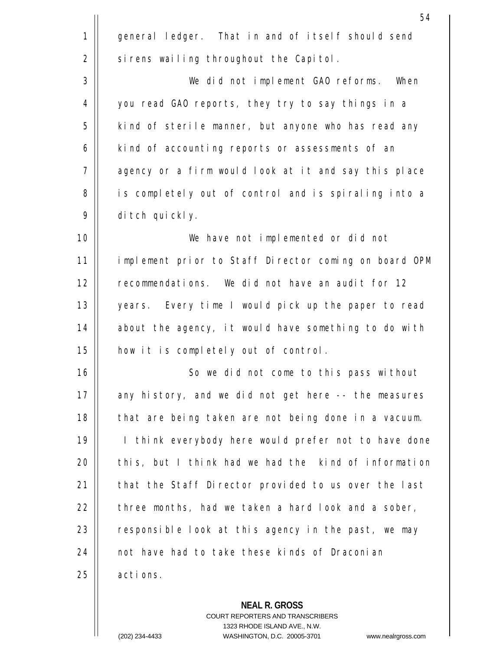|             | 54                                                    |
|-------------|-------------------------------------------------------|
| $\mathbf 1$ | general ledger. That in and of itself should send     |
| 2           | sirens wailing throughout the Capitol.                |
| 3           | We did not implement GAO reforms.<br>When             |
| 4           | you read GAO reports, they try to say things in a     |
| 5           | kind of sterile manner, but anyone who has read any   |
| 6           | kind of accounting reports or assessments of an       |
| 7           | agency or a firm would look at it and say this place  |
| 8           | is completely out of control and is spiraling into a  |
| 9           | ditch quickly.                                        |
| 10          | We have not implemented or did not                    |
| 11          | implement prior to Staff Director coming on board OPM |
| 12          | recommendations. We did not have an audit for 12      |
| 13          | years. Every time I would pick up the paper to read   |
| 14          | about the agency, it would have something to do with  |
| 15          | how it is completely out of control.                  |
| 16          | So we did not come to this pass without               |
| 17          | any history, and we did not get here -- the measures  |
| 18          | that are being taken are not being done in a vacuum.  |
| 19          | I think everybody here would prefer not to have done  |
| 20          | this, but I think had we had the kind of information  |
| 21          | that the Staff Director provided to us over the last  |
| 22          | three months, had we taken a hard look and a sober,   |
| 23          | responsible look at this agency in the past, we may   |
| 24          | not have had to take these kinds of Draconian         |
| 25          | actions.                                              |
|             | <b>NEAL R. GROSS</b>                                  |

COURT REPORTERS AND TRANSCRIBERS 1323 RHODE ISLAND AVE., N.W.

 $\mathsf{II}$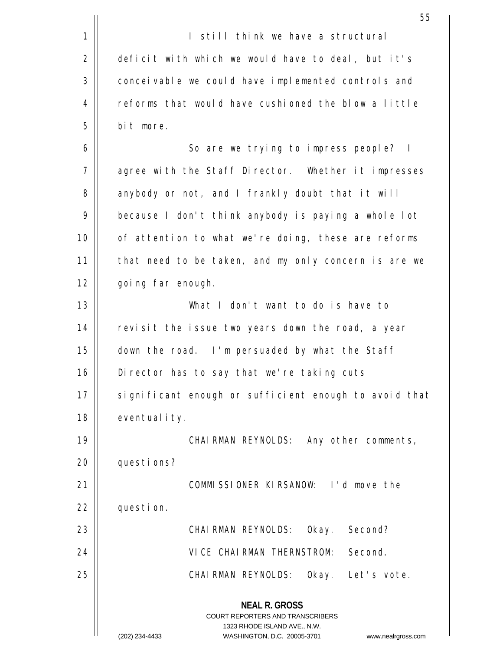|    | 55                                                                                              |
|----|-------------------------------------------------------------------------------------------------|
| 1  | I still think we have a structural                                                              |
| 2  | deficit with which we would have to deal, but it's                                              |
| 3  | conceivable we could have implemented controls and                                              |
| 4  | reforms that would have cushioned the blow a little                                             |
| 5  | bit more.                                                                                       |
| 6  | So are we trying to impress people?<br>$\mathbb{I}$                                             |
| 7  | agree with the Staff Director. Whether it impresses                                             |
| 8  | anybody or not, and I frankly doubt that it will                                                |
| 9  | because I don't think anybody is paying a whole lot                                             |
| 10 | of attention to what we're doing, these are reforms                                             |
| 11 | that need to be taken, and my only concern is are we                                            |
| 12 | going far enough.                                                                               |
| 13 | What I don't want to do is have to                                                              |
| 14 | revisit the issue two years down the road, a year                                               |
| 15 | down the road. I'm persuaded by what the Staff                                                  |
| 16 | Director has to say that we're taking cuts                                                      |
| 17 | significant enough or sufficient enough to avoid that                                           |
| 18 | eventuality.                                                                                    |
| 19 | CHAIRMAN REYNOLDS: Any other comments,                                                          |
| 20 | questions?                                                                                      |
| 21 | COMMISSIONER KIRSANOW: I'd move the                                                             |
| 22 | question.                                                                                       |
| 23 | CHAIRMAN REYNOLDS: Okay. Second?                                                                |
| 24 | Second.<br>VICE CHAIRMAN THERNSTROM:                                                            |
| 25 | Okay. Let's vote.<br>CHAIRMAN REYNOLDS:                                                         |
|    | <b>NEAL R. GROSS</b><br><b>COURT REPORTERS AND TRANSCRIBERS</b><br>1323 RHODE ISLAND AVE., N.W. |
|    | (202) 234-4433<br>WASHINGTON, D.C. 20005-3701<br>www.nealrgross.com                             |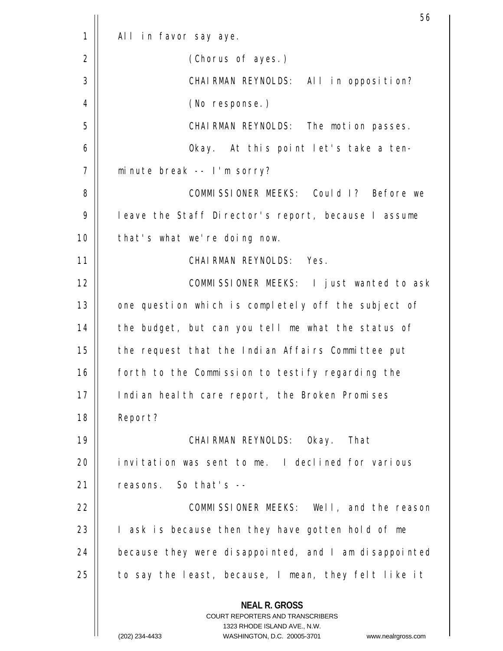|             | 56                                                                                                                                                              |
|-------------|-----------------------------------------------------------------------------------------------------------------------------------------------------------------|
| $\mathbf 1$ | All in favor say aye.                                                                                                                                           |
| 2           | (Chorus of ayes.)                                                                                                                                               |
| 3           | CHAIRMAN REYNOLDS: All in opposition?                                                                                                                           |
| 4           | (No response.)                                                                                                                                                  |
| 5           | CHAIRMAN REYNOLDS: The motion passes.                                                                                                                           |
| 6           | Okay. At this point let's take a ten-                                                                                                                           |
| 7           | minute break -- I'm sorry?                                                                                                                                      |
| 8           | COMMISSIONER MEEKS: Could I? Before we                                                                                                                          |
| 9           | leave the Staff Director's report, because I assume                                                                                                             |
| 10          | that's what we're doing now.                                                                                                                                    |
| 11          | CHAIRMAN REYNOLDS: Yes.                                                                                                                                         |
| 12          | COMMISSIONER MEEKS: I just wanted to ask                                                                                                                        |
| 13          | one question which is completely off the subject of                                                                                                             |
| 14          | the budget, but can you tell me what the status of                                                                                                              |
| 15          | the request that the Indian Affairs Committee put                                                                                                               |
| 16          | forth to the Commission to testify regarding the                                                                                                                |
| 17          | Indian health care report, the Broken Promises                                                                                                                  |
| 18          | Report?                                                                                                                                                         |
| 19          | CHAIRMAN REYNOLDS: Okay. That                                                                                                                                   |
| 20          | invitation was sent to me. I declined for various                                                                                                               |
| 21          | reasons. So that's --                                                                                                                                           |
| 22          | COMMISSIONER MEEKS: Well, and the reason                                                                                                                        |
| 23          | I ask is because then they have gotten hold of me                                                                                                               |
| 24          | because they were disappointed, and I am disappointed                                                                                                           |
| 25          | to say the least, because, I mean, they felt like it                                                                                                            |
|             | <b>NEAL R. GROSS</b><br>COURT REPORTERS AND TRANSCRIBERS<br>1323 RHODE ISLAND AVE., N.W.<br>(202) 234-4433<br>WASHINGTON, D.C. 20005-3701<br>www.nealrgross.com |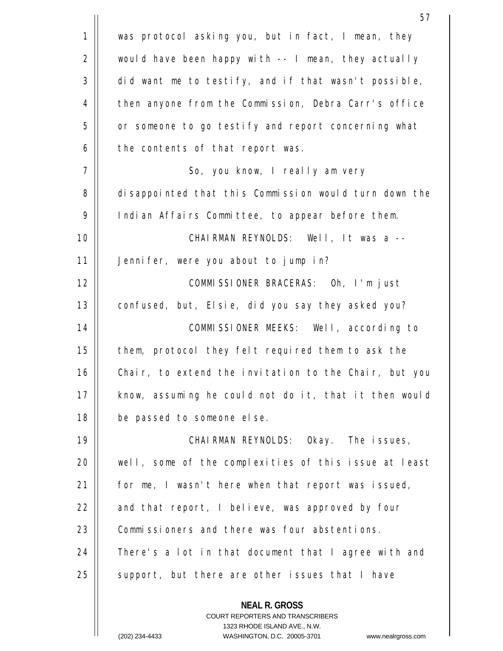|             | 57                                                       |
|-------------|----------------------------------------------------------|
| $\mathbf 1$ | was protocol asking you, but in fact, I mean, they       |
| 2           | would have been happy with -- I mean, they actually      |
| 3           | did want me to testify, and if that wasn't possible,     |
| 4           | then anyone from the Commission, Debra Carr's office     |
| 5           | or someone to go testify and report concerning what      |
| 6           | the contents of that report was.                         |
| 7           | So, you know, I really am very                           |
| 8           | disappointed that this Commission would turn down the    |
| 9           | Indian Affairs Committee, to appear before them.         |
| 10          | CHAIRMAN REYNOLDS: Well, It was a --                     |
| 11          | Jennifer, were you about to jump in?                     |
| 12          | COMMISSIONER BRACERAS: Oh, I'm just                      |
| 13          | confused, but, Elsie, did you say they asked you?        |
| 14          | COMMISSIONER MEEKS: Well, according to                   |
| 15          | them, protocol they felt required them to ask the        |
| 16          | Chair, to extend the invitation to the Chair, but you    |
| 17          | know, assuming he could not do it, that it then would    |
| 18          | be passed to someone else.                               |
| 19          | CHAIRMAN REYNOLDS: Okay. The issues,                     |
| 20          | well, some of the complexities of this issue at least    |
| 21          | for me, I wasn't here when that report was issued,       |
| 22          | and that report, I believe, was approved by four         |
| 23          | Commissioners and there was four abstentions.            |
| 24          | There's a lot in that document that I agree with and     |
| 25          | support, but there are other issues that I have          |
|             | <b>NEAL R. GROSS</b><br>COURT REPORTERS AND TRANSCRIBERS |

 $\overline{\phantom{a}}$  $\prod$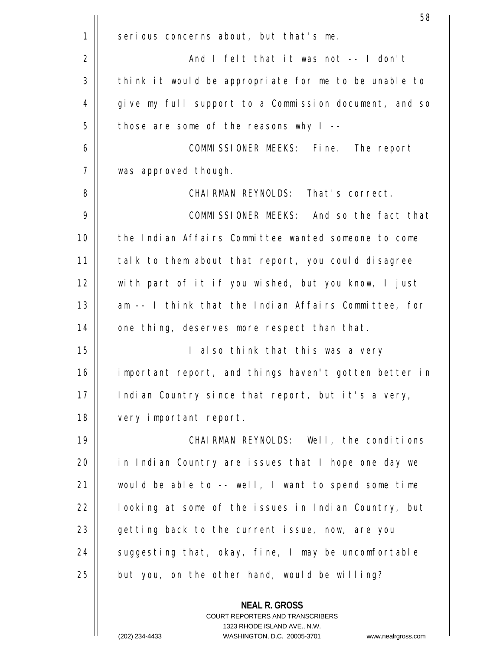|    | 58                                                    |
|----|-------------------------------------------------------|
| 1  | serious concerns about, but that's me.                |
| 2  | And I felt that it was not -- I don't                 |
| 3  | think it would be appropriate for me to be unable to  |
| 4  | give my full support to a Commission document, and so |
| 5  | those are some of the reasons why $I$ --              |
| 6  | COMMISSIONER MEEKS: Fine. The report                  |
| 7  | was approved though.                                  |
| 8  | CHAIRMAN REYNOLDS: That's correct.                    |
| 9  | COMMISSIONER MEEKS: And so the fact that              |
| 10 | the Indian Affairs Committee wanted someone to come   |
| 11 | talk to them about that report, you could disagree    |
| 12 | with part of it if you wished, but you know, I just   |
| 13 | am -- I think that the Indian Affairs Committee, for  |
| 14 | one thing, deserves more respect than that.           |
| 15 | I also think that this was a very                     |
| 16 | important report, and things haven't gotten better in |
| 17 | Indian Country since that report, but it's a very,    |
| 18 | very important report.                                |
| 19 | CHAIRMAN REYNOLDS: Well, the conditions               |
| 20 | in Indian Country are issues that I hope one day we   |
| 21 | would be able to -- well, I want to spend some time   |
| 22 | looking at some of the issues in Indian Country, but  |
| 23 | getting back to the current issue, now, are you       |
| 24 | suggesting that, okay, fine, I may be uncomfortable   |
| 25 | but you, on the other hand, would be willing?         |
|    | <b>NEAL R. GROSS</b>                                  |

COURT REPORTERS AND TRANSCRIBERS 1323 RHODE ISLAND AVE., N.W.

 $\mathsf{II}$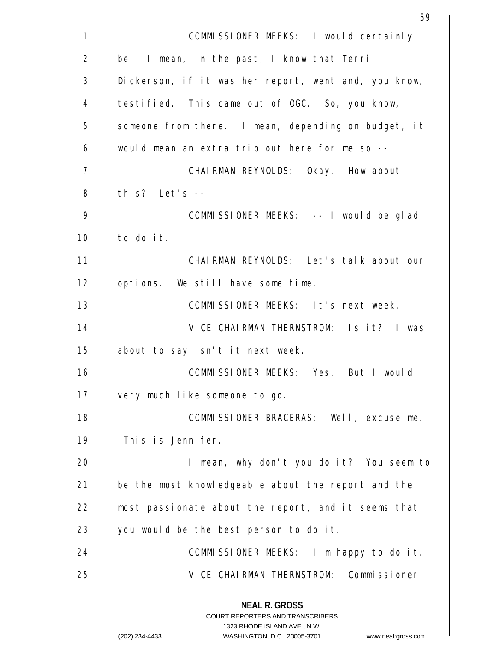|    | 59                                                                                                                                                                     |
|----|------------------------------------------------------------------------------------------------------------------------------------------------------------------------|
| 1  | COMMISSIONER MEEKS: I would certainly                                                                                                                                  |
| 2  | be. I mean, in the past, I know that Terri                                                                                                                             |
| 3  | Dickerson, if it was her report, went and, you know,                                                                                                                   |
| 4  | testified. This came out of OGC. So, you know,                                                                                                                         |
| 5  | someone from there. I mean, depending on budget, it                                                                                                                    |
| 6  | would mean an extra trip out here for me so --                                                                                                                         |
| 7  | CHAIRMAN REYNOLDS: Okay. How about                                                                                                                                     |
| 8  | this? Let's --                                                                                                                                                         |
| 9  | COMMISSIONER MEEKS: -- I would be glad                                                                                                                                 |
| 10 | to do it.                                                                                                                                                              |
| 11 | CHAIRMAN REYNOLDS: Let's talk about our                                                                                                                                |
| 12 | options. We still have some time.                                                                                                                                      |
| 13 | COMMISSIONER MEEKS: It's next week.                                                                                                                                    |
| 14 | VICE CHAIRMAN THERNSTROM: Is it? I was                                                                                                                                 |
| 15 | about to say isn't it next week.                                                                                                                                       |
| 16 | COMMISSIONER MEEKS: Yes. But I would                                                                                                                                   |
| 17 | very much like someone to go.                                                                                                                                          |
| 18 | COMMISSIONER BRACERAS: Well, excuse me.                                                                                                                                |
| 19 | This is Jennifer.                                                                                                                                                      |
| 20 | I mean, why don't you do it? You seem to                                                                                                                               |
| 21 | be the most knowledgeable about the report and the                                                                                                                     |
| 22 | most passionate about the report, and it seems that                                                                                                                    |
| 23 | you would be the best person to do it.                                                                                                                                 |
| 24 | COMMISSIONER MEEKS: I'm happy to do it.                                                                                                                                |
| 25 | VICE CHAIRMAN THERNSTROM: Commissioner                                                                                                                                 |
|    | <b>NEAL R. GROSS</b><br><b>COURT REPORTERS AND TRANSCRIBERS</b><br>1323 RHODE ISLAND AVE., N.W.<br>(202) 234-4433<br>WASHINGTON, D.C. 20005-3701<br>www.nealrgross.com |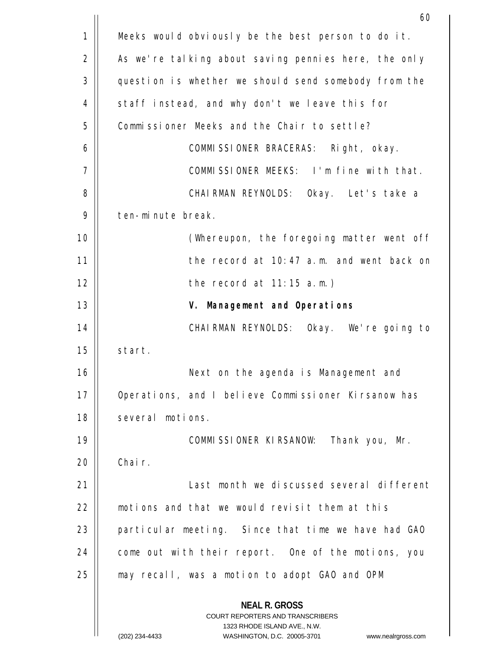|             | 60                                                                                                                                                              |
|-------------|-----------------------------------------------------------------------------------------------------------------------------------------------------------------|
| $\mathbf 1$ | Meeks would obviously be the best person to do it.                                                                                                              |
| 2           | As we're talking about saving pennies here, the only                                                                                                            |
| 3           | question is whether we should send somebody from the                                                                                                            |
| 4           | staff instead, and why don't we leave this for                                                                                                                  |
| 5           | Commissioner Meeks and the Chair to settle?                                                                                                                     |
| 6           | COMMISSIONER BRACERAS: Right, okay.                                                                                                                             |
| 7           | COMMISSIONER MEEKS: I'm fine with that.                                                                                                                         |
| 8           | CHAIRMAN REYNOLDS: Okay. Let's take a                                                                                                                           |
| 9           | ten-minute break.                                                                                                                                               |
| 10          | (Whereupon, the foregoing matter went off                                                                                                                       |
| 11          | the record at 10:47 a.m. and went back on                                                                                                                       |
| 12          | the record at $11:15$ a.m.)                                                                                                                                     |
| 13          | V. Management and Operations                                                                                                                                    |
| 14          | CHAIRMAN REYNOLDS: Okay. We're going to                                                                                                                         |
| 15          | start.                                                                                                                                                          |
| 16          | Next on the agenda is Management and                                                                                                                            |
| 17          | Operations, and I believe Commissioner Kirsanow has                                                                                                             |
| 18          | several motions.                                                                                                                                                |
| 19          | COMMISSIONER KIRSANOW: Thank you, Mr.                                                                                                                           |
| 20          | Chair.                                                                                                                                                          |
| 21          | Last month we discussed several different                                                                                                                       |
| 22          | motions and that we would revisit them at this                                                                                                                  |
| 23          | particular meeting. Since that time we have had GAO                                                                                                             |
| 24          | come out with their report. One of the motions, you                                                                                                             |
| 25          | may recall, was a motion to adopt GAO and OPM                                                                                                                   |
|             | <b>NEAL R. GROSS</b><br>COURT REPORTERS AND TRANSCRIBERS<br>1323 RHODE ISLAND AVE., N.W.<br>(202) 234-4433<br>WASHINGTON, D.C. 20005-3701<br>www.nealrgross.com |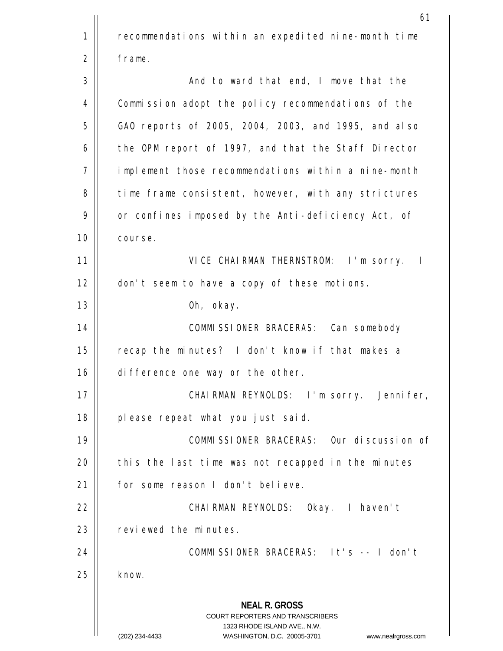**NEAL R. GROSS** COURT REPORTERS AND TRANSCRIBERS 1323 RHODE ISLAND AVE., N.W. (202) 234-4433 WASHINGTON, D.C. 20005-3701 www.nealrgross.com 61 1 2 3 4 5 6 7 8 9 10 11 12 13 14 15 16 17 18 19  $20$ 21 22 23 24 25 recommendations within an expedited nine-month time frame. And to ward that end, I move that the Commission adopt the policy recommendations of the GAO reports of 2005, 2004, 2003, and 1995, and also the OPM report of 1997, and that the Staff Director implement those recommendations within a nine-month time frame consistent, however, with any strictures or confines imposed by the Anti-deficiency Act, of course. VICE CHAIRMAN THERNSTROM: I'm sorry. I don't seem to have a copy of these motions. Oh, okay. COMMISSIONER BRACERAS: Can somebody recap the minutes? I don't know if that makes a difference one way or the other. CHAIRMAN REYNOLDS: I'm sorry. Jennifer, please repeat what you just said. COMMISSIONER BRACERAS: Our discussion of this the last time was not recapped in the minutes for some reason I don't believe. CHAIRMAN REYNOLDS: Okay. I haven't reviewed the minutes. COMMISSIONER BRACERAS: It's -- I don't know.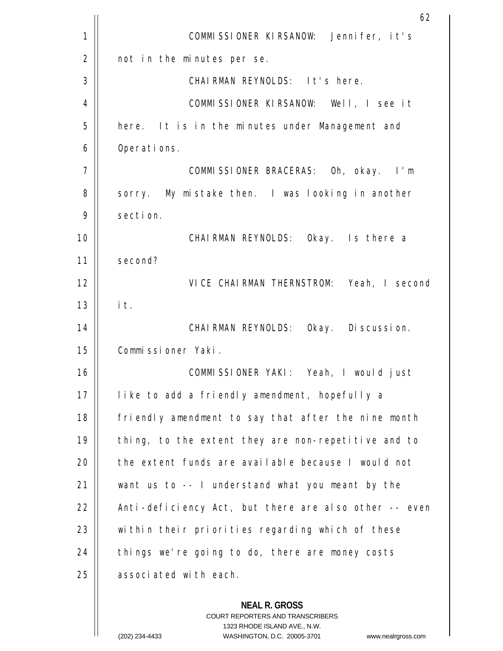|    | 62                                                                                                                                                                      |
|----|-------------------------------------------------------------------------------------------------------------------------------------------------------------------------|
| 1  | COMMISSIONER KIRSANOW: Jennifer, it's                                                                                                                                   |
| 2  | not in the minutes per se.                                                                                                                                              |
| 3  | CHAIRMAN REYNOLDS: It's here.                                                                                                                                           |
| 4  | COMMISSIONER KIRSANOW: Well, I see it                                                                                                                                   |
| 5  | here. It is in the minutes under Management and                                                                                                                         |
| 6  | Operations.                                                                                                                                                             |
| 7  | COMMISSIONER BRACERAS: Oh, okay. I'm                                                                                                                                    |
| 8  | sorry. My mistake then. I was looking in another                                                                                                                        |
| 9  | section.                                                                                                                                                                |
| 10 | CHAIRMAN REYNOLDS: Okay. Is there a                                                                                                                                     |
| 11 | second?                                                                                                                                                                 |
| 12 | VICE CHAIRMAN THERNSTROM: Yeah, I second                                                                                                                                |
| 13 | it.                                                                                                                                                                     |
| 14 | CHAIRMAN REYNOLDS: Okay. Discussion.                                                                                                                                    |
| 15 | Commissioner Yaki.                                                                                                                                                      |
| 16 | COMMISSIONER YAKI: Yeah, I would just                                                                                                                                   |
| 17 | like to add a friendly amendment, hopefully a                                                                                                                           |
| 18 | friendly amendment to say that after the nine month                                                                                                                     |
| 19 | thing, to the extent they are non-repetitive and to                                                                                                                     |
| 20 | the extent funds are available because I would not                                                                                                                      |
| 21 | want us to -- I understand what you meant by the                                                                                                                        |
| 22 | Anti-deficiency Act, but there are also other -- even                                                                                                                   |
| 23 | within their priorities regarding which of these                                                                                                                        |
| 24 | things we're going to do, there are money costs                                                                                                                         |
| 25 | associated with each.                                                                                                                                                   |
|    | <b>NEAL R. GROSS</b><br><b>COURT REPORTERS AND TRANSCRIBERS</b><br>1323 RHODE ISLAND AVE., N.W.<br>$(202)$ 234-4433<br>WASHINGTON D.C. 20005-3701<br>www.nealrgross.com |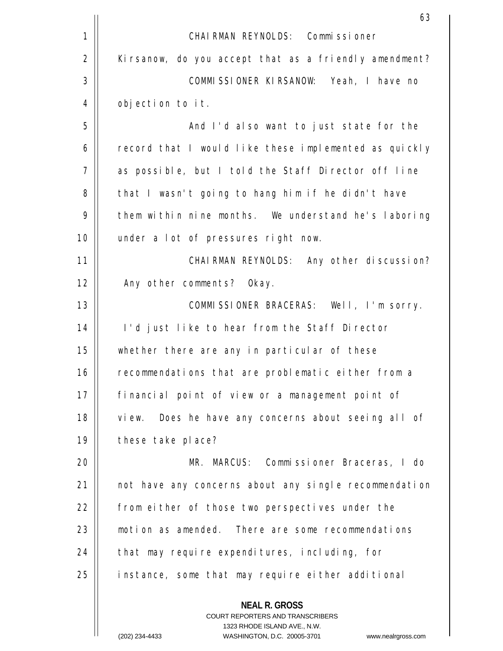|    | 63                                                                                                                                                                    |
|----|-----------------------------------------------------------------------------------------------------------------------------------------------------------------------|
| 1  | CHAIRMAN REYNOLDS: Commissioner                                                                                                                                       |
| 2  | Kirsanow, do you accept that as a friendly amendment?                                                                                                                 |
| 3  | COMMISSIONER KIRSANOW: Yeah, I have no                                                                                                                                |
| 4  | objection to it.                                                                                                                                                      |
| 5  | And I'd also want to just state for the                                                                                                                               |
| 6  | record that I would like these implemented as quickly                                                                                                                 |
| 7  | as possible, but I told the Staff Director off line                                                                                                                   |
| 8  | that I wasn't going to hang him if he didn't have                                                                                                                     |
| 9  | them within nine months. We understand he's laboring                                                                                                                  |
| 10 | under a lot of pressures right now.                                                                                                                                   |
| 11 | CHAIRMAN REYNOLDS: Any other discussion?                                                                                                                              |
| 12 | Any other comments? Okay.                                                                                                                                             |
| 13 | COMMISSIONER BRACERAS: Well, I'm sorry.                                                                                                                               |
| 14 | I'd just like to hear from the Staff Director                                                                                                                         |
| 15 | whether there are any in particular of these                                                                                                                          |
| 16 | recommendations that are problematic either from a                                                                                                                    |
| 17 | financial point of view or a management point of                                                                                                                      |
| 18 | Does he have any concerns about seeing all of<br>view.                                                                                                                |
| 19 | these take place?                                                                                                                                                     |
| 20 | MR. MARCUS: Commissioner Braceras, I do                                                                                                                               |
| 21 | not have any concerns about any single recommendation                                                                                                                 |
| 22 | from either of those two perspectives under the                                                                                                                       |
| 23 | motion as amended. There are some recommendations                                                                                                                     |
| 24 | that may require expenditures, including, for                                                                                                                         |
| 25 | instance, some that may require either additional                                                                                                                     |
|    | <b>NEAL R. GROSS</b><br><b>COURT REPORTERS AND TRANSCRIBERS</b><br>1323 RHODE ISLAND AVE., N.W.<br>WASHINGTON D.C. 20005-3701<br>(202) 234-4433<br>www.nealraross.com |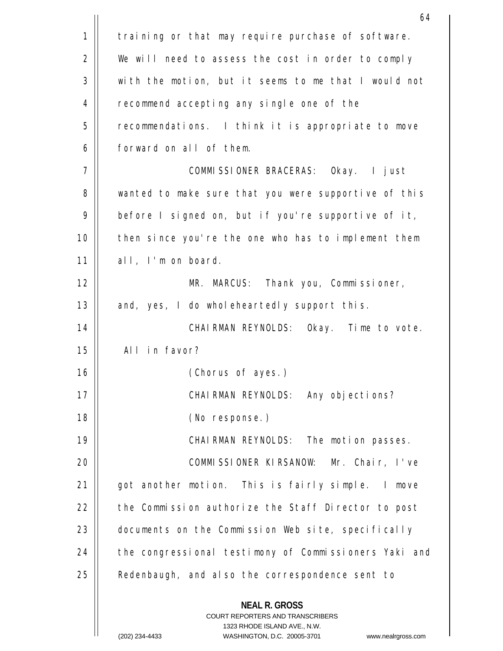|             | 64                                                                                                                                                                    |
|-------------|-----------------------------------------------------------------------------------------------------------------------------------------------------------------------|
| $\mathbf 1$ | training or that may require purchase of software.                                                                                                                    |
| 2           | We will need to assess the cost in order to comply                                                                                                                    |
| 3           | with the motion, but it seems to me that I would not                                                                                                                  |
| 4           | recommend accepting any single one of the                                                                                                                             |
| 5           | recommendations. I think it is appropriate to move                                                                                                                    |
| 6           | forward on all of them.                                                                                                                                               |
| 7           | COMMISSIONER BRACERAS: Okay. I just                                                                                                                                   |
| 8           | wanted to make sure that you were supportive of this                                                                                                                  |
| 9           | before I signed on, but if you're supportive of it,                                                                                                                   |
| 10          | then since you're the one who has to implement them                                                                                                                   |
| 11          | all, I'm on board.                                                                                                                                                    |
| 12          | MR. MARCUS: Thank you, Commissioner,                                                                                                                                  |
| 13          | and, yes, I do wholeheartedly support this.                                                                                                                           |
| 14          | CHAIRMAN REYNOLDS: Okay. Time to vote.                                                                                                                                |
| 15          | All in favor?                                                                                                                                                         |
| 16          | (Chorus of ayes.)                                                                                                                                                     |
| 17          | CHAIRMAN REYNOLDS: Any objections?                                                                                                                                    |
| 18          | (No response.)                                                                                                                                                        |
| 19          | CHAIRMAN REYNOLDS: The motion passes.                                                                                                                                 |
| 20          | COMMISSIONER KIRSANOW: Mr. Chair, I've                                                                                                                                |
| 21          | got another motion. This is fairly simple. I move                                                                                                                     |
| 22          | the Commission authorize the Staff Director to post                                                                                                                   |
| 23          | documents on the Commission Web site, specifically                                                                                                                    |
| 24          | the congressional testimony of Commissioners Yaki and                                                                                                                 |
| 25          | Redenbaugh, and also the correspondence sent to                                                                                                                       |
|             | <b>NEAL R. GROSS</b><br><b>COURT REPORTERS AND TRANSCRIBERS</b><br>1323 RHODE ISLAND AVE., N.W.<br>WASHINGTON, D.C. 20005-3701 www.nealraross.com<br>$(202)$ 234-4433 |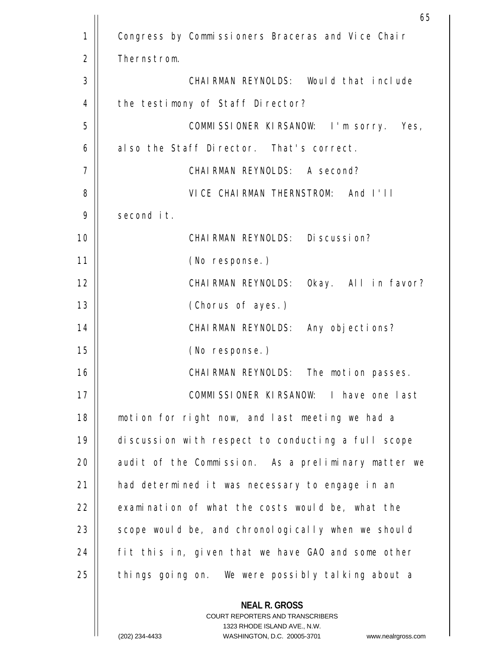|    | 65                                                                                                                                                                    |
|----|-----------------------------------------------------------------------------------------------------------------------------------------------------------------------|
| 1  | Congress by Commissioners Braceras and Vice Chair                                                                                                                     |
| 2  | Thernstrom.                                                                                                                                                           |
| 3  | CHAIRMAN REYNOLDS: Would that include                                                                                                                                 |
| 4  | the testimony of Staff Director?                                                                                                                                      |
| 5  | COMMISSIONER KIRSANOW: I'm sorry. Yes,                                                                                                                                |
| 6  | also the Staff Director. That's correct.                                                                                                                              |
| 7  | CHAIRMAN REYNOLDS: A second?                                                                                                                                          |
| 8  | VICE CHAIRMAN THERNSTROM: And I'll                                                                                                                                    |
| 9  | second it.                                                                                                                                                            |
| 10 | CHAIRMAN REYNOLDS: Discussion?                                                                                                                                        |
| 11 | (No response.)                                                                                                                                                        |
| 12 | CHAIRMAN REYNOLDS: Okay. All in favor?                                                                                                                                |
| 13 | (Chorus of ayes.)                                                                                                                                                     |
| 14 | CHAIRMAN REYNOLDS: Any objections?                                                                                                                                    |
| 15 | (No response.)                                                                                                                                                        |
| 16 | CHAIRMAN REYNOLDS: The motion passes.                                                                                                                                 |
| 17 | COMMISSIONER KIRSANOW: I have one last                                                                                                                                |
| 18 | motion for right now, and last meeting we had a                                                                                                                       |
| 19 | discussion with respect to conducting a full scope                                                                                                                    |
| 20 | audit of the Commission. As a preliminary matter we                                                                                                                   |
| 21 | had determined it was necessary to engage in an                                                                                                                       |
| 22 | examination of what the costs would be, what the                                                                                                                      |
| 23 | scope would be, and chronologically when we should                                                                                                                    |
| 24 | fit this in, given that we have GAO and some other                                                                                                                    |
| 25 | things going on. We were possibly talking about a                                                                                                                     |
|    | <b>NEAL R. GROSS</b><br><b>COURT REPORTERS AND TRANSCRIBERS</b><br>1323 RHODE ISLAND AVE., N.W.<br>WASHINGTON D.C. 20005-3701<br>(202) 234-4433<br>www.nealraross.com |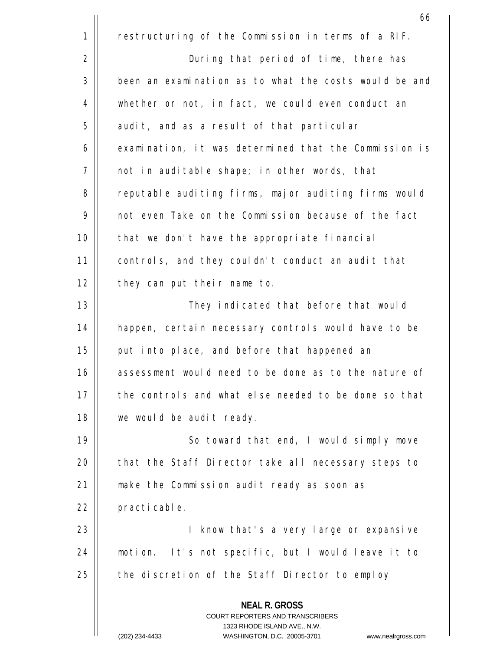**NEAL R. GROSS** COURT REPORTERS AND TRANSCRIBERS 1323 RHODE ISLAND AVE., N.W. (202) 234-4433 WASHINGTON, D.C. 20005-3701 www.nealrgross.com  $\sim$  66 1 2 3 4 5 6 7 8 9 10 11 12 13 14 15 16 17 18 19  $20$ 21 22 23 24 25 restructuring of the Commission in terms of a RIF. During that period of time, there has been an examination as to what the costs would be and whether or not, in fact, we could even conduct an audit, and as a result of that particular examination, it was determined that the Commission is not in auditable shape; in other words, that reputable auditing firms, major auditing firms would not even Take on the Commission because of the fact that we don't have the appropriate financial controls, and they couldn't conduct an audit that they can put their name to. They indicated that before that would happen, certain necessary controls would have to be put into place, and before that happened an assessment would need to be done as to the nature of the controls and what else needed to be done so that we would be audit ready. So toward that end, I would simply move that the Staff Director take all necessary steps to make the Commission audit ready as soon as practicable. I know that's a very large or expansive motion. It's not specific, but I would leave it to the discretion of the Staff Director to employ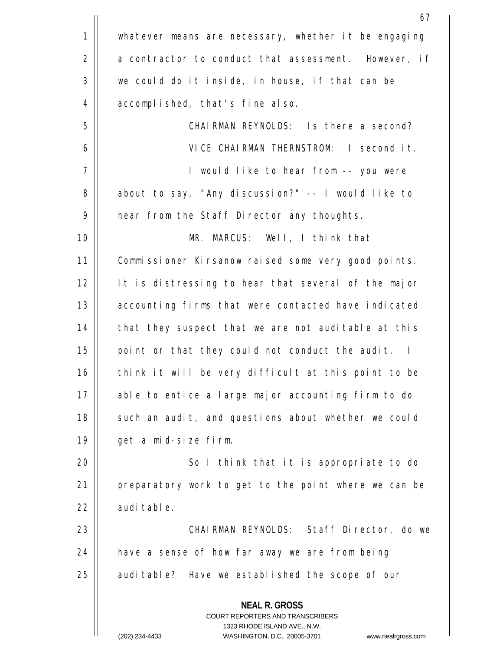|    | 67                                                                                                  |
|----|-----------------------------------------------------------------------------------------------------|
| 1  | whatever means are necessary, whether it be engaging                                                |
| 2  | a contractor to conduct that assessment. However, if                                                |
| 3  | we could do it inside, in house, if that can be                                                     |
| 4  | accomplished, that's fine also.                                                                     |
| 5  | CHAIRMAN REYNOLDS: Is there a second?                                                               |
| 6  | VICE CHAIRMAN THERNSTROM: I second it.                                                              |
| 7  | I would like to hear from -- you were                                                               |
| 8  | about to say, "Any discussion?" -- I would like to                                                  |
| 9  | hear from the Staff Director any thoughts.                                                          |
| 10 | MR. MARCUS: Well, I think that                                                                      |
| 11 | Commissioner Kirsanow raised some very good points.                                                 |
| 12 | It is distressing to hear that several of the major                                                 |
| 13 | accounting firms that were contacted have indicated                                                 |
| 14 | that they suspect that we are not auditable at this                                                 |
| 15 | point or that they could not conduct the audit. I                                                   |
| 16 | think it will be very difficult at this point to be                                                 |
| 17 | able to entice a large major accounting firm to do                                                  |
| 18 | such an audit, and questions about whether we could                                                 |
| 19 | get a mid-size firm.                                                                                |
| 20 | So I think that it is appropriate to do                                                             |
| 21 | preparatory work to get to the point where we can be                                                |
| 22 | auditable.                                                                                          |
| 23 | CHAIRMAN REYNOLDS: Staff Director, do we                                                            |
| 24 | have a sense of how far away we are from being                                                      |
| 25 | auditable? Have we established the scope of our                                                     |
|    | <b>NEAL R. GROSS</b><br><b>COURT REPORTERS AND TRANSCRIBERS</b>                                     |
|    | 1323 RHODE ISLAND AVE., N.W.<br>(202) 234-4433<br>WASHINGTON, D.C. 20005-3701<br>www.nealrgross.com |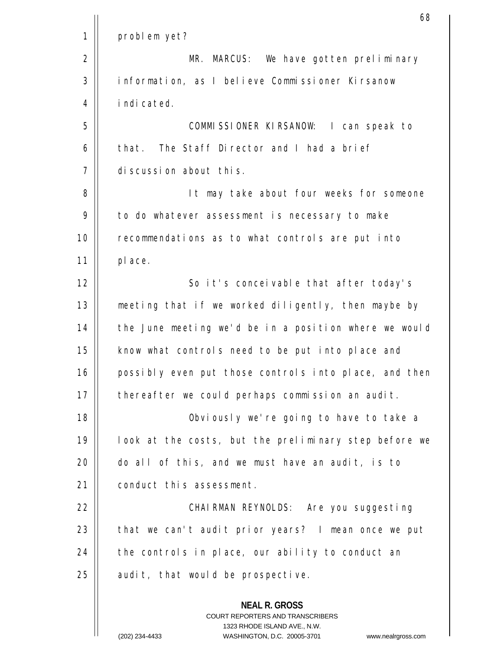|    | 68                                                                                                                                                                     |
|----|------------------------------------------------------------------------------------------------------------------------------------------------------------------------|
| 1  | problem yet?                                                                                                                                                           |
| 2  | MR. MARCUS: We have gotten preliminary                                                                                                                                 |
| 3  | information, as I believe Commissioner Kirsanow                                                                                                                        |
| 4  | indicated.                                                                                                                                                             |
| 5  | COMMISSIONER KIRSANOW: I can speak to                                                                                                                                  |
| 6  | that. The Staff Director and I had a brief                                                                                                                             |
| 7  | discussion about this.                                                                                                                                                 |
| 8  | It may take about four weeks for someone                                                                                                                               |
| 9  | to do whatever assessment is necessary to make                                                                                                                         |
| 10 | recommendations as to what controls are put into                                                                                                                       |
| 11 | place.                                                                                                                                                                 |
| 12 | So it's conceivable that after today's                                                                                                                                 |
| 13 | meeting that if we worked diligently, then maybe by                                                                                                                    |
| 14 | the June meeting we'd be in a position where we would                                                                                                                  |
| 15 | know what controls need to be put into place and                                                                                                                       |
| 16 | possibly even put those controls into place, and then                                                                                                                  |
| 17 | thereafter we could perhaps commission an audit.                                                                                                                       |
| 18 | Obviously we're going to have to take a                                                                                                                                |
| 19 | look at the costs, but the preliminary step before we                                                                                                                  |
| 20 | do all of this, and we must have an audit, is to                                                                                                                       |
| 21 | conduct this assessment.                                                                                                                                               |
| 22 | CHAIRMAN REYNOLDS: Are you suggesting                                                                                                                                  |
| 23 | that we can't audit prior years? I mean once we put                                                                                                                    |
| 24 | the controls in place, our ability to conduct an                                                                                                                       |
| 25 | audit, that would be prospective.                                                                                                                                      |
|    | <b>NEAL R. GROSS</b><br><b>COURT REPORTERS AND TRANSCRIBERS</b><br>1323 RHODE ISLAND AVE., N.W.<br>WASHINGTON, D.C. 20005-3701<br>(202) 234-4433<br>www.nealrgross.com |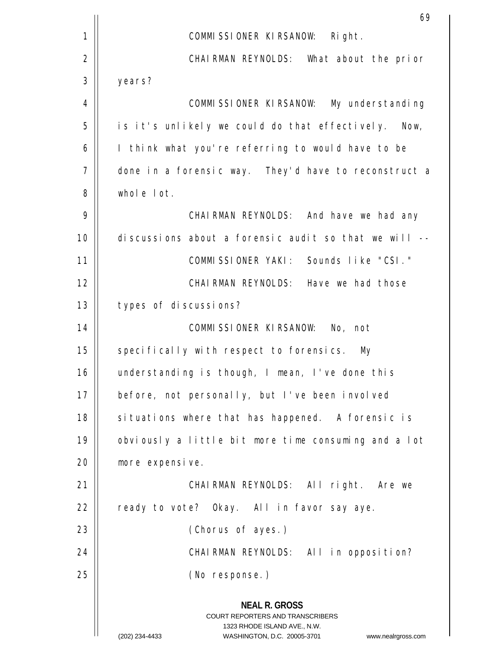|    | 69                                                                                                                                                                     |
|----|------------------------------------------------------------------------------------------------------------------------------------------------------------------------|
| 1  | COMMISSIONER KIRSANOW: Right.                                                                                                                                          |
| 2  | CHAIRMAN REYNOLDS: What about the prior                                                                                                                                |
| 3  | years?                                                                                                                                                                 |
| 4  | COMMISSIONER KIRSANOW: My understanding                                                                                                                                |
| 5  | is it's unlikely we could do that effectively. Now,                                                                                                                    |
| 6  | I think what you're referring to would have to be                                                                                                                      |
| 7  | done in a forensic way. They'd have to reconstruct a                                                                                                                   |
| 8  | whole lot.                                                                                                                                                             |
| 9  | CHAIRMAN REYNOLDS: And have we had any                                                                                                                                 |
| 10 | discussions about a forensic audit so that we will --                                                                                                                  |
| 11 | COMMISSIONER YAKI: Sounds like "CSI."                                                                                                                                  |
| 12 | CHAIRMAN REYNOLDS: Have we had those                                                                                                                                   |
| 13 | types of discussions?                                                                                                                                                  |
| 14 | COMMISSIONER KIRSANOW: No, not                                                                                                                                         |
| 15 | specifically with respect to forensics. My                                                                                                                             |
| 16 | understanding is though, I mean, I've done this                                                                                                                        |
| 17 | before, not personally, but I've been involved                                                                                                                         |
| 18 | situations where that has happened. A forensic is                                                                                                                      |
| 19 | obviously a little bit more time consuming and a lot                                                                                                                   |
| 20 | more expensive.                                                                                                                                                        |
| 21 | CHAIRMAN REYNOLDS: All right. Are we                                                                                                                                   |
| 22 | ready to vote? Okay. All in favor say aye.                                                                                                                             |
| 23 | (Chorus of ayes.)                                                                                                                                                      |
| 24 | CHAIRMAN REYNOLDS: All in opposition?                                                                                                                                  |
| 25 | (No response.)                                                                                                                                                         |
|    | <b>NEAL R. GROSS</b><br><b>COURT REPORTERS AND TRANSCRIBERS</b><br>1323 RHODE ISLAND AVE., N.W.<br>(202) 234-4433<br>WASHINGTON, D.C. 20005-3701<br>www.nealrgross.com |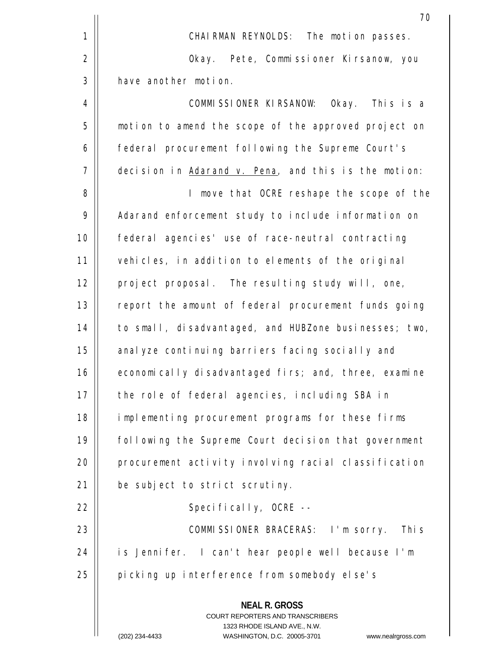|    | 70                                                                                              |
|----|-------------------------------------------------------------------------------------------------|
| 1  | CHAIRMAN REYNOLDS: The motion passes.                                                           |
| 2  | Okay. Pete, Commissioner Kirsanow, you                                                          |
| 3  | have another motion.                                                                            |
| 4  | COMMISSIONER KIRSANOW: Okay. This is a                                                          |
| 5  | motion to amend the scope of the approved project on                                            |
| 6  | federal procurement following the Supreme Court's                                               |
| 7  | decision in Adarand v. Pena, and this is the motion:                                            |
| 8  | I move that OCRE reshape the scope of the                                                       |
| 9  | Adarand enforcement study to include information on                                             |
| 10 | federal agencies' use of race-neutral contracting                                               |
| 11 | vehicles, in addition to elements of the original                                               |
| 12 | project proposal. The resulting study will, one,                                                |
| 13 | report the amount of federal procurement funds going                                            |
| 14 | to small, disadvantaged, and HUBZone businesses; two,                                           |
| 15 | analyze continuing barriers facing socially and                                                 |
| 16 | economically disadvantaged firs; and, three, examine                                            |
| 17 | the role of federal agencies, including SBA in                                                  |
| 18 | implementing procurement programs for these firms                                               |
| 19 | following the Supreme Court decision that government                                            |
| 20 | procurement activity involving racial classification                                            |
| 21 | be subject to strict scrutiny.                                                                  |
| 22 | Specifically, OCRE --                                                                           |
| 23 | COMMISSIONER BRACERAS: I'm sorry. This                                                          |
| 24 | is Jennifer. I can't hear people well because I'm                                               |
| 25 | picking up interference from somebody else's                                                    |
|    | <b>NEAL R. GROSS</b><br><b>COURT REPORTERS AND TRANSCRIBERS</b><br>1323 RHODE ISLAND AVE., N.W. |
|    | (202) 234-4433<br>WASHINGTON, D.C. 20005-3701<br>www.nealrgross.com                             |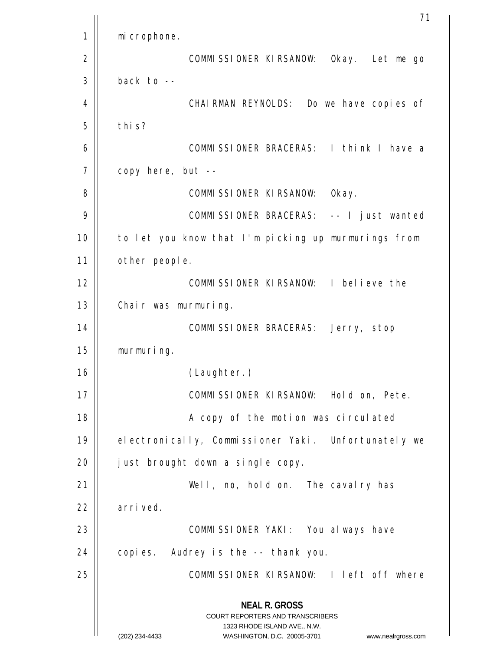**NEAL R. GROSS** COURT REPORTERS AND TRANSCRIBERS 1323 RHODE ISLAND AVE., N.W. (202) 234-4433 WASHINGTON, D.C. 20005-3701 www.nealrgross.com 71 1 2 3 4 5 6 7 8 9 10 11 12 13 14 15 16 17 18 19  $20$ 21 22 23 24 25 microphone. COMMISSIONER KIRSANOW: Okay. Let me go back to -- CHAIRMAN REYNOLDS: Do we have copies of this? COMMISSIONER BRACERAS: I think I have a copy here, but -- COMMISSIONER KIRSANOW: Okay. COMMISSIONER BRACERAS: -- I just wanted to let you know that I'm picking up murmurings from other people. COMMISSIONER KIRSANOW: I believe the Chair was murmuring. COMMISSIONER BRACERAS: Jerry, stop murmuring. (Laughter.) COMMISSIONER KIRSANOW: Hold on, Pete. A copy of the motion was circulated electronically, Commissioner Yaki. Unfortunately we just brought down a single copy. Well, no, hold on. The cavalry has arrived. COMMISSIONER YAKI: You always have copies. Audrey is the -- thank you. COMMISSIONER KIRSANOW: I left off where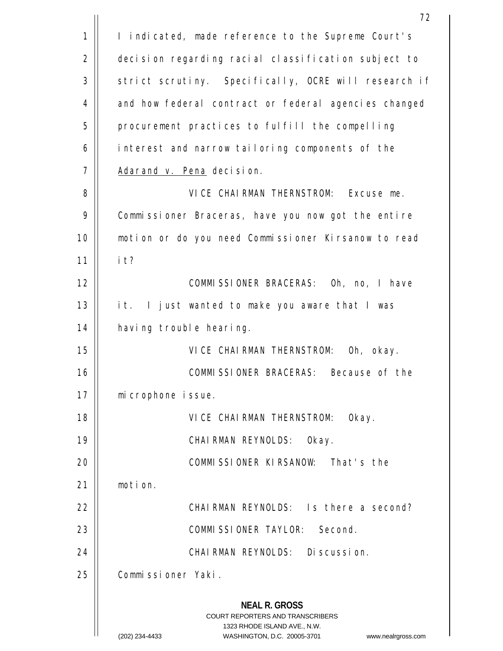|             | 72                                                                                                                                                                     |
|-------------|------------------------------------------------------------------------------------------------------------------------------------------------------------------------|
| $\mathbf 1$ | I indicated, made reference to the Supreme Court's                                                                                                                     |
| 2           | decision regarding racial classification subject to                                                                                                                    |
| 3           | strict scrutiny. Specifically, OCRE will research if                                                                                                                   |
| 4           | and how federal contract or federal agencies changed                                                                                                                   |
| 5           | procurement practices to fulfill the compelling                                                                                                                        |
| 6           | interest and narrow tailoring components of the                                                                                                                        |
| 7           | Adarand v. Pena decision.                                                                                                                                              |
| 8           | VICE CHAIRMAN THERNSTROM: Excuse me.                                                                                                                                   |
| 9           | Commissioner Braceras, have you now got the entire                                                                                                                     |
| 10          | motion or do you need Commissioner Kirsanow to read                                                                                                                    |
| 11          | it?                                                                                                                                                                    |
| 12          | COMMISSIONER BRACERAS: Oh, no, I have                                                                                                                                  |
| 13          | it. I just wanted to make you aware that I was                                                                                                                         |
| 14          | having trouble hearing.                                                                                                                                                |
| 15          | VICE CHAIRMAN THERNSTROM: Oh, okay.                                                                                                                                    |
| 16          | COMMISSIONER BRACERAS: Because of the                                                                                                                                  |
| 17          | microphone issue.                                                                                                                                                      |
| 18          | VICE CHAIRMAN THERNSTROM:<br>Okay.                                                                                                                                     |
| 19          | CHAIRMAN REYNOLDS:<br>Okay.                                                                                                                                            |
| 20          | COMMISSIONER KIRSANOW: That's the                                                                                                                                      |
| 21          | motion.                                                                                                                                                                |
| 22          | CHAIRMAN REYNOLDS: Is there a second?                                                                                                                                  |
| 23          | COMMISSIONER TAYLOR: Second.                                                                                                                                           |
| 24          | CHAIRMAN REYNOLDS: Discussion.                                                                                                                                         |
| 25          | Commissioner Yaki.                                                                                                                                                     |
|             | <b>NEAL R. GROSS</b><br><b>COURT REPORTERS AND TRANSCRIBERS</b><br>1323 RHODE ISLAND AVE., N.W.<br>WASHINGTON, D.C. 20005-3701<br>(202) 234-4433<br>www.nealrgross.com |
|             |                                                                                                                                                                        |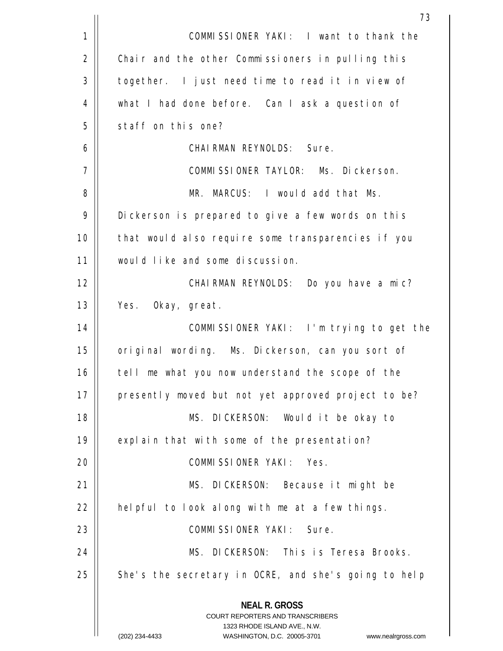|    | 73                                                                                                  |
|----|-----------------------------------------------------------------------------------------------------|
| 1  | COMMISSIONER YAKI: I want to thank the                                                              |
| 2  | Chair and the other Commissioners in pulling this                                                   |
| 3  | together. I just need time to read it in view of                                                    |
| 4  | what I had done before. Can I ask a question of                                                     |
| 5  | staff on this one?                                                                                  |
| 6  | CHAIRMAN REYNOLDS: Sure.                                                                            |
| 7  | COMMISSIONER TAYLOR: Ms. Dickerson.                                                                 |
| 8  | MR. MARCUS: I would add that Ms.                                                                    |
| 9  | Dickerson is prepared to give a few words on this                                                   |
| 10 | that would also require some transparencies if you                                                  |
| 11 | would like and some discussion.                                                                     |
| 12 | CHAIRMAN REYNOLDS: Do you have a mic?                                                               |
| 13 | Yes. Okay, great.                                                                                   |
| 14 | COMMISSIONER YAKI: I'm trying to get the                                                            |
| 15 | original wording. Ms. Dickerson, can you sort of                                                    |
| 16 | tell me what you now understand the scope of the                                                    |
| 17 | presently moved but not yet approved project to be?                                                 |
| 18 | MS. DICKERSON: Would it be okay to                                                                  |
| 19 | explain that with some of the presentation?                                                         |
| 20 | COMMISSIONER YAKI: Yes.                                                                             |
| 21 | MS. DICKERSON: Because it might be                                                                  |
| 22 | helpful to look along with me at a few things.                                                      |
| 23 | COMMISSIONER YAKI: Sure.                                                                            |
| 24 | MS. DICKERSON: This is Teresa Brooks.                                                               |
| 25 | She's the secretary in OCRE, and she's going to help                                                |
|    | <b>NEAL R. GROSS</b><br><b>COURT REPORTERS AND TRANSCRIBERS</b>                                     |
|    | 1323 RHODE ISLAND AVE., N.W.<br>(202) 234-4433<br>WASHINGTON, D.C. 20005-3701<br>www.nealrgross.com |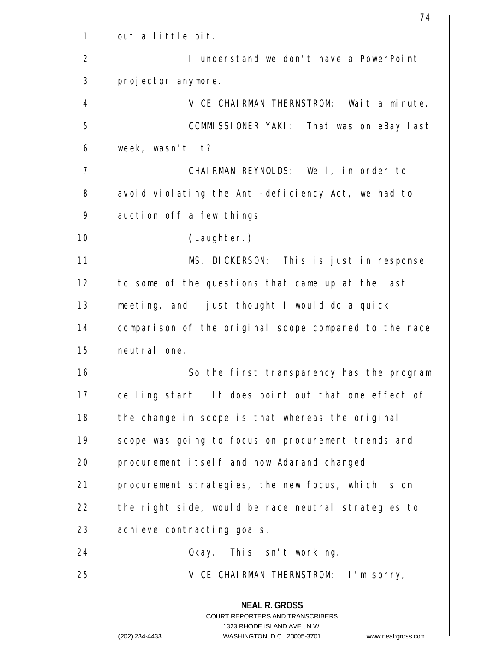|    | 74                                                                                                                                                                     |
|----|------------------------------------------------------------------------------------------------------------------------------------------------------------------------|
| 1  | out a little bit.                                                                                                                                                      |
| 2  | I understand we don't have a PowerPoint                                                                                                                                |
| 3  | projector anymore.                                                                                                                                                     |
| 4  | VICE CHAIRMAN THERNSTROM: Wait a minute.                                                                                                                               |
| 5  | COMMISSIONER YAKI: That was on eBay last                                                                                                                               |
| 6  | week, wasn't it?                                                                                                                                                       |
| 7  | CHAIRMAN REYNOLDS: Well, in order to                                                                                                                                   |
| 8  | avoid violating the Anti-deficiency Act, we had to                                                                                                                     |
| 9  | auction off a few things.                                                                                                                                              |
| 10 | (Laughter.)                                                                                                                                                            |
| 11 | MS. DICKERSON: This is just in response                                                                                                                                |
| 12 | to some of the questions that came up at the last                                                                                                                      |
| 13 | meeting, and I just thought I would do a quick                                                                                                                         |
| 14 | comparison of the original scope compared to the race                                                                                                                  |
| 15 | neutral one.                                                                                                                                                           |
| 16 | So the first transparency has the program                                                                                                                              |
| 17 | ceiling start. It does point out that one effect of                                                                                                                    |
| 18 | the change in scope is that whereas the original                                                                                                                       |
| 19 | scope was going to focus on procurement trends and                                                                                                                     |
| 20 | procurement itself and how Adarand changed                                                                                                                             |
| 21 | procurement strategies, the new focus, which is on                                                                                                                     |
| 22 | the right side, would be race neutral strategies to                                                                                                                    |
| 23 | achieve contracting goals.                                                                                                                                             |
| 24 | Okay. This isn't working.                                                                                                                                              |
| 25 | VICE CHAIRMAN THERNSTROM: I'm sorry,                                                                                                                                   |
|    | <b>NEAL R. GROSS</b><br><b>COURT REPORTERS AND TRANSCRIBERS</b><br>1323 RHODE ISLAND AVE., N.W.<br>(202) 234-4433<br>WASHINGTON, D.C. 20005-3701<br>www.nealrgross.com |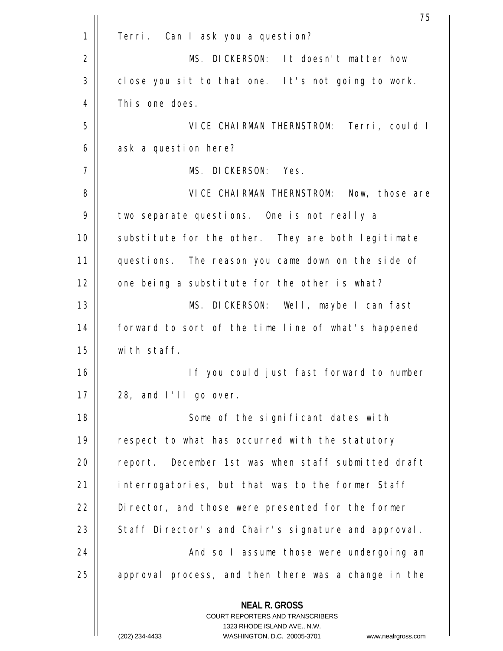|             | 75                                                                  |
|-------------|---------------------------------------------------------------------|
| $\mathbf 1$ | Terri. Can I ask you a question?                                    |
| 2           | MS. DICKERSON: It doesn't matter how                                |
| 3           | close you sit to that one. It's not going to work.                  |
| 4           | This one does.                                                      |
| 5           | VICE CHAIRMAN THERNSTROM: Terri, could I                            |
| 6           | ask a question here?                                                |
| 7           | MS. DICKERSON: Yes.                                                 |
| 8           | VICE CHAIRMAN THERNSTROM: Now, those are                            |
| 9           | two separate questions. One is not really a                         |
| 10          | substitute for the other. They are both legitimate                  |
| 11          | questions. The reason you came down on the side of                  |
| 12          | one being a substitute for the other is what?                       |
| 13          | MS. DICKERSON: Well, maybe I can fast                               |
| 14          | forward to sort of the time line of what's happened                 |
| 15          | with staff.                                                         |
| 16          | If you could just fast forward to number                            |
| 17          | 28, and I'll go over.                                               |
| 18          | Some of the significant dates with                                  |
| 19          | respect to what has occurred with the statutory                     |
| 20          | report. December 1st was when staff submitted draft                 |
| 21          | interrogatories, but that was to the former Staff                   |
| 22          | Director, and those were presented for the former                   |
| 23          | Staff Director's and Chair's signature and approval.                |
| 24          | And so I assume those were undergoing an                            |
| 25          | approval process, and then there was a change in the                |
|             | <b>NEAL R. GROSS</b><br><b>COURT REPORTERS AND TRANSCRIBERS</b>     |
|             | 1323 RHODE ISLAND AVE., N.W.                                        |
|             | (202) 234-4433<br>WASHINGTON, D.C. 20005-3701<br>www.nealrgross.com |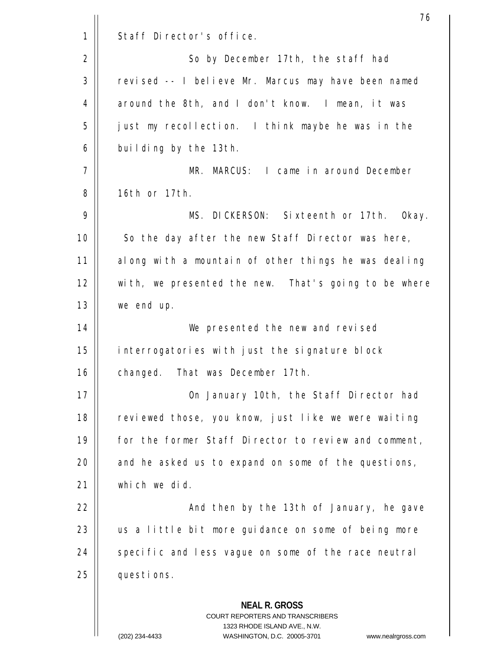|             | 76                                                                                                                                                                      |
|-------------|-------------------------------------------------------------------------------------------------------------------------------------------------------------------------|
| $\mathbf 1$ | Staff Director's office.                                                                                                                                                |
| 2           | So by December 17th, the staff had                                                                                                                                      |
| 3           | revised -- I believe Mr. Marcus may have been named                                                                                                                     |
| 4           | around the 8th, and I don't know. I mean, it was                                                                                                                        |
| 5           | just my recollection. I think maybe he was in the                                                                                                                       |
| 6           | building by the 13th.                                                                                                                                                   |
| 7           | MR. MARCUS: I came in around December                                                                                                                                   |
| 8           | 16th or 17th.                                                                                                                                                           |
| 9           | MS. DICKERSON: Sixteenth or 17th. Okay.                                                                                                                                 |
| 10          | So the day after the new Staff Director was here,                                                                                                                       |
| 11          | along with a mountain of other things he was dealing                                                                                                                    |
| 12          | with, we presented the new. That's going to be where                                                                                                                    |
| 13          | we end up.                                                                                                                                                              |
| 14          | We presented the new and revised                                                                                                                                        |
| 15          | interrogatories with just the signature block                                                                                                                           |
| 16          | changed. That was December 17th.                                                                                                                                        |
| 17          | On January 10th, the Staff Director had                                                                                                                                 |
| 18          | reviewed those, you know, just like we were waiting                                                                                                                     |
| 19          | for the former Staff Director to review and comment,                                                                                                                    |
| 20          | and he asked us to expand on some of the questions,                                                                                                                     |
| 21          | which we did.                                                                                                                                                           |
| 22          | And then by the 13th of January, he gave                                                                                                                                |
| 23          | us a little bit more guidance on some of being more                                                                                                                     |
| 24          | specific and less vague on some of the race neutral                                                                                                                     |
| 25          | questions.                                                                                                                                                              |
|             | <b>NEAL R. GROSS</b><br><b>COURT REPORTERS AND TRANSCRIBERS</b><br>1323 RHODE ISLAND AVE., N.W.<br>WASHINGTON D.C. 20005-3701<br>$(202)$ 234-4433<br>www.nealrgross.com |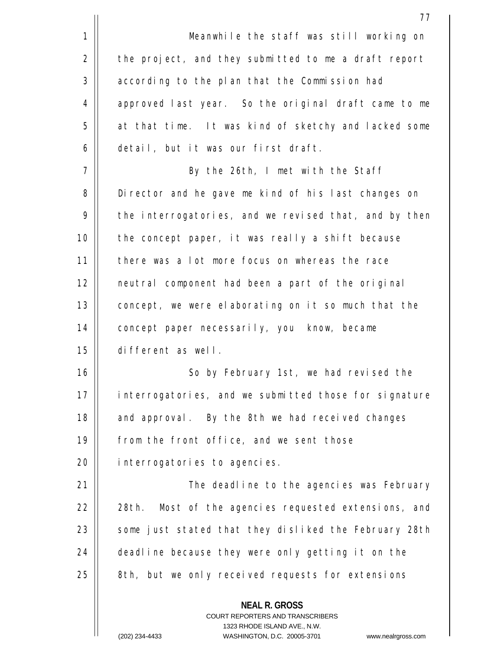|             | 77                                                       |
|-------------|----------------------------------------------------------|
| $\mathbf 1$ | Meanwhile the staff was still working on                 |
| 2           | the project, and they submitted to me a draft report     |
| 3           | according to the plan that the Commission had            |
| 4           | approved last year. So the original draft came to me     |
| 5           | at that time. It was kind of sketchy and lacked some     |
| 6           | detail, but it was our first draft.                      |
| 7           | By the 26th, I met with the Staff                        |
| 8           | Director and he gave me kind of his last changes on      |
| 9           | the interrogatories, and we revised that, and by then    |
| 10          | the concept paper, it was really a shift because         |
| 11          | there was a lot more focus on whereas the race           |
| 12          | neutral component had been a part of the original        |
| 13          | concept, we were elaborating on it so much that the      |
| 14          | concept paper necessarily, you know, became              |
| 15          | different as well.                                       |
| 16          | So by February 1st, we had revised the                   |
| 17          | interrogatories, and we submitted those for signature    |
| 18          | and approval. By the 8th we had received changes         |
| 19          | from the front office, and we sent those                 |
| 20          | interrogatories to agencies.                             |
| 21          | The deadline to the agencies was February                |
| 22          | Most of the agencies requested extensions, and<br>28th.  |
| 23          | some just stated that they disliked the February 28th    |
| 24          | deadline because they were only getting it on the        |
| 25          | 8th, but we only received requests for extensions        |
|             | <b>NEAL R. GROSS</b><br>COURT REPORTERS AND TRANSCRIBERS |

1323 RHODE ISLAND AVE., N.W.

 $\prod$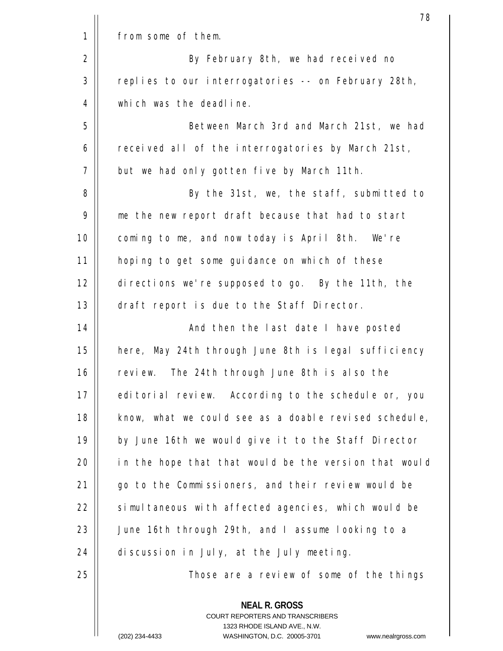|             | 78                                                                                                                                                                      |
|-------------|-------------------------------------------------------------------------------------------------------------------------------------------------------------------------|
| $\mathbf 1$ | from some of them.                                                                                                                                                      |
| 2           | By February 8th, we had received no                                                                                                                                     |
| 3           | replies to our interrogatories -- on February 28th,                                                                                                                     |
| 4           | which was the deadline.                                                                                                                                                 |
| 5           | Between March 3rd and March 21st, we had                                                                                                                                |
| 6           | received all of the interrogatories by March 21st,                                                                                                                      |
| 7           | but we had only gotten five by March 11th.                                                                                                                              |
| 8           | By the 31st, we, the staff, submitted to                                                                                                                                |
| 9           | me the new report draft because that had to start                                                                                                                       |
| 10          | coming to me, and now today is April 8th. We're                                                                                                                         |
| 11          | hoping to get some guidance on which of these                                                                                                                           |
| 12          | directions we're supposed to go. By the 11th, the                                                                                                                       |
| 13          | draft report is due to the Staff Director.                                                                                                                              |
| 14          | And then the last date I have posted                                                                                                                                    |
| 15          | here, May 24th through June 8th is legal sufficiency                                                                                                                    |
| 16          | review. The 24th through June 8th is also the                                                                                                                           |
| 17          | editorial review. According to the schedule or, you                                                                                                                     |
| 18          | know, what we could see as a doable revised schedule,                                                                                                                   |
| 19          | by June 16th we would give it to the Staff Director                                                                                                                     |
| 20          | in the hope that that would be the version that would                                                                                                                   |
| 21          | go to the Commissioners, and their review would be                                                                                                                      |
| 22          | simultaneous with affected agencies, which would be                                                                                                                     |
| 23          | June 16th through 29th, and I assume looking to a                                                                                                                       |
| 24          | discussion in July, at the July meeting.                                                                                                                                |
| 25          | Those are a review of some of the things                                                                                                                                |
|             | <b>NEAL R. GROSS</b><br><b>COURT REPORTERS AND TRANSCRIBERS</b><br>1323 RHODE ISLAND AVE., N.W.<br>$(202)$ 234-4433<br>WASHINGTON D.C. 20005-3701<br>www.nealrgross.com |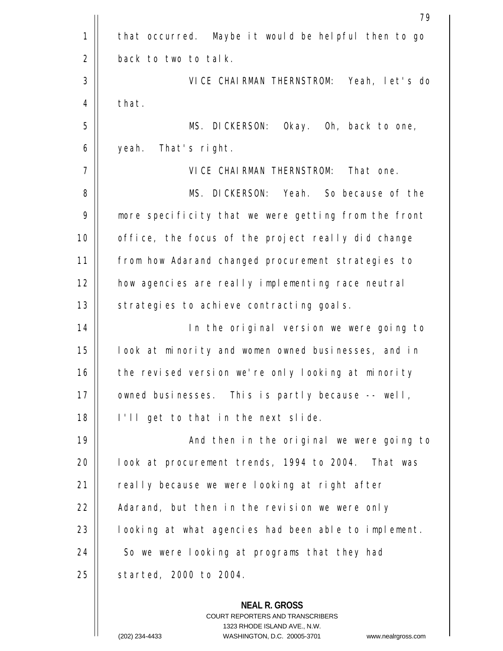|             | 79                                                   |
|-------------|------------------------------------------------------|
| $\mathbf 1$ | that occurred. Maybe it would be helpful then to go  |
| 2           | back to two to talk.                                 |
| 3           | VICE CHAIRMAN THERNSTROM: Yeah, let's do             |
| 4           | that.                                                |
| 5           | MS. DICKERSON:<br>Okay. Oh, back to one,             |
| 6           | That's right.<br>yeah.                               |
| 7           | VICE CHAIRMAN THERNSTROM:<br>That one.               |
| 8           | MS. DICKERSON: Yeah. So because of the               |
| 9           | more specificity that we were getting from the front |
| 10          | office, the focus of the project really did change   |
| 11          | from how Adarand changed procurement strategies to   |
| 12          | how agencies are really implementing race neutral    |
| 13          | strategies to achieve contracting goals.             |
| 14          | In the original version we were going to             |
| 15          | look at minority and women owned businesses, and in  |
| 16          | the revised version we're only looking at minority   |
| 17          | owned businesses. This is partly because -- well,    |
| 18          | I'll get to that in the next slide.                  |
| 19          | And then in the original we were going to            |
| 20          | look at procurement trends, 1994 to 2004. That was   |
| 21          | really because we were looking at right after        |
| 22          | Adarand, but then in the revision we were only       |
| 23          | looking at what agencies had been able to implement. |
| 24          | So we were looking at programs that they had         |
| 25          | started, 2000 to 2004.                               |
|             | <b>NEAL R. GROSS</b>                                 |

COURT REPORTERS AND TRANSCRIBERS 1323 RHODE ISLAND AVE., N.W.

 $\mathsf{II}$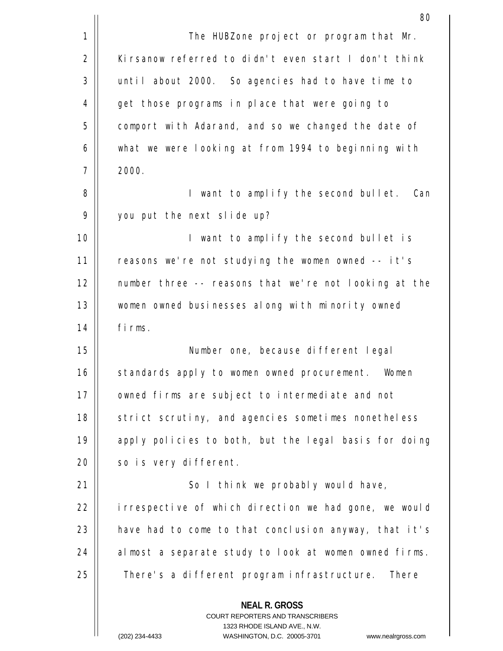|    | 80                                                                                                                                                                      |
|----|-------------------------------------------------------------------------------------------------------------------------------------------------------------------------|
| 1  | The HUBZone project or program that Mr.                                                                                                                                 |
| 2  | Kirsanow referred to didn't even start I don't think                                                                                                                    |
| 3  | until about 2000. So agencies had to have time to                                                                                                                       |
| 4  | get those programs in place that were going to                                                                                                                          |
| 5  | comport with Adarand, and so we changed the date of                                                                                                                     |
| 6  | what we were looking at from 1994 to beginning with                                                                                                                     |
| 7  | 2000.                                                                                                                                                                   |
| 8  | I want to amplify the second bullet. Can                                                                                                                                |
| 9  | you put the next slide up?                                                                                                                                              |
| 10 | I want to amplify the second bullet is                                                                                                                                  |
| 11 | reasons we're not studying the women owned -- it's                                                                                                                      |
| 12 | number three -- reasons that we're not looking at the                                                                                                                   |
| 13 | women owned businesses along with minority owned                                                                                                                        |
| 14 | firms.                                                                                                                                                                  |
| 15 | Number one, because different legal                                                                                                                                     |
| 16 | standards apply to women owned procurement.<br>Women                                                                                                                    |
| 17 | owned firms are subject to intermediate and not                                                                                                                         |
| 18 | strict scrutiny, and agencies sometimes nonetheless                                                                                                                     |
| 19 | apply policies to both, but the legal basis for doing                                                                                                                   |
| 20 | so is very different.                                                                                                                                                   |
| 21 | So I think we probably would have,                                                                                                                                      |
| 22 | irrespective of which direction we had gone, we would                                                                                                                   |
| 23 | have had to come to that conclusion anyway, that it's                                                                                                                   |
| 24 | almost a separate study to look at women owned firms.                                                                                                                   |
| 25 | There's a different program infrastructure. There                                                                                                                       |
|    | <b>NEAL R. GROSS</b><br><b>COURT REPORTERS AND TRANSCRIBERS</b><br>1323 RHODE ISLAND AVE., N.W.<br>$(202)$ 234-4433<br>WASHINGTON D.C. 20005-3701<br>www.nealrgross.com |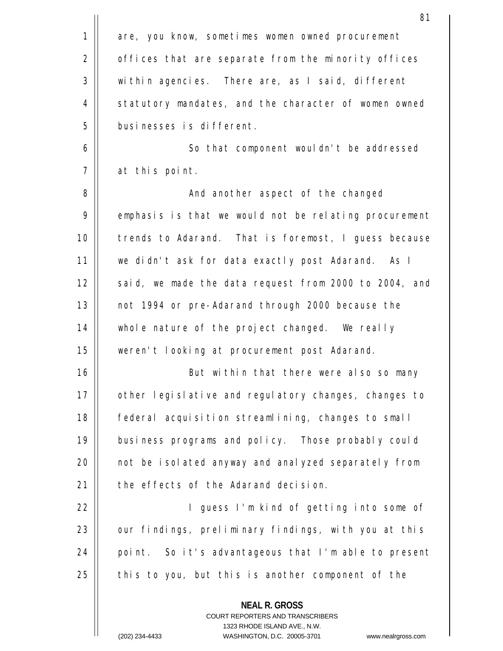|             | 81                                                                                                                                                              |
|-------------|-----------------------------------------------------------------------------------------------------------------------------------------------------------------|
| $\mathbf 1$ | are, you know, sometimes women owned procurement                                                                                                                |
| 2           | offices that are separate from the minority offices                                                                                                             |
| 3           | within agencies. There are, as I said, different                                                                                                                |
| 4           | statutory mandates, and the character of women owned                                                                                                            |
| 5           | businesses is different.                                                                                                                                        |
| 6           | So that component wouldn't be addressed                                                                                                                         |
| 7           | at this point.                                                                                                                                                  |
| 8           | And another aspect of the changed                                                                                                                               |
| 9           | emphasis is that we would not be relating procurement                                                                                                           |
| 10          | trends to Adarand. That is foremost, I guess because                                                                                                            |
| 11          | we didn't ask for data exactly post Adarand. As I                                                                                                               |
| 12          | said, we made the data request from 2000 to 2004, and                                                                                                           |
| 13          | not 1994 or pre-Adarand through 2000 because the                                                                                                                |
| 14          | whole nature of the project changed. We really                                                                                                                  |
| 15          | weren't looking at procurement post Adarand.                                                                                                                    |
| 16          | But within that there were also so many                                                                                                                         |
| 17          | other legislative and regulatory changes, changes to                                                                                                            |
| 18          | federal acquisition streamlining, changes to small                                                                                                              |
| 19          | business programs and policy. Those probably could                                                                                                              |
| 20          | not be isolated anyway and analyzed separately from                                                                                                             |
| 21          | the effects of the Adarand decision.                                                                                                                            |
| 22          | I guess I'm kind of getting into some of                                                                                                                        |
| 23          | our findings, preliminary findings, with you at this                                                                                                            |
| 24          | point. So it's advantageous that I'm able to present                                                                                                            |
| 25          | this to you, but this is another component of the                                                                                                               |
|             | <b>NEAL R. GROSS</b><br>COURT REPORTERS AND TRANSCRIBERS<br>1323 RHODE ISLAND AVE., N.W.<br>(202) 234-4433<br>WASHINGTON, D.C. 20005-3701<br>www.nealrgross.com |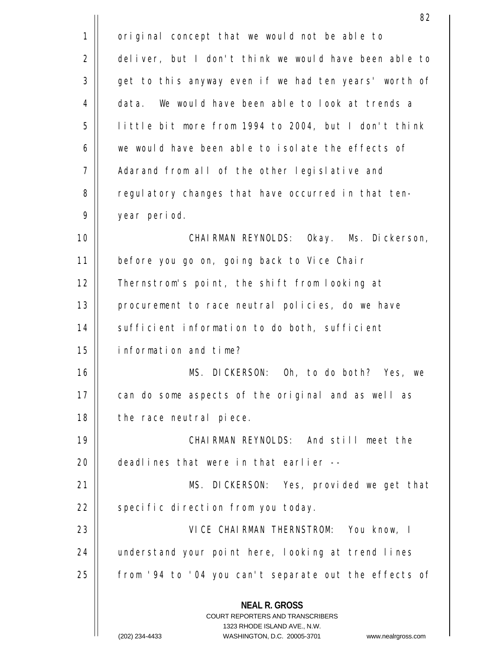|    | 82                                                                                                                                                                     |
|----|------------------------------------------------------------------------------------------------------------------------------------------------------------------------|
| 1  | original concept that we would not be able to                                                                                                                          |
| 2  | deliver, but I don't think we would have been able to                                                                                                                  |
| 3  | get to this anyway even if we had ten years' worth of                                                                                                                  |
| 4  | We would have been able to look at trends a<br>data.                                                                                                                   |
| 5  | little bit more from 1994 to 2004, but I don't think                                                                                                                   |
| 6  | we would have been able to isolate the effects of                                                                                                                      |
| 7  | Adarand from all of the other legislative and                                                                                                                          |
| 8  | regulatory changes that have occurred in that ten-                                                                                                                     |
| 9  | year period.                                                                                                                                                           |
| 10 | CHAIRMAN REYNOLDS: Okay. Ms. Dickerson,                                                                                                                                |
| 11 | before you go on, going back to Vice Chair                                                                                                                             |
| 12 | Thernstrom's point, the shift from looking at                                                                                                                          |
| 13 | procurement to race neutral policies, do we have                                                                                                                       |
| 14 | sufficient information to do both, sufficient                                                                                                                          |
| 15 | information and time?                                                                                                                                                  |
| 16 | MS. DICKERSON: Oh, to do both? Yes, we                                                                                                                                 |
| 17 | can do some aspects of the original and as well as                                                                                                                     |
| 18 | the race neutral piece.                                                                                                                                                |
| 19 | CHAIRMAN REYNOLDS: And still meet the                                                                                                                                  |
| 20 | deadlines that were in that earlier --                                                                                                                                 |
| 21 | MS. DICKERSON: Yes, provided we get that                                                                                                                               |
| 22 | specific direction from you today.                                                                                                                                     |
| 23 | VICE CHAIRMAN THERNSTROM: You know, I                                                                                                                                  |
| 24 | understand your point here, looking at trend lines                                                                                                                     |
| 25 | from '94 to '04 you can't separate out the effects of                                                                                                                  |
|    | <b>NEAL R. GROSS</b><br><b>COURT REPORTERS AND TRANSCRIBERS</b><br>1323 RHODE ISLAND AVE., N.W.<br>(202) 234-4433<br>WASHINGTON, D.C. 20005-3701<br>www.nealrgross.com |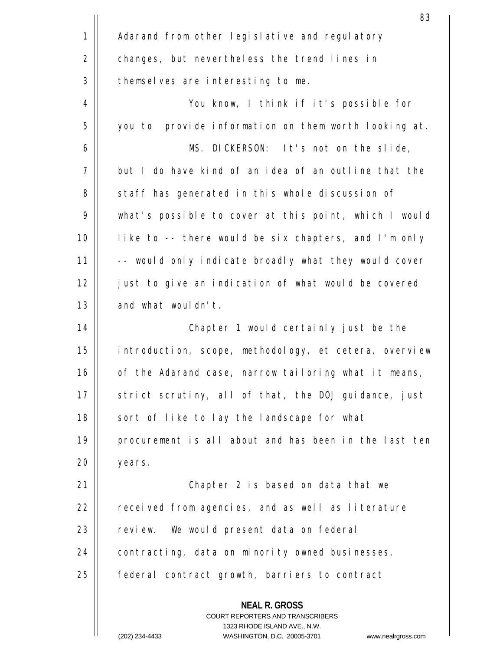|             | 83                                                                                                                                                              |
|-------------|-----------------------------------------------------------------------------------------------------------------------------------------------------------------|
| $\mathbf 1$ | Adarand from other legislative and regulatory                                                                                                                   |
| 2           | changes, but nevertheless the trend lines in                                                                                                                    |
| 3           | themselves are interesting to me.                                                                                                                               |
| 4           | You know, I think if it's possible for                                                                                                                          |
| 5           | you to provide information on them worth looking at.                                                                                                            |
| 6           | MS. DICKERSON: It's not on the slide,                                                                                                                           |
| 7           | but I do have kind of an idea of an outline that the                                                                                                            |
| 8           | staff has generated in this whole discussion of                                                                                                                 |
| 9           | what's possible to cover at this point, which I would                                                                                                           |
| 10          | like to -- there would be six chapters, and I'm only                                                                                                            |
| 11          | -- would only indicate broadly what they would cover                                                                                                            |
| 12          | just to give an indication of what would be covered                                                                                                             |
| 13          | and what wouldn't.                                                                                                                                              |
| 14          | Chapter 1 would certainly just be the                                                                                                                           |
| 15          | introduction, scope, methodology, et cetera, overview                                                                                                           |
| 16          | of the Adarand case, narrow tailoring what it means,                                                                                                            |
| 17          | strict scrutiny, all of that, the DOJ guidance, just                                                                                                            |
| 18          | sort of like to lay the landscape for what                                                                                                                      |
| 19          | procurement is all about and has been in the last ten                                                                                                           |
| 20          | years.                                                                                                                                                          |
| 21          | Chapter 2 is based on data that we                                                                                                                              |
| 22          | received from agencies, and as well as literature                                                                                                               |
| 23          | review. We would present data on federal                                                                                                                        |
| 24          | contracting, data on minority owned businesses,                                                                                                                 |
| 25          | federal contract growth, barriers to contract                                                                                                                   |
|             | <b>NEAL R. GROSS</b><br>COURT REPORTERS AND TRANSCRIBERS<br>1323 RHODE ISLAND AVE., N.W.<br>(202) 234-4433<br>WASHINGTON, D.C. 20005-3701<br>www.nealrgross.com |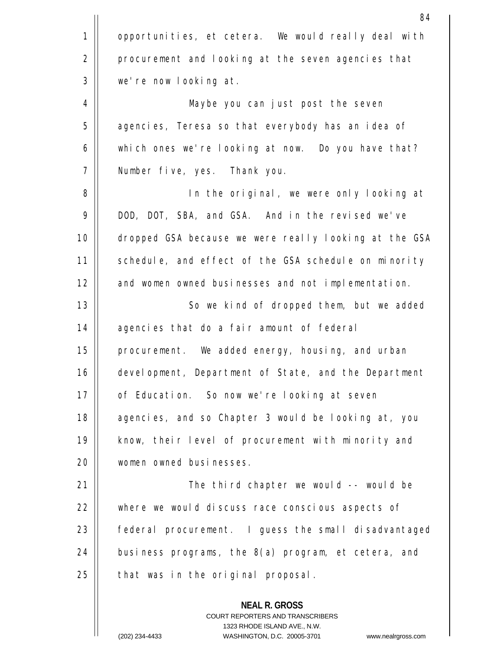|             | 84                                                       |
|-------------|----------------------------------------------------------|
| $\mathbf 1$ | opportunities, et cetera. We would really deal with      |
| 2           | procurement and looking at the seven agencies that       |
| 3           | we're now looking at.                                    |
| 4           | Maybe you can just post the seven                        |
| 5           | agencies, Teresa so that everybody has an idea of        |
| $\epsilon$  | which ones we're looking at now. Do you have that?       |
| 7           | Number five, yes. Thank you.                             |
| 8           | In the original, we were only looking at                 |
| 9           | DOD, DOT, SBA, and GSA. And in the revised we've         |
| 10          | dropped GSA because we were really looking at the GSA    |
| 11          | schedule, and effect of the GSA schedule on minority     |
| 12          | and women owned businesses and not implementation.       |
| 13          | So we kind of dropped them, but we added                 |
| 14          | agencies that do a fair amount of federal                |
| 15          | procurement. We added energy, housing, and urban         |
| 16          | development, Department of State, and the Department     |
| 17          | of Education. So now we're looking at seven              |
| 18          | agencies, and so Chapter 3 would be looking at, you      |
| 19          | know, their level of procurement with minority and       |
| 20          | women owned businesses.                                  |
| 21          | The third chapter we would -- would be                   |
| 22          | where we would discuss race conscious aspects of         |
| 23          | federal procurement. I guess the small disadvantaged     |
| 24          | business programs, the 8(a) program, et cetera, and      |
| 25          | that was in the original proposal.                       |
|             | <b>NEAL R. GROSS</b><br>COURT REPORTERS AND TRANSCRIBERS |

1323 RHODE ISLAND AVE., N.W.

 $\overline{\phantom{a}}$  $\prod$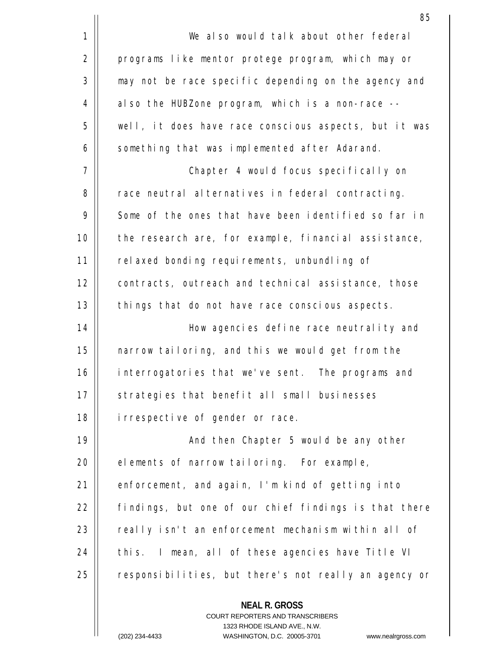|             | 85                                                                                                                                                                      |  |  |  |
|-------------|-------------------------------------------------------------------------------------------------------------------------------------------------------------------------|--|--|--|
| $\mathbf 1$ | We also would talk about other federal                                                                                                                                  |  |  |  |
| 2           | programs like mentor protege program, which may or                                                                                                                      |  |  |  |
| 3           | may not be race specific depending on the agency and                                                                                                                    |  |  |  |
| 4           | also the HUBZone program, which is a non-race --                                                                                                                        |  |  |  |
| 5           | well, it does have race conscious aspects, but it was                                                                                                                   |  |  |  |
| 6           | something that was implemented after Adarand.                                                                                                                           |  |  |  |
| 7           | Chapter 4 would focus specifically on                                                                                                                                   |  |  |  |
| 8           | race neutral alternatives in federal contracting.                                                                                                                       |  |  |  |
| 9           | Some of the ones that have been identified so far in                                                                                                                    |  |  |  |
| 10          | the research are, for example, financial assistance,                                                                                                                    |  |  |  |
| 11          | relaxed bonding requirements, unbundling of                                                                                                                             |  |  |  |
| 12          | contracts, outreach and technical assistance, those                                                                                                                     |  |  |  |
| 13          | things that do not have race conscious aspects.                                                                                                                         |  |  |  |
| 14          | How agencies define race neutrality and                                                                                                                                 |  |  |  |
| 15          | narrow tailoring, and this we would get from the                                                                                                                        |  |  |  |
| 16          | interrogatories that we've sent. The programs and                                                                                                                       |  |  |  |
| 17          | strategies that benefit all small businesses                                                                                                                            |  |  |  |
| 18          | irrespective of gender or race.                                                                                                                                         |  |  |  |
| 19          | And then Chapter 5 would be any other                                                                                                                                   |  |  |  |
| 20          | elements of narrow tailoring. For example,                                                                                                                              |  |  |  |
| 21          | enforcement, and again, I'm kind of getting into                                                                                                                        |  |  |  |
| 22          | findings, but one of our chief findings is that there                                                                                                                   |  |  |  |
| 23          | really isn't an enforcement mechanism within all of                                                                                                                     |  |  |  |
| 24          | this. I mean, all of these agencies have Title VI                                                                                                                       |  |  |  |
| 25          | responsibilities, but there's not really an agency or                                                                                                                   |  |  |  |
|             | <b>NEAL R. GROSS</b><br><b>COURT REPORTERS AND TRANSCRIBERS</b><br>1323 RHODE ISLAND AVE., N.W.<br>$(202)$ 234-4433<br>WASHINGTON D.C. 20005-3701<br>www.nealraross.com |  |  |  |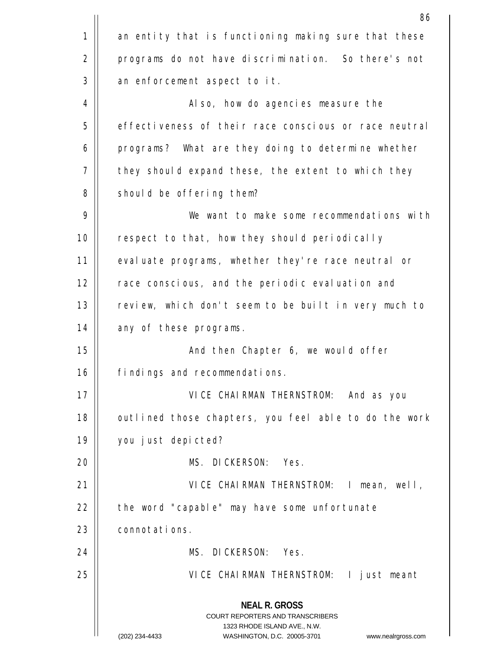|             | 86                                                                                                                                                              |  |  |  |
|-------------|-----------------------------------------------------------------------------------------------------------------------------------------------------------------|--|--|--|
| $\mathbf 1$ | an entity that is functioning making sure that these                                                                                                            |  |  |  |
| 2           | programs do not have discrimination. So there's not                                                                                                             |  |  |  |
| 3           | an enforcement aspect to it.                                                                                                                                    |  |  |  |
| 4           | Also, how do agencies measure the                                                                                                                               |  |  |  |
| 5           | effectiveness of their race conscious or race neutral                                                                                                           |  |  |  |
| 6           | programs? What are they doing to determine whether                                                                                                              |  |  |  |
| 7           | they should expand these, the extent to which they                                                                                                              |  |  |  |
| 8           | should be offering them?                                                                                                                                        |  |  |  |
| 9           | We want to make some recommendations with                                                                                                                       |  |  |  |
| 10          | respect to that, how they should periodically                                                                                                                   |  |  |  |
| 11          | evaluate programs, whether they're race neutral or                                                                                                              |  |  |  |
| 12          | race conscious, and the periodic evaluation and                                                                                                                 |  |  |  |
| 13          | review, which don't seem to be built in very much to                                                                                                            |  |  |  |
| 14          | any of these programs.                                                                                                                                          |  |  |  |
| 15          | And then Chapter 6, we would offer                                                                                                                              |  |  |  |
| 16          | findings and recommendations.                                                                                                                                   |  |  |  |
| 17          | VICE CHAIRMAN THERNSTROM: And as you                                                                                                                            |  |  |  |
| 18          | outlined those chapters, you feel able to do the work                                                                                                           |  |  |  |
| 19          | you just depicted?                                                                                                                                              |  |  |  |
| 20          | MS. DICKERSON: Yes.                                                                                                                                             |  |  |  |
| 21          | VICE CHAIRMAN THERNSTROM: I mean, well,                                                                                                                         |  |  |  |
| 22          | the word "capable" may have some unfortunate                                                                                                                    |  |  |  |
| 23          | connotations.                                                                                                                                                   |  |  |  |
| 24          | MS. DICKERSON: Yes.                                                                                                                                             |  |  |  |
| 25          | VICE CHAIRMAN THERNSTROM: I just meant                                                                                                                          |  |  |  |
|             | <b>NEAL R. GROSS</b><br>COURT REPORTERS AND TRANSCRIBERS<br>1323 RHODE ISLAND AVE., N.W.<br>(202) 234-4433<br>WASHINGTON, D.C. 20005-3701<br>www.nealrgross.com |  |  |  |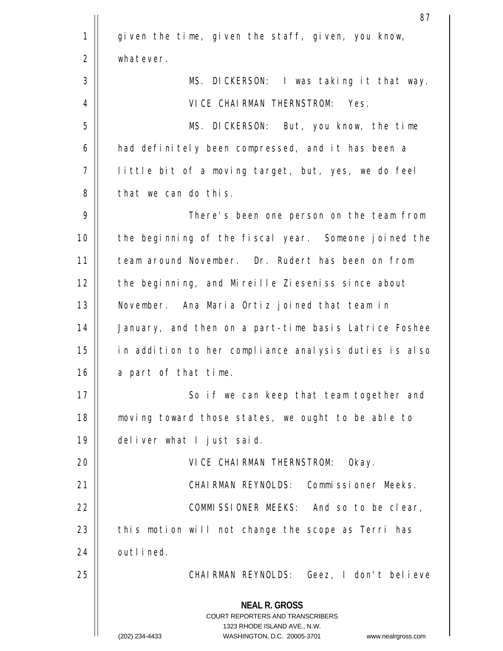|    | 87                                                                                              |  |  |  |
|----|-------------------------------------------------------------------------------------------------|--|--|--|
| 1  | given the time, given the staff, given, you know,                                               |  |  |  |
| 2  | whatever.                                                                                       |  |  |  |
| 3  | MS. DICKERSON: I was taking it that way.                                                        |  |  |  |
| 4  | VICE CHAIRMAN THERNSTROM: Yes.                                                                  |  |  |  |
| 5  | MS. DICKERSON: But, you know, the time                                                          |  |  |  |
| 6  | had definitely been compressed, and it has been a                                               |  |  |  |
| 7  | little bit of a moving target, but, yes, we do feel                                             |  |  |  |
| 8  | that we can do this.                                                                            |  |  |  |
| 9  | There's been one person on the team from                                                        |  |  |  |
| 10 | the beginning of the fiscal year. Someone joined the                                            |  |  |  |
| 11 | team around November. Dr. Rudert has been on from                                               |  |  |  |
| 12 | the beginning, and Mireille Zieseniss since about                                               |  |  |  |
| 13 | November. Ana Maria Ortiz joined that team in                                                   |  |  |  |
| 14 | January, and then on a part-time basis Latrice Foshee                                           |  |  |  |
| 15 | in addition to her compliance analysis duties is also                                           |  |  |  |
| 16 | a part of that time.                                                                            |  |  |  |
| 17 | So if we can keep that team together and                                                        |  |  |  |
| 18 | moving toward those states, we ought to be able to                                              |  |  |  |
| 19 | deliver what I just said.                                                                       |  |  |  |
| 20 | VICE CHAIRMAN THERNSTROM: Okay.                                                                 |  |  |  |
| 21 | CHAIRMAN REYNOLDS: Commissioner Meeks.                                                          |  |  |  |
| 22 | COMMISSIONER MEEKS: And so to be clear,                                                         |  |  |  |
| 23 | this motion will not change the scope as Terri has                                              |  |  |  |
| 24 | outlined.                                                                                       |  |  |  |
| 25 | CHAIRMAN REYNOLDS: Geez, I don't believe                                                        |  |  |  |
|    | <b>NEAL R. GROSS</b><br><b>COURT REPORTERS AND TRANSCRIBERS</b><br>1323 RHODE ISLAND AVE., N.W. |  |  |  |
|    | (202) 234-4433<br>WASHINGTON, D.C. 20005-3701<br>www.nealrgross.com                             |  |  |  |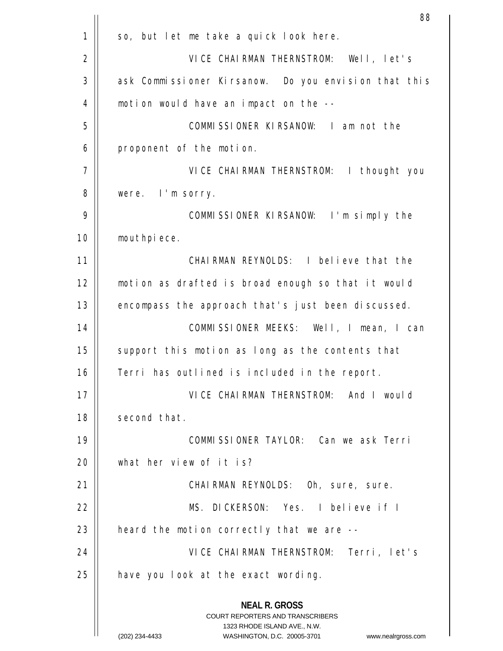|    | 88                                                                                                                                                                     |  |  |  |
|----|------------------------------------------------------------------------------------------------------------------------------------------------------------------------|--|--|--|
| 1  | so, but let me take a quick look here.                                                                                                                                 |  |  |  |
| 2  | VICE CHAIRMAN THERNSTROM: Well, let's                                                                                                                                  |  |  |  |
| 3  | ask Commissioner Kirsanow. Do you envision that this                                                                                                                   |  |  |  |
| 4  | motion would have an impact on the --                                                                                                                                  |  |  |  |
| 5  | COMMISSIONER KIRSANOW: I am not the                                                                                                                                    |  |  |  |
| 6  | proponent of the motion.                                                                                                                                               |  |  |  |
| 7  | VICE CHAIRMAN THERNSTROM: I thought you                                                                                                                                |  |  |  |
| 8  | were. I'm sorry.                                                                                                                                                       |  |  |  |
| 9  | COMMISSIONER KIRSANOW: I'm simply the                                                                                                                                  |  |  |  |
| 10 | mouthpiece.                                                                                                                                                            |  |  |  |
| 11 | CHAIRMAN REYNOLDS: I believe that the                                                                                                                                  |  |  |  |
| 12 | motion as drafted is broad enough so that it would                                                                                                                     |  |  |  |
| 13 | encompass the approach that's just been discussed.                                                                                                                     |  |  |  |
| 14 | COMMISSIONER MEEKS: Well, I mean, I can                                                                                                                                |  |  |  |
| 15 | support this motion as long as the contents that                                                                                                                       |  |  |  |
| 16 | Terri has outlined is included in the report.                                                                                                                          |  |  |  |
| 17 | VICE CHAIRMAN THERNSTROM: And I would                                                                                                                                  |  |  |  |
| 18 | second that.                                                                                                                                                           |  |  |  |
| 19 | COMMISSIONER TAYLOR: Can we ask Terri                                                                                                                                  |  |  |  |
| 20 | what her view of it is?                                                                                                                                                |  |  |  |
| 21 | CHAIRMAN REYNOLDS: Oh, sure, sure.                                                                                                                                     |  |  |  |
| 22 | MS. DICKERSON: Yes. I believe if I                                                                                                                                     |  |  |  |
| 23 | heard the motion correctly that we are --                                                                                                                              |  |  |  |
| 24 | VICE CHAIRMAN THERNSTROM: Terri, let's                                                                                                                                 |  |  |  |
| 25 | have you look at the exact wording.                                                                                                                                    |  |  |  |
|    | <b>NEAL R. GROSS</b><br><b>COURT REPORTERS AND TRANSCRIBERS</b><br>1323 RHODE ISLAND AVE., N.W.<br>(202) 234-4433<br>WASHINGTON, D.C. 20005-3701<br>www.nealrgross.com |  |  |  |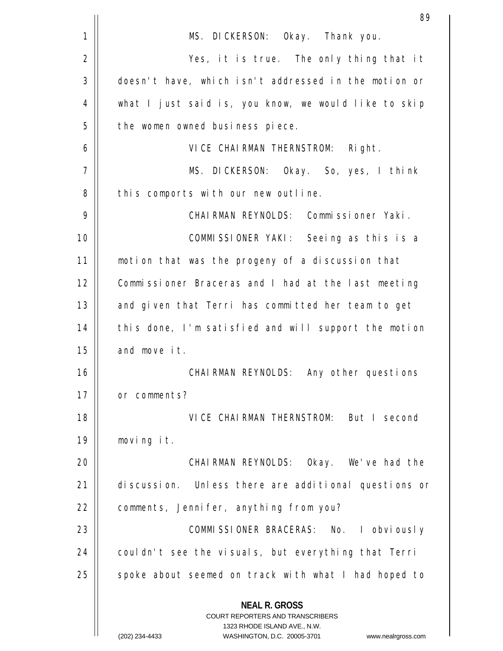|    | 89                                                                                                                                                                     |  |  |  |
|----|------------------------------------------------------------------------------------------------------------------------------------------------------------------------|--|--|--|
| 1  | MS. DICKERSON: Okay. Thank you.                                                                                                                                        |  |  |  |
| 2  | Yes, it is true. The only thing that it                                                                                                                                |  |  |  |
| 3  | doesn't have, which isn't addressed in the motion or                                                                                                                   |  |  |  |
| 4  | what I just said is, you know, we would like to skip                                                                                                                   |  |  |  |
| 5  | the women owned business piece.                                                                                                                                        |  |  |  |
| 6  | VICE CHAIRMAN THERNSTROM: Right.                                                                                                                                       |  |  |  |
| 7  | MS. DICKERSON: Okay. So, yes, I think                                                                                                                                  |  |  |  |
| 8  | this comports with our new outline.                                                                                                                                    |  |  |  |
| 9  | CHAIRMAN REYNOLDS: Commissioner Yaki.                                                                                                                                  |  |  |  |
| 10 | COMMISSIONER YAKI: Seeing as this is a                                                                                                                                 |  |  |  |
| 11 | motion that was the progeny of a discussion that                                                                                                                       |  |  |  |
| 12 | Commissioner Braceras and I had at the last meeting                                                                                                                    |  |  |  |
| 13 | and given that Terri has committed her team to get                                                                                                                     |  |  |  |
| 14 | this done, I'm satisfied and will support the motion                                                                                                                   |  |  |  |
| 15 | and move it.                                                                                                                                                           |  |  |  |
| 16 | CHAIRMAN REYNOLDS: Any other questions                                                                                                                                 |  |  |  |
| 17 | or comments?                                                                                                                                                           |  |  |  |
| 18 | VICE CHAIRMAN THERNSTROM: But I second                                                                                                                                 |  |  |  |
| 19 | moving it.                                                                                                                                                             |  |  |  |
| 20 | CHAIRMAN REYNOLDS: Okay. We've had the                                                                                                                                 |  |  |  |
| 21 | discussion. Unless there are additional questions or                                                                                                                   |  |  |  |
| 22 | comments, Jennifer, anything from you?                                                                                                                                 |  |  |  |
| 23 | COMMISSIONER BRACERAS: No. I obviously                                                                                                                                 |  |  |  |
| 24 | couldn't see the visuals, but everything that Terri                                                                                                                    |  |  |  |
| 25 | spoke about seemed on track with what I had hoped to                                                                                                                   |  |  |  |
|    | <b>NEAL R. GROSS</b><br><b>COURT REPORTERS AND TRANSCRIBERS</b><br>1323 RHODE ISLAND AVE., N.W.<br>(202) 234-4433<br>WASHINGTON, D.C. 20005-3701<br>www.nealrgross.com |  |  |  |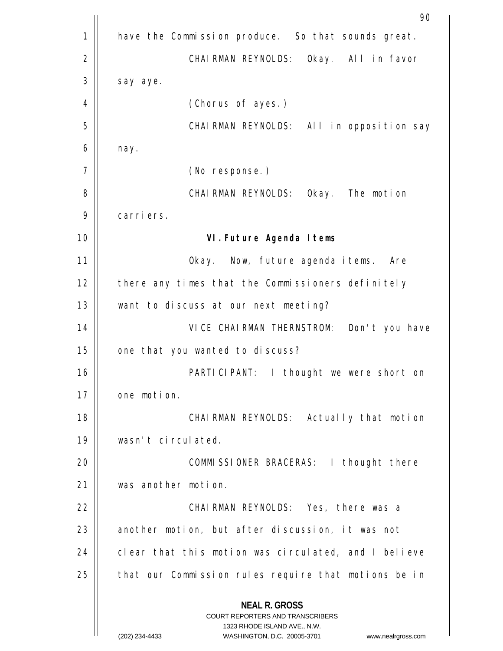|    | 90                                                                                                                                                                     |  |  |  |
|----|------------------------------------------------------------------------------------------------------------------------------------------------------------------------|--|--|--|
| 1  | have the Commission produce. So that sounds great.                                                                                                                     |  |  |  |
| 2  | CHAIRMAN REYNOLDS: Okay. All in favor                                                                                                                                  |  |  |  |
| 3  | say aye.                                                                                                                                                               |  |  |  |
| 4  | (Chorus of ayes.)                                                                                                                                                      |  |  |  |
| 5  | CHAIRMAN REYNOLDS: All in opposition say                                                                                                                               |  |  |  |
| 6  | nay.                                                                                                                                                                   |  |  |  |
| 7  | (No response.)                                                                                                                                                         |  |  |  |
| 8  | CHAIRMAN REYNOLDS: Okay. The motion                                                                                                                                    |  |  |  |
| 9  | carriers.                                                                                                                                                              |  |  |  |
| 10 | VI. Future Agenda Items                                                                                                                                                |  |  |  |
| 11 | Okay. Now, future agenda items. Are                                                                                                                                    |  |  |  |
| 12 | there any times that the Commissioners definitely                                                                                                                      |  |  |  |
| 13 | want to discuss at our next meeting?                                                                                                                                   |  |  |  |
| 14 | VICE CHAIRMAN THERNSTROM: Don't you have                                                                                                                               |  |  |  |
| 15 | one that you wanted to discuss?                                                                                                                                        |  |  |  |
| 16 | I thought we were short on<br>PARTICIPANT:                                                                                                                             |  |  |  |
| 17 | one motion.                                                                                                                                                            |  |  |  |
| 18 | CHAIRMAN REYNOLDS: Actually that motion                                                                                                                                |  |  |  |
| 19 | wasn't circulated.                                                                                                                                                     |  |  |  |
| 20 | COMMISSIONER BRACERAS: I thought there                                                                                                                                 |  |  |  |
| 21 | was another motion.                                                                                                                                                    |  |  |  |
| 22 | CHAIRMAN REYNOLDS: Yes, there was a                                                                                                                                    |  |  |  |
| 23 | another motion, but after discussion, it was not                                                                                                                       |  |  |  |
| 24 | clear that this motion was circulated, and I believe                                                                                                                   |  |  |  |
| 25 | that our Commission rules require that motions be in                                                                                                                   |  |  |  |
|    | <b>NEAL R. GROSS</b><br><b>COURT REPORTERS AND TRANSCRIBERS</b><br>1323 RHODE ISLAND AVE., N.W.<br>(202) 234-4433<br>WASHINGTON, D.C. 20005-3701<br>www.nealrgross.com |  |  |  |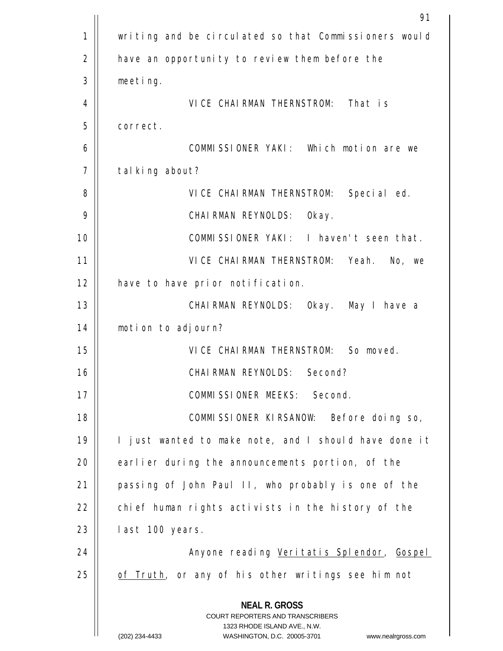|             | 91                                                                                                                                                                     |  |  |  |
|-------------|------------------------------------------------------------------------------------------------------------------------------------------------------------------------|--|--|--|
| $\mathbf 1$ | writing and be circulated so that Commissioners would                                                                                                                  |  |  |  |
| 2           | have an opportunity to review them before the                                                                                                                          |  |  |  |
| 3           | meeting.                                                                                                                                                               |  |  |  |
| 4           | VICE CHAIRMAN THERNSTROM: That is                                                                                                                                      |  |  |  |
| 5           | correct.                                                                                                                                                               |  |  |  |
| 6           | COMMISSIONER YAKI: Which motion are we                                                                                                                                 |  |  |  |
| 7           | talking about?                                                                                                                                                         |  |  |  |
| 8           | VICE CHAIRMAN THERNSTROM: Special ed.                                                                                                                                  |  |  |  |
| 9           | CHAIRMAN REYNOLDS: Okay.                                                                                                                                               |  |  |  |
| 10          | COMMISSIONER YAKI: I haven't seen that.                                                                                                                                |  |  |  |
| 11          | VICE CHAIRMAN THERNSTROM: Yeah. No, we                                                                                                                                 |  |  |  |
| 12          | have to have prior notification.                                                                                                                                       |  |  |  |
| 13          | CHAIRMAN REYNOLDS: Okay. May I have a                                                                                                                                  |  |  |  |
| 14          | motion to adjourn?                                                                                                                                                     |  |  |  |
| 15          | VICE CHAIRMAN THERNSTROM: So moved.                                                                                                                                    |  |  |  |
| 16          | CHAIRMAN REYNOLDS: Second?                                                                                                                                             |  |  |  |
| 17          | COMMISSIONER MEEKS: Second.                                                                                                                                            |  |  |  |
| 18          | COMMISSIONER KIRSANOW: Before doing so,                                                                                                                                |  |  |  |
| 19          | I just wanted to make note, and I should have done it                                                                                                                  |  |  |  |
| 20          | earlier during the announcements portion, of the                                                                                                                       |  |  |  |
| 21          | passing of John Paul II, who probably is one of the                                                                                                                    |  |  |  |
| 22          | chief human rights activists in the history of the                                                                                                                     |  |  |  |
| 23          | last 100 years.                                                                                                                                                        |  |  |  |
| 24          | Anyone reading Veritatis Splendor, Gospel                                                                                                                              |  |  |  |
| 25          | of Truth, or any of his other writings see him not                                                                                                                     |  |  |  |
|             | <b>NEAL R. GROSS</b><br><b>COURT REPORTERS AND TRANSCRIBERS</b><br>1323 RHODE ISLAND AVE., N.W.<br>WASHINGTON, D.C. 20005-3701<br>(202) 234-4433<br>www.nealrgross.com |  |  |  |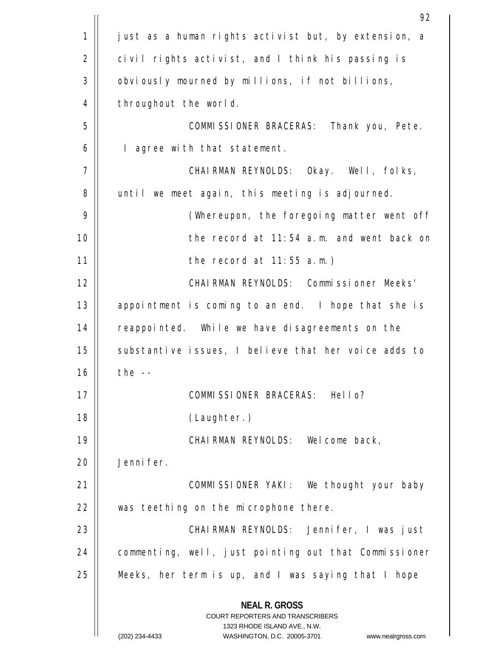|    | 92                                                                                                                                                                     |  |  |  |
|----|------------------------------------------------------------------------------------------------------------------------------------------------------------------------|--|--|--|
| 1  | just as a human rights activist but, by extension, a                                                                                                                   |  |  |  |
| 2  | civil rights activist, and I think his passing is                                                                                                                      |  |  |  |
| 3  | obviously mourned by millions, if not billions,                                                                                                                        |  |  |  |
| 4  | throughout the world.                                                                                                                                                  |  |  |  |
| 5  | COMMISSIONER BRACERAS: Thank you, Pete.                                                                                                                                |  |  |  |
| 6  | I agree with that statement.                                                                                                                                           |  |  |  |
| 7  | CHAIRMAN REYNOLDS: Okay. Well, folks,                                                                                                                                  |  |  |  |
| 8  | until we meet again, this meeting is adjourned.                                                                                                                        |  |  |  |
| 9  | (Whereupon, the foregoing matter went off                                                                                                                              |  |  |  |
| 10 | the record at 11:54 a.m. and went back on                                                                                                                              |  |  |  |
| 11 | the record at $11:55$ a.m.)                                                                                                                                            |  |  |  |
| 12 | CHAIRMAN REYNOLDS: Commissioner Meeks'                                                                                                                                 |  |  |  |
| 13 | appointment is coming to an end. I hope that she is                                                                                                                    |  |  |  |
| 14 | reappointed. While we have disagreements on the                                                                                                                        |  |  |  |
| 15 | substantive issues, I believe that her voice adds to                                                                                                                   |  |  |  |
| 16 | the $--$                                                                                                                                                               |  |  |  |
| 17 | COMMISSIONER BRACERAS: Hello?                                                                                                                                          |  |  |  |
| 18 | (Laughter.)                                                                                                                                                            |  |  |  |
| 19 | CHAIRMAN REYNOLDS: Welcome back,                                                                                                                                       |  |  |  |
| 20 | Jennifer.                                                                                                                                                              |  |  |  |
| 21 | COMMISSIONER YAKI: We thought your baby                                                                                                                                |  |  |  |
| 22 | was teething on the microphone there.                                                                                                                                  |  |  |  |
| 23 | CHAIRMAN REYNOLDS: Jennifer, I was just                                                                                                                                |  |  |  |
| 24 | commenting, well, just pointing out that Commissioner                                                                                                                  |  |  |  |
| 25 | Meeks, her term is up, and I was saying that I hope                                                                                                                    |  |  |  |
|    | <b>NEAL R. GROSS</b><br><b>COURT REPORTERS AND TRANSCRIBERS</b><br>1323 RHODE ISLAND AVE., N.W.<br>(202) 234-4433<br>WASHINGTON, D.C. 20005-3701<br>www.nealrgross.com |  |  |  |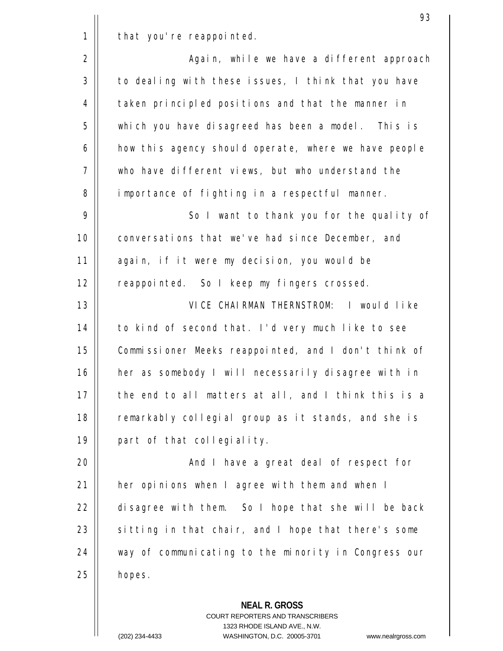| 1 |  |  | that you're reappointed. |
|---|--|--|--------------------------|
|---|--|--|--------------------------|

2 3 4 5 6 7 8 Again, while we have a different approach to dealing with these issues, I think that you have taken principled positions and that the manner in which you have disagreed has been a model. This is how this agency should operate, where we have people who have different views, but who understand the importance of fighting in a respectful manner. So I want to thank you for the quality of

9 10 11 12 conversations that we've had since December, and again, if it were my decision, you would be reappointed. So I keep my fingers crossed.

13 14 15 16 17 18 19 VICE CHAIRMAN THERNSTROM: I would like to kind of second that. I'd very much like to see Commissioner Meeks reappointed, and I don't think of her as somebody I will necessarily disagree with in the end to all matters at all, and I think this is a remarkably collegial group as it stands, and she is part of that collegiality.

 $20$ 21 22 23 24 25 And I have a great deal of respect for her opinions when I agree with them and when I disagree with them. So I hope that she will be back sitting in that chair, and I hope that there's some way of communicating to the minority in Congress our hopes.

> **NEAL R. GROSS** COURT REPORTERS AND TRANSCRIBERS

1323 RHODE ISLAND AVE., N.W.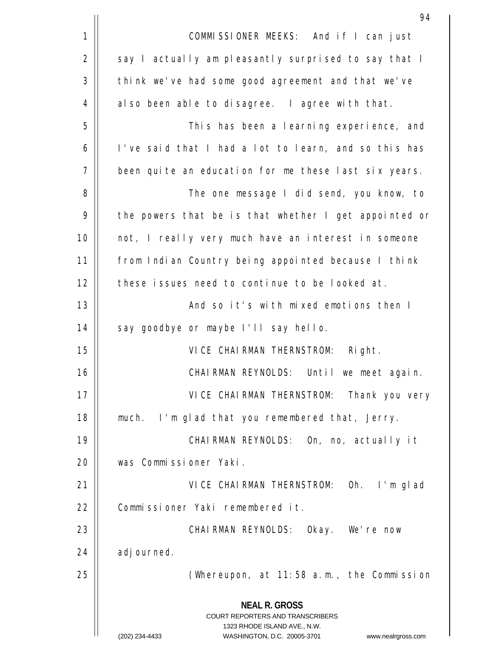|             | 94                                                                                                                                                                     |  |  |  |
|-------------|------------------------------------------------------------------------------------------------------------------------------------------------------------------------|--|--|--|
| $\mathbf 1$ | COMMISSIONER MEEKS: And if I can just                                                                                                                                  |  |  |  |
| 2           | say I actually am pleasantly surprised to say that I                                                                                                                   |  |  |  |
| 3           | think we've had some good agreement and that we've                                                                                                                     |  |  |  |
| 4           | also been able to disagree. I agree with that.                                                                                                                         |  |  |  |
| 5           | This has been a learning experience, and                                                                                                                               |  |  |  |
| 6           | I've said that I had a lot to learn, and so this has                                                                                                                   |  |  |  |
| 7           | been quite an education for me these last six years.                                                                                                                   |  |  |  |
| 8           | The one message I did send, you know, to                                                                                                                               |  |  |  |
| 9           | the powers that be is that whether I get appointed or                                                                                                                  |  |  |  |
| 10          | not, I really very much have an interest in someone                                                                                                                    |  |  |  |
| 11          | from Indian Country being appointed because I think                                                                                                                    |  |  |  |
| 12          | these issues need to continue to be looked at.                                                                                                                         |  |  |  |
| 13          | And so it's with mixed emotions then I                                                                                                                                 |  |  |  |
| 14          | say goodbye or maybe I'll say hello.                                                                                                                                   |  |  |  |
| 15          | VICE CHAIRMAN THERNSTROM: Right.                                                                                                                                       |  |  |  |
| 16          | CHAIRMAN REYNOLDS: Until we meet again.                                                                                                                                |  |  |  |
| 17          | VICE CHAIRMAN THERNSTROM: Thank you very                                                                                                                               |  |  |  |
| 18          | much. I'm glad that you remembered that, Jerry.                                                                                                                        |  |  |  |
| 19          | CHAIRMAN REYNOLDS: On, no, actually it                                                                                                                                 |  |  |  |
| 20          | was Commissioner Yaki.                                                                                                                                                 |  |  |  |
| 21          | VICE CHAIRMAN THERNSTROM: Oh. I'm glad                                                                                                                                 |  |  |  |
| 22          | Commissioner Yaki remembered it.                                                                                                                                       |  |  |  |
| 23          | CHAIRMAN REYNOLDS: Okay. We're now                                                                                                                                     |  |  |  |
| 24          | adjourned.                                                                                                                                                             |  |  |  |
| 25          | (Whereupon, at $11:58$ a.m., the Commission                                                                                                                            |  |  |  |
|             | <b>NEAL R. GROSS</b><br><b>COURT REPORTERS AND TRANSCRIBERS</b><br>1323 RHODE ISLAND AVE., N.W.<br>(202) 234-4433<br>WASHINGTON, D.C. 20005-3701<br>www.nealrgross.com |  |  |  |